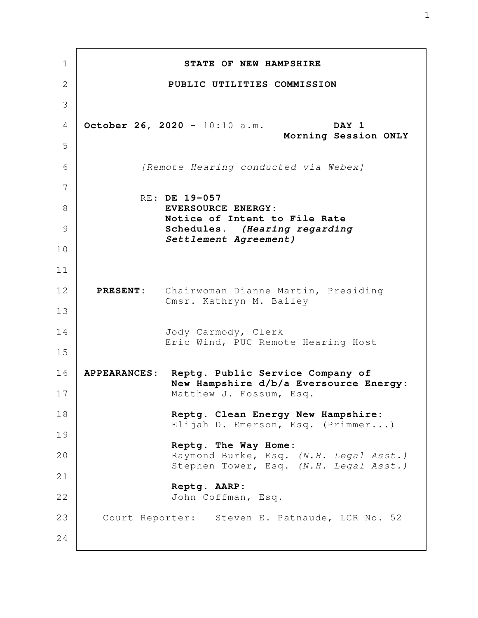**STATE OF NEW HAMPSHIRE PUBLIC UTILITIES COMMISSION October 26, 2020** - 10:10 a.m. **DAY 1 Morning Session ONLY** *[Remote Hearing conducted via Webex]* RE: **DE 19-057 EVERSOURCE ENERGY: Notice of Intent to File Rate Schedules.** *(Hearing regarding Settlement Agreement)*  **PRESENT:** Chairwoman Dianne Martin, Presiding Cmsr. Kathryn M. Bailey Jody Carmody, Clerk Eric Wind, PUC Remote Hearing Host **APPEARANCES: Reptg. Public Service Company of New Hampshire d/b/a Eversource Energy:** Matthew J. Fossum, Esq. **Reptg. Clean Energy New Hampshire:** Elijah D. Emerson, Esq. (Primmer...) **Reptg. The Way Home:** Raymond Burke, Esq. *(N.H. Legal Asst.)* Stephen Tower, Esq. *(N.H. Legal Asst.)* **Reptg. AARP:** John Coffman, Esq. Court Reporter: Steven E. Patnaude, LCR No. 52 1 2 3 4 5 6 7 8 9 10 11 12 13 14 15 16 17 18 19 20 21 22 23 24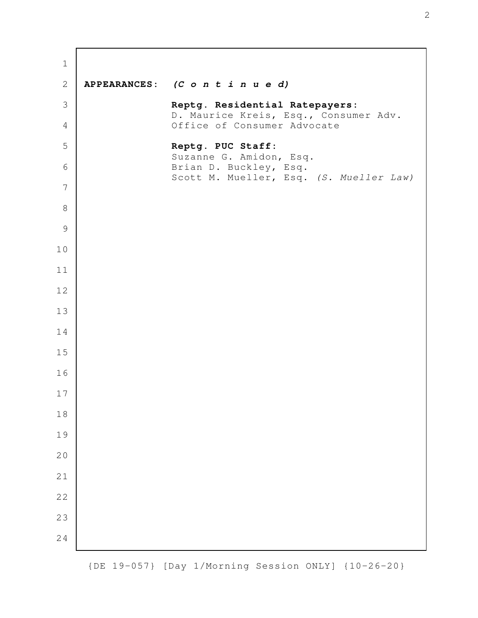| $\mathbf 1$    |                                                                         |
|----------------|-------------------------------------------------------------------------|
| $\mathbf{2}$   | APPEARANCES: (C o n t i n u e d)                                        |
| $\mathcal{S}$  | Reptg. Residential Ratepayers:<br>D. Maurice Kreis, Esq., Consumer Adv. |
| $\overline{4}$ | Office of Consumer Advocate                                             |
| 5              | Reptg. PUC Staff:<br>Suzanne G. Amidon, Esq.                            |
| 6              | Brian D. Buckley, Esq.<br>Scott M. Mueller, Esq. (S. Mueller Law)       |
| 7              |                                                                         |
| $\,8\,$        |                                                                         |
| $\mathcal{G}$  |                                                                         |
| 10             |                                                                         |
| 11             |                                                                         |
| 12             |                                                                         |
| 13             |                                                                         |
| 14             |                                                                         |
| 15             |                                                                         |
| 16             |                                                                         |
| $17$           |                                                                         |
| 18             |                                                                         |
| 19             |                                                                         |
| 20             |                                                                         |
| 21             |                                                                         |
| 22             |                                                                         |
| 23             |                                                                         |
| 24             |                                                                         |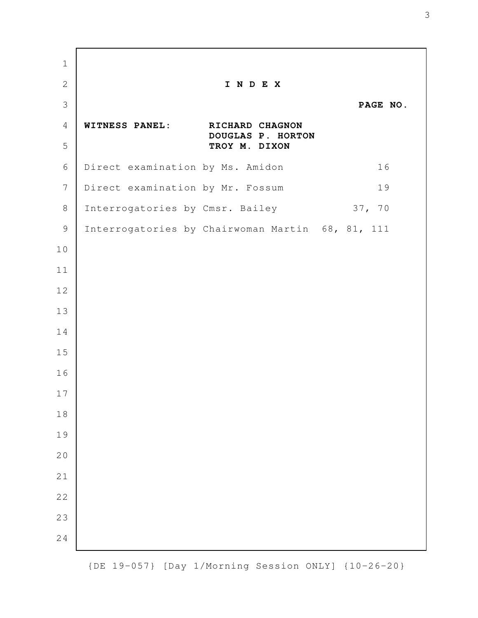**I N D E X PAGE NO. WITNESS PANEL: RICHARD CHAGNON DOUGLAS P. HORTON TROY M. DIXON** Direct examination by Ms. Amidon 16 Direct examination by Mr. Fossum 19 Interrogatories by Cmsr. Bailey 37, 70 Interrogatories by Chairwoman Martin 68, 81, 111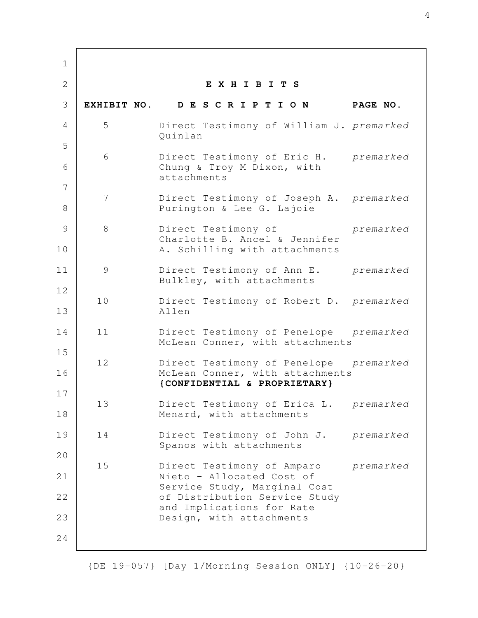**E X H I B I T S EXHIBIT NO. D E S C R I P T I O N PAGE NO.** 5 Direct Testimony of William J. *premarked* Quinlan 6 Direct Testimony of Eric H. *premarked* Chung & Troy M Dixon, with attachments 7 Direct Testimony of Joseph A. *premarked* Purington & Lee G. Lajoie 8 Direct Testimony of *premarked* Charlotte B. Ancel & Jennifer A. Schilling with attachments 9 Direct Testimony of Ann E. *premarked* Bulkley, with attachments 10 Direct Testimony of Robert D. *premarked* Allen 11 Direct Testimony of Penelope *premarked* McLean Conner, with attachments 12 Direct Testimony of Penelope *premarked* McLean Conner, with attachments  **{CONFIDENTIAL & PROPRIETARY}** 13 Direct Testimony of Erica L. *premarked* Menard, with attachments 14 Direct Testimony of John J. *premarked* Spanos with attachments 15 Direct Testimony of Amparo *premarked* Nieto - Allocated Cost of Service Study, Marginal Cost of Distribution Service Study and Implications for Rate Design, with attachments 1 2 3 4 5 6 7 8 9 10 11 12 13 14 15 16 17 18 19 20 21 22 23 24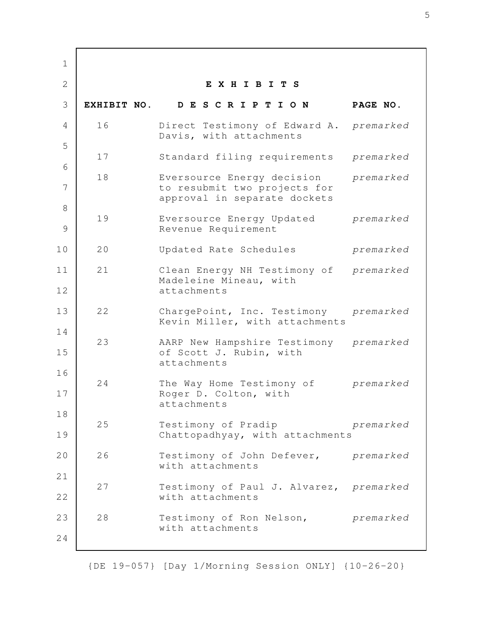**E X H I B I T S EXHIBIT NO. D E S C R I P T I O N PAGE NO.** 16 Direct Testimony of Edward A. *premarked* Davis, with attachments 17 Standard filing requirements *premarked* 18 Eversource Energy decision *premarked* to resubmit two projects for approval in separate dockets 19 Eversource Energy Updated *premarked* Revenue Requirement 20 Updated Rate Schedules *premarked* 21 Clean Energy NH Testimony of *premarked* Madeleine Mineau, with attachments 22 ChargePoint, Inc. Testimony *premarked* Kevin Miller, with attachments 23 AARP New Hampshire Testimony *premarked* of Scott J. Rubin, with attachments 24 The Way Home Testimony of *premarked* Roger D. Colton, with attachments 25 Testimony of Pradip *premarked* Chattopadhyay, with attachments 26 Testimony of John Defever, *premarked* with attachments 27 Testimony of Paul J. Alvarez, *premarked* with attachments 28 Testimony of Ron Nelson, *premarked* with attachments 1 2 3 4 5 6 7 8 9 10 11 12 13 14 15 16 17 18 19 20 21 22 23 24

{DE 19-057} [Day 1/Morning Session ONLY] {10-26-20}

5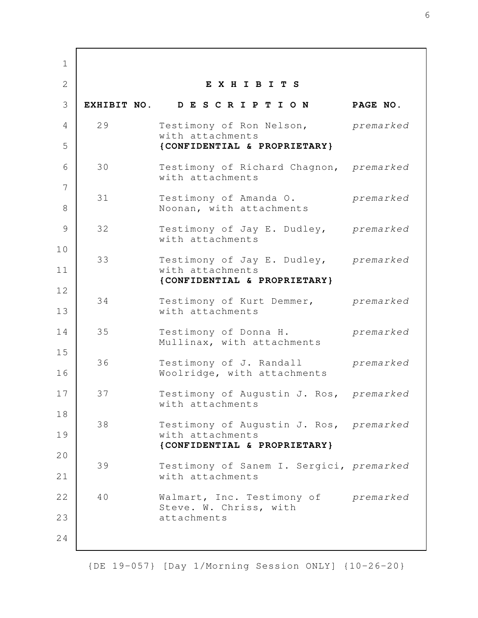**E X H I B I T S EXHIBIT NO. D E S C R I P T I O N PAGE NO.** 29 Testimony of Ron Nelson, *premarked* with attachments **{CONFIDENTIAL & PROPRIETARY}** 30 Testimony of Richard Chagnon, *premarked* with attachments 31 Testimony of Amanda O. *premarked* Noonan, with attachments 32 Testimony of Jay E. Dudley, *premarked* with attachments 33 Testimony of Jay E. Dudley, *premarked* with attachments  **{CONFIDENTIAL & PROPRIETARY}** 34 Testimony of Kurt Demmer, *premarked* with attachments 35 Testimony of Donna H. *premarked* Mullinax, with attachments 36 Testimony of J. Randall *premarked* Woolridge, with attachments 37 Testimony of Augustin J. Ros, *premarked* with attachments 38 Testimony of Augustin J. Ros, *premarked* with attachments **{CONFIDENTIAL & PROPRIETARY}** 39 Testimony of Sanem I. Sergici, *premarked* with attachments 40 Walmart, Inc. Testimony of *premarked* Steve. W. Chriss, with attachments 1 2 3 4 5 6 7 8 9 10 11 12 13 14 15 16 17 18 19 20 21 22 23 24

{DE 19-057} [Day 1/Morning Session ONLY] {10-26-20}

6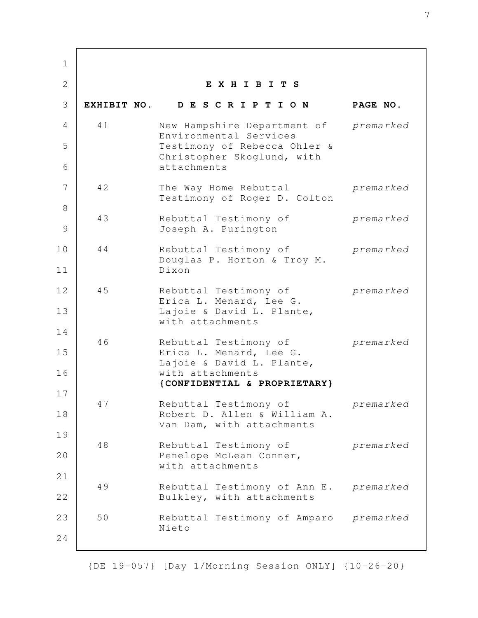**E X H I B I T S EXHIBIT NO. D E S C R I P T I O N PAGE NO.** 41 New Hampshire Department of *premarked* Environmental Services Testimony of Rebecca Ohler & Christopher Skoglund, with attachments 42 The Way Home Rebuttal *premarked* Testimony of Roger D. Colton 43 Rebuttal Testimony of *premarked* Joseph A. Purington 44 Rebuttal Testimony of *premarked* Douglas P. Horton & Troy M. Dixon 45 Rebuttal Testimony of *premarked* Erica L. Menard, Lee G. Lajoie & David L. Plante, with attachments 46 Rebuttal Testimony of *premarked* Erica L. Menard, Lee G. Lajoie & David L. Plante, with attachments  **{CONFIDENTIAL & PROPRIETARY}** 47 Rebuttal Testimony of *premarked* Robert D. Allen & William A. Van Dam, with attachments 48 Rebuttal Testimony of *premarked* Penelope McLean Conner, with attachments 49 Rebuttal Testimony of Ann E. *premarked* Bulkley, with attachments 50 Rebuttal Testimony of Amparo *premarked* Nieto 1 2 3 4 5 6 7 8 9 10 11 12 13 14 15 16 17 18 19 20 21 22 23 24

{DE 19-057} [Day 1/Morning Session ONLY] {10-26-20}

7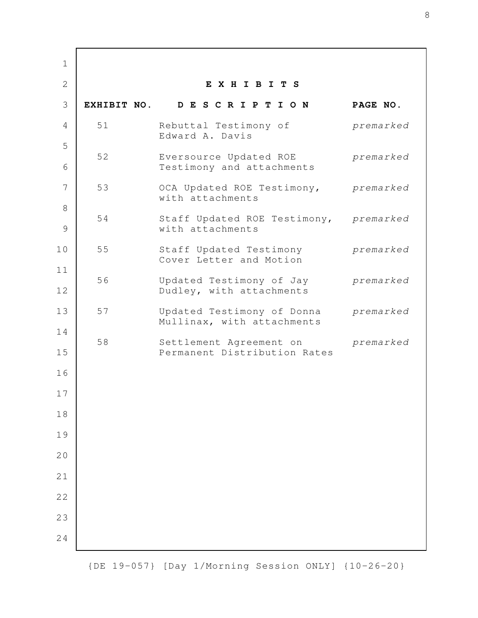**E X H I B I T S EXHIBIT NO. D E S C R I P T I O N PAGE NO.** 51 Rebuttal Testimony of *premarked* Edward A. Davis 52 Eversource Updated ROE *premarked* Testimony and attachments 53 OCA Updated ROE Testimony, *premarked* with attachments 54 Staff Updated ROE Testimony, *premarked* with attachments 55 Staff Updated Testimony *premarked* Cover Letter and Motion 56 Updated Testimony of Jay *premarked* Dudley, with attachments 57 Updated Testimony of Donna *premarked* Mullinax, with attachments 58 Settlement Agreement on *premarked* Permanent Distribution Rates 1 2 3 4 5 6 7 8 9 10 11 12 13 14 15 16 17 18 19 20 21 22 23 24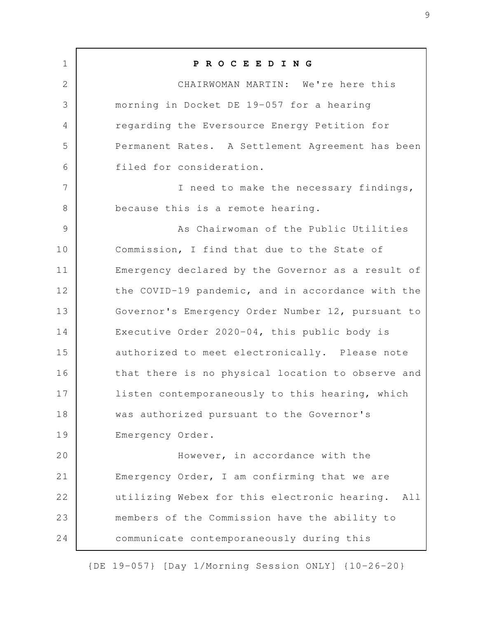**P R O C E E D I N G** CHAIRWOMAN MARTIN: We're here this morning in Docket DE 19-057 for a hearing regarding the Eversource Energy Petition for Permanent Rates. A Settlement Agreement has been filed for consideration. I need to make the necessary findings, because this is a remote hearing. As Chairwoman of the Public Utilities Commission, I find that due to the State of Emergency declared by the Governor as a result of the COVID-19 pandemic, and in accordance with the Governor's Emergency Order Number 12, pursuant to Executive Order 2020-04, this public body is authorized to meet electronically. Please note that there is no physical location to observe and listen contemporaneously to this hearing, which was authorized pursuant to the Governor's Emergency Order. However, in accordance with the Emergency Order, I am confirming that we are utilizing Webex for this electronic hearing. All members of the Commission have the ability to communicate contemporaneously during this 1 2 3 4 5 6 7 8 9 10 11 12 13 14 15 16 17 18 19 20 21 22 23 24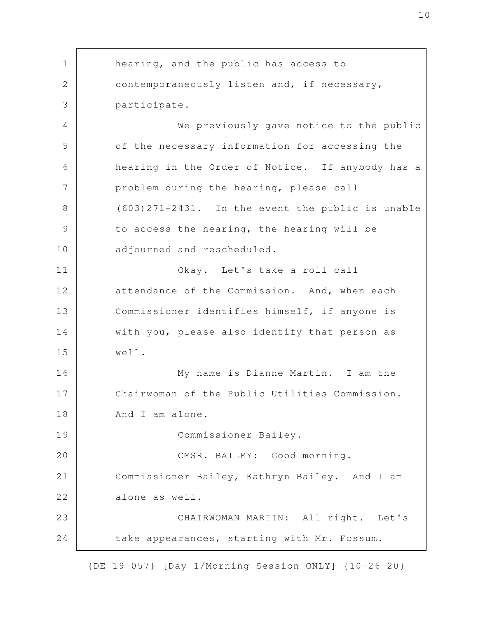hearing, and the public has access to contemporaneously listen and, if necessary, participate. We previously gave notice to the public of the necessary information for accessing the hearing in the Order of Notice. If anybody has a problem during the hearing, please call (603)271-2431. In the event the public is unable to access the hearing, the hearing will be adjourned and rescheduled. Okay. Let's take a roll call attendance of the Commission. And, when each Commissioner identifies himself, if anyone is with you, please also identify that person as well. My name is Dianne Martin. I am the Chairwoman of the Public Utilities Commission. And I am alone. Commissioner Bailey. CMSR. BAILEY: Good morning. Commissioner Bailey, Kathryn Bailey. And I am alone as well. CHAIRWOMAN MARTIN: All right. Let's take appearances, starting with Mr. Fossum. 1 2 3 4 5 6 7 8 9 10 11 12 13 14 15 16 17 18 19 20 21 22 23 24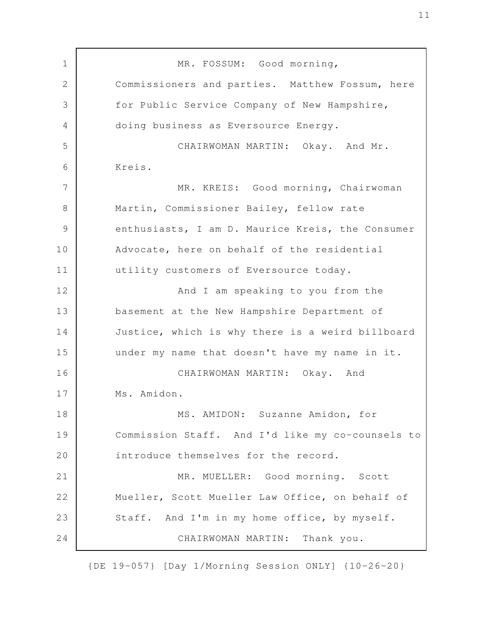MR. FOSSUM: Good morning, Commissioners and parties. Matthew Fossum, here for Public Service Company of New Hampshire, doing business as Eversource Energy. CHAIRWOMAN MARTIN: Okay. And Mr. Kreis. MR. KREIS: Good morning, Chairwoman Martin, Commissioner Bailey, fellow rate enthusiasts, I am D. Maurice Kreis, the Consumer Advocate, here on behalf of the residential utility customers of Eversource today. And I am speaking to you from the basement at the New Hampshire Department of Justice, which is why there is a weird billboard under my name that doesn't have my name in it. CHAIRWOMAN MARTIN: Okay. And Ms. Amidon. MS. AMIDON: Suzanne Amidon, for Commission Staff. And I'd like my co-counsels to introduce themselves for the record. MR. MUELLER: Good morning. Scott Mueller, Scott Mueller Law Office, on behalf of Staff. And I'm in my home office, by myself. CHAIRWOMAN MARTIN: Thank you. 1 2 3 4 5 6 7 8 9 10 11 12 13 14 15 16 17 18 19 20 21 22 23 24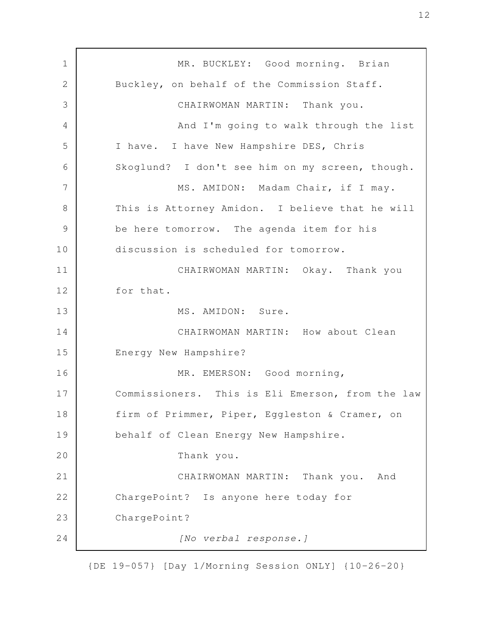MR. BUCKLEY: Good morning. Brian Buckley, on behalf of the Commission Staff. CHAIRWOMAN MARTIN: Thank you. And I'm going to walk through the list I have. I have New Hampshire DES, Chris Skoglund? I don't see him on my screen, though. MS. AMIDON: Madam Chair, if I may. This is Attorney Amidon. I believe that he will be here tomorrow. The agenda item for his discussion is scheduled for tomorrow. CHAIRWOMAN MARTIN: Okay. Thank you for that. MS. AMIDON: Sure. CHAIRWOMAN MARTIN: How about Clean Energy New Hampshire? MR. EMERSON: Good morning, Commissioners. This is Eli Emerson, from the law firm of Primmer, Piper, Eggleston & Cramer, on behalf of Clean Energy New Hampshire. Thank you. CHAIRWOMAN MARTIN: Thank you. And ChargePoint? Is anyone here today for ChargePoint? *[No verbal response.]* 1 2 3 4 5 6 7 8 9 10 11 12 13 14 15 16 17 18 19 20 21 22 23 24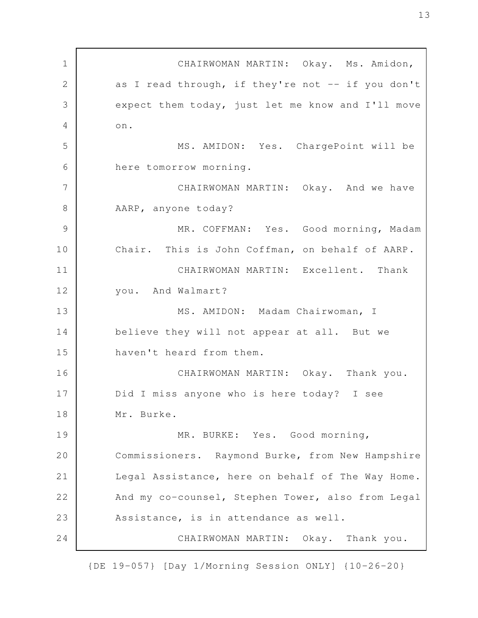CHAIRWOMAN MARTIN: Okay. Ms. Amidon, as I read through, if they're not -- if you don't expect them today, just let me know and I'll move on. MS. AMIDON: Yes. ChargePoint will be here tomorrow morning. CHAIRWOMAN MARTIN: Okay. And we have AARP, anyone today? MR. COFFMAN: Yes. Good morning, Madam Chair. This is John Coffman, on behalf of AARP. CHAIRWOMAN MARTIN: Excellent. Thank you. And Walmart? MS. AMIDON: Madam Chairwoman, I believe they will not appear at all. But we haven't heard from them. CHAIRWOMAN MARTIN: Okay. Thank you. Did I miss anyone who is here today? I see Mr. Burke. MR. BURKE: Yes. Good morning, Commissioners. Raymond Burke, from New Hampshire Legal Assistance, here on behalf of The Way Home. And my co-counsel, Stephen Tower, also from Legal Assistance, is in attendance as well. CHAIRWOMAN MARTIN: Okay. Thank you. 1 2 3 4 5 6 7 8 9 10 11 12 13 14 15 16 17 18 19 20 21 22 23 24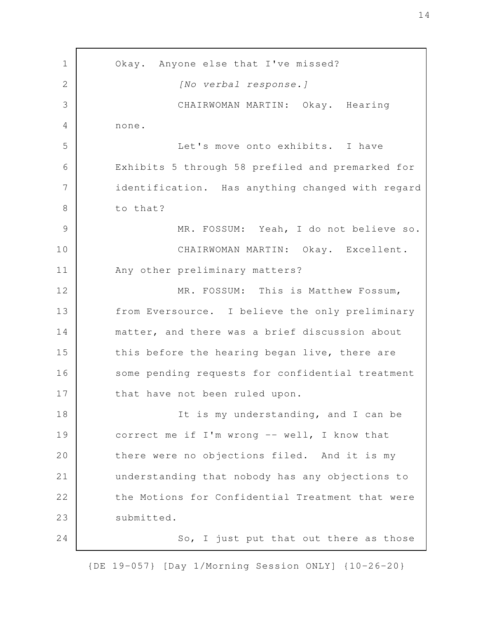Okay. Anyone else that I've missed? *[No verbal response.]* CHAIRWOMAN MARTIN: Okay. Hearing none. Let's move onto exhibits. I have Exhibits 5 through 58 prefiled and premarked for identification. Has anything changed with regard to that? MR. FOSSUM: Yeah, I do not believe so. CHAIRWOMAN MARTIN: Okay. Excellent. Any other preliminary matters? MR. FOSSUM: This is Matthew Fossum, from Eversource. I believe the only preliminary matter, and there was a brief discussion about this before the hearing began live, there are some pending requests for confidential treatment that have not been ruled upon. It is my understanding, and I can be correct me if I'm wrong -- well, I know that there were no objections filed. And it is my understanding that nobody has any objections to the Motions for Confidential Treatment that were submitted. So, I just put that out there as those 1 2 3 4 5 6 7 8 9 10 11 12 13 14 15 16 17 18 19 20 21 22 23 24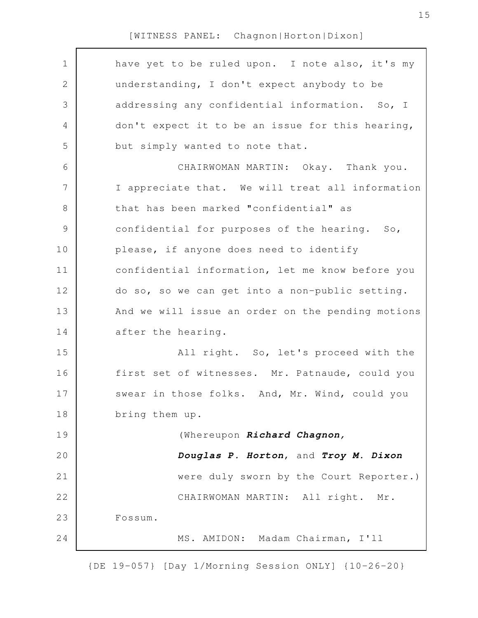| $\mathbf 1$    | have yet to be ruled upon. I note also, it's my   |
|----------------|---------------------------------------------------|
| $\mathbf 2$    | understanding, I don't expect anybody to be       |
| 3              | addressing any confidential information. So, I    |
| 4              | don't expect it to be an issue for this hearing,  |
| 5              | but simply wanted to note that.                   |
| 6              | CHAIRWOMAN MARTIN: Okay. Thank you.               |
| $\overline{7}$ | I appreciate that. We will treat all information  |
| $8\,$          | that has been marked "confidential" as            |
| $\mathsf 9$    | confidential for purposes of the hearing. So,     |
| 10             | please, if anyone does need to identify           |
| 11             | confidential information, let me know before you  |
| 12             | do so, so we can get into a non-public setting.   |
| 13             | And we will issue an order on the pending motions |
| 14             | after the hearing.                                |
| 15             | All right. So, let's proceed with the             |
| 16             | first set of witnesses. Mr. Patnaude, could you   |
| 17             | swear in those folks. And, Mr. Wind, could you    |
| 18             | bring them up.                                    |
| 19             | (Whereupon Richard Chagnon,                       |
| 20             | Douglas P. Horton, and Troy M. Dixon              |
| 21             | were duly sworn by the Court Reporter.)           |
| 22             | CHAIRWOMAN MARTIN: All right. Mr.                 |
| 23             | Fossum.                                           |
| 24             | MS. AMIDON: Madam Chairman, I'll                  |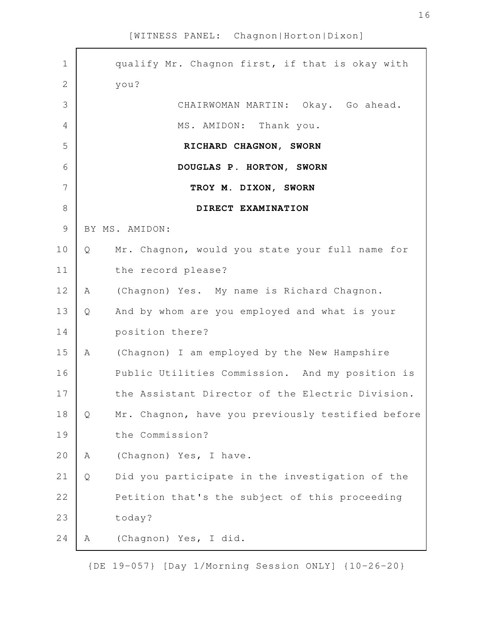| $\mathbf 1$    |   | qualify Mr. Chagnon first, if that is okay with   |
|----------------|---|---------------------------------------------------|
| $\overline{2}$ |   | you?                                              |
| 3              |   | CHAIRWOMAN MARTIN: Okay. Go ahead.                |
| 4              |   | MS. AMIDON: Thank you.                            |
| 5              |   | RICHARD CHAGNON, SWORN                            |
| 6              |   | DOUGLAS P. HORTON, SWORN                          |
| 7              |   | TROY M. DIXON, SWORN                              |
| $\,8\,$        |   | DIRECT EXAMINATION                                |
| $\mathcal{G}$  |   | BY MS. AMIDON:                                    |
| 10             | Q | Mr. Chagnon, would you state your full name for   |
| 11             |   | the record please?                                |
| 12             | A | (Chagnon) Yes. My name is Richard Chagnon.        |
| 13             | Q | And by whom are you employed and what is your     |
| 14             |   | position there?                                   |
| 15             | A | (Chagnon) I am employed by the New Hampshire      |
| 16             |   | Public Utilities Commission. And my position is   |
| 17             |   | the Assistant Director of the Electric Division.  |
| 18             | Q | Mr. Chagnon, have you previously testified before |
| 19             |   | the Commission?                                   |
| 20             | Α | (Chagnon) Yes, I have.                            |
| 21             | Q | Did you participate in the investigation of the   |
| 22             |   | Petition that's the subject of this proceeding    |
| 23             |   | today?                                            |
| 24             | Α | (Chagnon) Yes, I did.                             |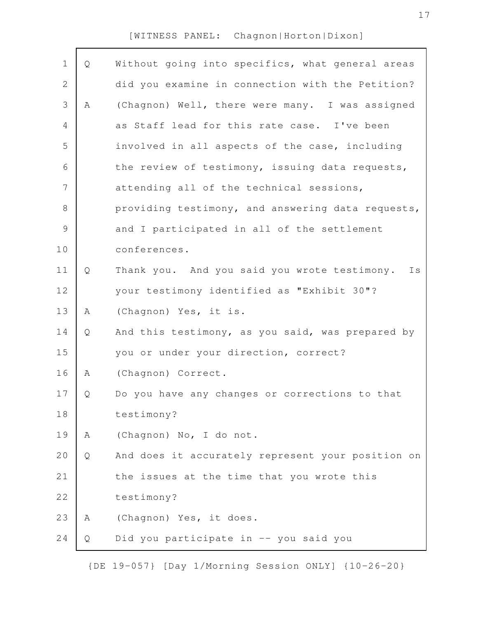| $\mathbf 1$   | Q | Without going into specifics, what general areas   |
|---------------|---|----------------------------------------------------|
| 2             |   | did you examine in connection with the Petition?   |
| 3             | Α | (Chagnon) Well, there were many. I was assigned    |
| 4             |   | as Staff lead for this rate case. I've been        |
| 5             |   | involved in all aspects of the case, including     |
| 6             |   | the review of testimony, issuing data requests,    |
| 7             |   | attending all of the technical sessions,           |
| 8             |   | providing testimony, and answering data requests,  |
| $\mathcal{G}$ |   | and I participated in all of the settlement        |
| 10            |   | conferences.                                       |
| 11            | Q | Thank you. And you said you wrote testimony.<br>Is |
| 12            |   | your testimony identified as "Exhibit 30"?         |
| 13            | Α | (Chagnon) Yes, it is.                              |
| 14            | Q | And this testimony, as you said, was prepared by   |
| 15            |   | you or under your direction, correct?              |
| 16            | Α | (Chagnon) Correct.                                 |
| 17            | Q | Do you have any changes or corrections to that     |
| 18            |   | testimony?                                         |
| 19            | Α | (Chagnon) No, I do not.                            |
| 20            | Q | And does it accurately represent your position on  |
| 21            |   | the issues at the time that you wrote this         |
| 22            |   | testimony?                                         |
| 23            | Α | (Chagnon) Yes, it does.                            |
| 24            | Q | Did you participate in -- you said you             |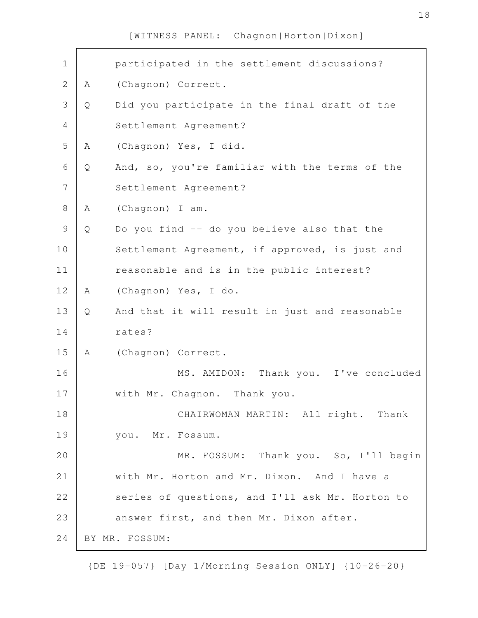| $\mathbf 1$    |   | participated in the settlement discussions?     |
|----------------|---|-------------------------------------------------|
| $\mathbf{2}$   | A | (Chagnon) Correct.                              |
| 3              | Q | Did you participate in the final draft of the   |
| $\overline{4}$ |   | Settlement Agreement?                           |
| 5              | Α | (Chagnon) Yes, I did.                           |
| 6              | Q | And, so, you're familiar with the terms of the  |
| $\overline{7}$ |   | Settlement Agreement?                           |
| $8\,$          | A | (Chagnon) I am.                                 |
| $\mathcal{G}$  | Q | Do you find -- do you believe also that the     |
| 10             |   | Settlement Agreement, if approved, is just and  |
| 11             |   | reasonable and is in the public interest?       |
| 12             | Α | (Chagnon) Yes, I do.                            |
| 13             | Q | And that it will result in just and reasonable  |
| 14             |   | rates?                                          |
| 15             | Α | (Chagnon) Correct.                              |
| 16             |   | MS. AMIDON: Thank you. I've concluded           |
| 17             |   | with Mr. Chagnon. Thank you.                    |
| 18             |   | CHAIRWOMAN MARTIN: All right. Thank             |
| 19             |   | you. Mr. Fossum.                                |
| 20             |   | MR. FOSSUM: Thank you. So, I'll begin           |
| 21             |   | with Mr. Horton and Mr. Dixon. And I have a     |
| 22             |   | series of questions, and I'll ask Mr. Horton to |
| 23             |   | answer first, and then Mr. Dixon after.         |
| 24             |   | BY MR. FOSSUM:                                  |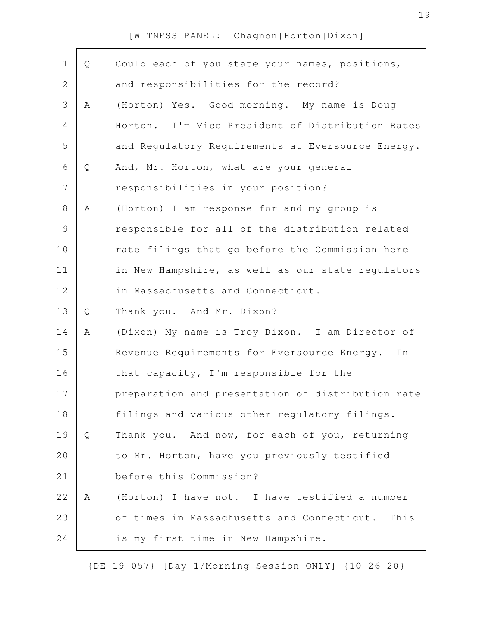| Q | Could each of you state your names, positions,     |
|---|----------------------------------------------------|
|   | and responsibilities for the record?               |
| A | (Horton) Yes. Good morning. My name is Doug        |
|   | Horton. I'm Vice President of Distribution Rates   |
|   | and Regulatory Requirements at Eversource Energy.  |
| Q | And, Mr. Horton, what are your general             |
|   | responsibilities in your position?                 |
| Α | (Horton) I am response for and my group is         |
|   | responsible for all of the distribution-related    |
|   | rate filings that go before the Commission here    |
|   | in New Hampshire, as well as our state regulators  |
|   | in Massachusetts and Connecticut.                  |
| Q | Thank you. And Mr. Dixon?                          |
| A | (Dixon) My name is Troy Dixon. I am Director of    |
|   | Revenue Requirements for Eversource Energy.<br>In  |
|   | that capacity, I'm responsible for the             |
|   | preparation and presentation of distribution rate  |
|   | filings and various other regulatory filings.      |
| Q | Thank you. And now, for each of you, returning     |
|   | to Mr. Horton, have you previously testified       |
|   | before this Commission?                            |
| Α | (Horton) I have not. I have testified a number     |
|   | of times in Massachusetts and Connecticut.<br>This |
|   | is my first time in New Hampshire.                 |
|   |                                                    |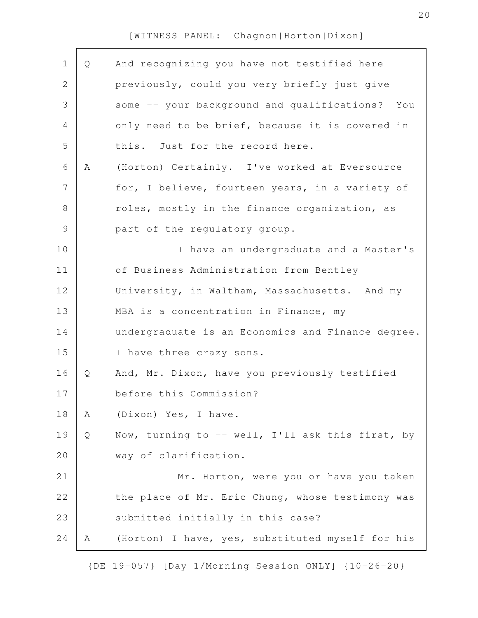| $\mathbf 1$    | Q | And recognizing you have not testified here       |
|----------------|---|---------------------------------------------------|
| $\mathbf{2}$   |   | previously, could you very briefly just give      |
| 3              |   | some -- your background and qualifications? You   |
| $\overline{4}$ |   | only need to be brief, because it is covered in   |
| 5              |   | this. Just for the record here.                   |
| 6              | A | (Horton) Certainly. I've worked at Eversource     |
| 7              |   | for, I believe, fourteen years, in a variety of   |
| 8              |   | roles, mostly in the finance organization, as     |
| $\mathcal{G}$  |   | part of the regulatory group.                     |
| 10             |   | I have an undergraduate and a Master's            |
| 11             |   | of Business Administration from Bentley           |
| 12             |   | University, in Waltham, Massachusetts. And my     |
| 13             |   | MBA is a concentration in Finance, my             |
| 14             |   | undergraduate is an Economics and Finance degree. |
| 15             |   | I have three crazy sons.                          |
| 16             | Q | And, Mr. Dixon, have you previously testified     |
| 17             |   | before this Commission?                           |
| 18             | Α | (Dixon) Yes, I have.                              |
| 19             | Q | Now, turning to -- well, I'll ask this first, by  |
| 20             |   | way of clarification.                             |
| 21             |   | Mr. Horton, were you or have you taken            |
| 22             |   | the place of Mr. Eric Chung, whose testimony was  |
| 23             |   | submitted initially in this case?                 |
| 24             | Α | (Horton) I have, yes, substituted myself for his  |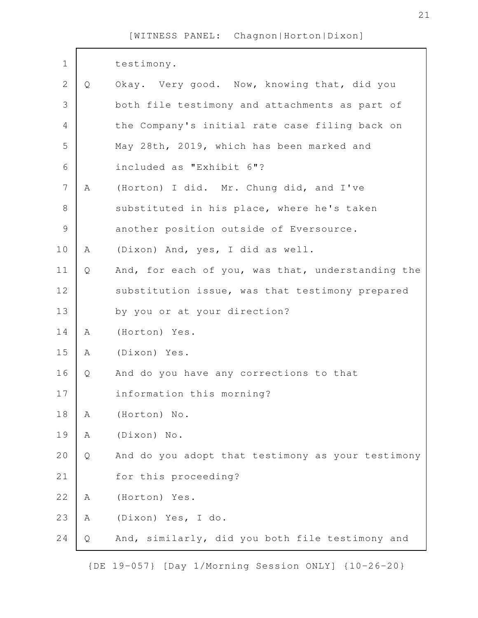| $1\,$          |   | testimony.                                        |
|----------------|---|---------------------------------------------------|
| $\mathbf{2}$   | Q | Okay. Very good. Now, knowing that, did you       |
| 3              |   | both file testimony and attachments as part of    |
| $\overline{4}$ |   | the Company's initial rate case filing back on    |
| 5              |   | May 28th, 2019, which has been marked and         |
| $\epsilon$     |   | included as "Exhibit 6"?                          |
| $\overline{7}$ | A | (Horton) I did. Mr. Chung did, and I've           |
| 8              |   | substituted in his place, where he's taken        |
| $\mathcal{G}$  |   | another position outside of Eversource.           |
| 10             | A | (Dixon) And, yes, I did as well.                  |
| 11             | Q | And, for each of you, was that, understanding the |
| 12             |   | substitution issue, was that testimony prepared   |
| 13             |   | by you or at your direction?                      |
| 14             | A | (Horton) Yes.                                     |
| 15             | A | (Dixon) Yes.                                      |
| 16             | Q | And do you have any corrections to that           |
| 17             |   | information this morning?                         |
| 18             | Α | (Horton) No.                                      |
| 19             | Α | (Dixon) No.                                       |
| 20             | Q | And do you adopt that testimony as your testimony |
| 21             |   | for this proceeding?                              |
| 22             | Α | (Horton) Yes.                                     |
| 23             | Α | (Dixon) Yes, I do.                                |
| 24             | Q | And, similarly, did you both file testimony and   |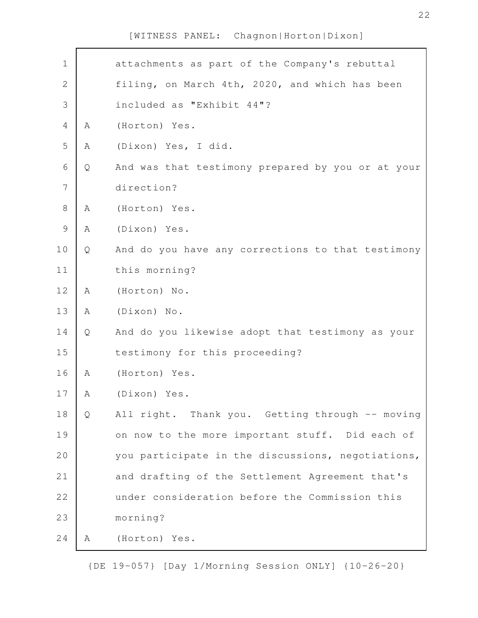| $\mathbf 1$    |   | attachments as part of the Company's rebuttal     |
|----------------|---|---------------------------------------------------|
| $\mathbf{2}$   |   | filing, on March 4th, 2020, and which has been    |
| 3              |   | included as "Exhibit 44"?                         |
| $\overline{4}$ | Α | (Horton) Yes.                                     |
| 5              | Α | (Dixon) Yes, I did.                               |
| 6              | Q | And was that testimony prepared by you or at your |
| $\overline{7}$ |   | direction?                                        |
| $8\,$          | A | (Horton) Yes.                                     |
| $\mathcal{G}$  | Α | (Dixon) Yes.                                      |
| 10             | Q | And do you have any corrections to that testimony |
| 11             |   | this morning?                                     |
| 12             | A | (Horton) No.                                      |
| 13             | Α | (Dixon) No.                                       |
| 14             | Q | And do you likewise adopt that testimony as your  |
| 15             |   | testimony for this proceeding?                    |
| 16             | Α | (Horton) Yes.                                     |
| 17             | Α | (Dixon) Yes.                                      |
| 18             | Q | All right. Thank you. Getting through -- moving   |
| 19             |   | on now to the more important stuff. Did each of   |
| 20             |   | you participate in the discussions, negotiations, |
| 21             |   | and drafting of the Settlement Agreement that's   |
| 22             |   | under consideration before the Commission this    |
| 23             |   | morning?                                          |
| 24             | Α | (Horton) Yes.                                     |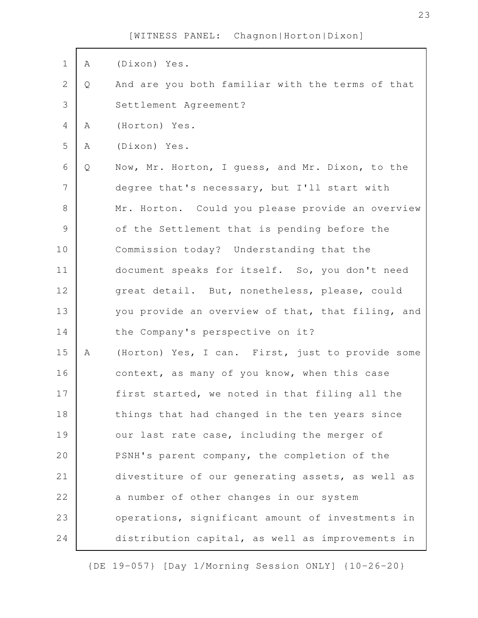| $\mathbf 1$    | Α | (Dixon) Yes.                                      |
|----------------|---|---------------------------------------------------|
| $\mathbf{2}$   | Q | And are you both familiar with the terms of that  |
| 3              |   | Settlement Agreement?                             |
| 4              | Α | (Horton) Yes.                                     |
| 5              | Α | (Dixon) Yes.                                      |
| 6              | Q | Now, Mr. Horton, I guess, and Mr. Dixon, to the   |
| $\overline{7}$ |   | degree that's necessary, but I'll start with      |
| $8\,$          |   | Mr. Horton. Could you please provide an overview  |
| $\mathcal{G}$  |   | of the Settlement that is pending before the      |
| 10             |   | Commission today? Understanding that the          |
| 11             |   | document speaks for itself. So, you don't need    |
| 12             |   | great detail. But, nonetheless, please, could     |
| 13             |   | you provide an overview of that, that filing, and |
| 14             |   | the Company's perspective on it?                  |
| 15             | Α | (Horton) Yes, I can. First, just to provide some  |
| 16             |   | context, as many of you know, when this case      |
| 17             |   | first started, we noted in that filing all the    |
| 18             |   | things that had changed in the ten years since    |
| 19             |   | our last rate case, including the merger of       |
| 20             |   | PSNH's parent company, the completion of the      |
| 21             |   | divestiture of our generating assets, as well as  |
| 22             |   | a number of other changes in our system           |
| 23             |   | operations, significant amount of investments in  |
| 24             |   | distribution capital, as well as improvements in  |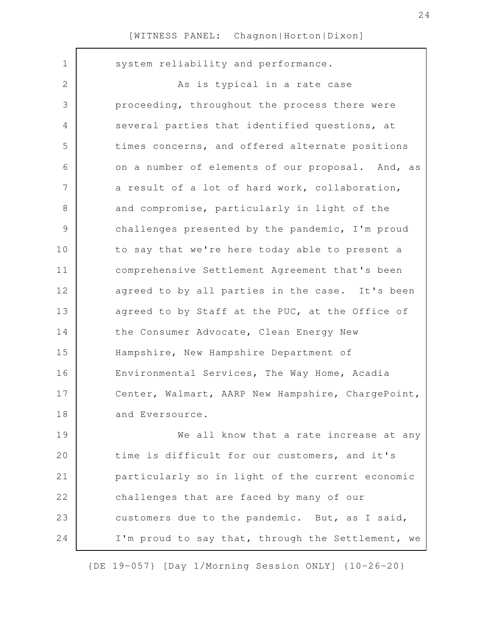$\Gamma$ 

| $\mathbf 1$   | system reliability and performance.               |
|---------------|---------------------------------------------------|
| 2             | As is typical in a rate case                      |
| 3             | proceeding, throughout the process there were     |
| 4             | several parties that identified questions, at     |
| 5             | times concerns, and offered alternate positions   |
| 6             | on a number of elements of our proposal. And, as  |
| 7             | a result of a lot of hard work, collaboration,    |
| 8             | and compromise, particularly in light of the      |
| $\mathcal{G}$ | challenges presented by the pandemic, I'm proud   |
| 10            | to say that we're here today able to present a    |
| 11            | comprehensive Settlement Agreement that's been    |
| 12            | agreed to by all parties in the case. It's been   |
| 13            | agreed to by Staff at the PUC, at the Office of   |
| 14            | the Consumer Advocate, Clean Energy New           |
| 15            | Hampshire, New Hampshire Department of            |
| 16            | Environmental Services, The Way Home, Acadia      |
| 17            | Center, Walmart, AARP New Hampshire, ChargePoint, |
| 18            | and Eversource.                                   |
| 19            | We all know that a rate increase at any           |
| 20            | time is difficult for our customers, and it's     |
| 21            | particularly so in light of the current economic  |
| 22            | challenges that are faced by many of our          |
| 23            | customers due to the pandemic. But, as I said,    |
| 24            | I'm proud to say that, through the Settlement, we |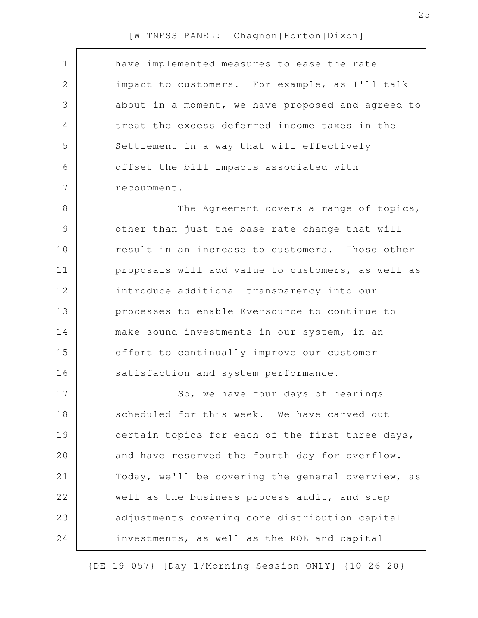| have implemented measures to ease the rate        |
|---------------------------------------------------|
| impact to customers. For example, as I'll talk    |
| about in a moment, we have proposed and agreed to |
| treat the excess deferred income taxes in the     |
| Settlement in a way that will effectively         |
| offset the bill impacts associated with           |
| recoupment.                                       |
| The Agreement covers a range of topics,           |
| other than just the base rate change that will    |
| result in an increase to customers. Those other   |
| proposals will add value to customers, as well as |
| introduce additional transparency into our        |
| processes to enable Eversource to continue to     |
| make sound investments in our system, in an       |
| effort to continually improve our customer        |
| satisfaction and system performance.              |
| So, we have four days of hearings                 |
| scheduled for this week. We have carved out       |
| certain topics for each of the first three days,  |
| and have reserved the fourth day for overflow.    |
| Today, we'll be covering the general overview, as |
| well as the business process audit, and step      |
| adjustments covering core distribution capital    |
| investments, as well as the ROE and capital       |
|                                                   |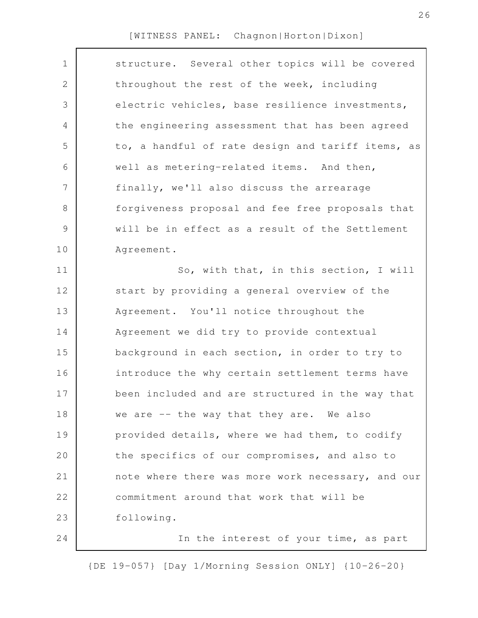| $\mathbf 1$    | structure. Several other topics will be covered   |
|----------------|---------------------------------------------------|
| $\mathbf{2}$   | throughout the rest of the week, including        |
| 3              | electric vehicles, base resilience investments,   |
| $\overline{4}$ | the engineering assessment that has been agreed   |
| 5              | to, a handful of rate design and tariff items, as |
| 6              | well as metering-related items. And then,         |
| 7              | finally, we'll also discuss the arrearage         |
| $8\,$          | forgiveness proposal and fee free proposals that  |
| $\mathcal{G}$  | will be in effect as a result of the Settlement   |
| 10             | Agreement.                                        |
| 11             | So, with that, in this section, I will            |
| 12             | start by providing a general overview of the      |
| 13             | Agreement. You'll notice throughout the           |
| 14             | Agreement we did try to provide contextual        |
| 15             | background in each section, in order to try to    |
| 16             | introduce the why certain settlement terms have   |
| 17             | been included and are structured in the way that  |
| 18             | we are -- the way that they are. We also          |
| 19             | provided details, where we had them, to codify    |
| 20             | the specifics of our compromises, and also to     |
| 21             | note where there was more work necessary, and our |
| 22             | commitment around that work that will be          |
| 23             | following.                                        |
| 24             | In the interest of your time, as part             |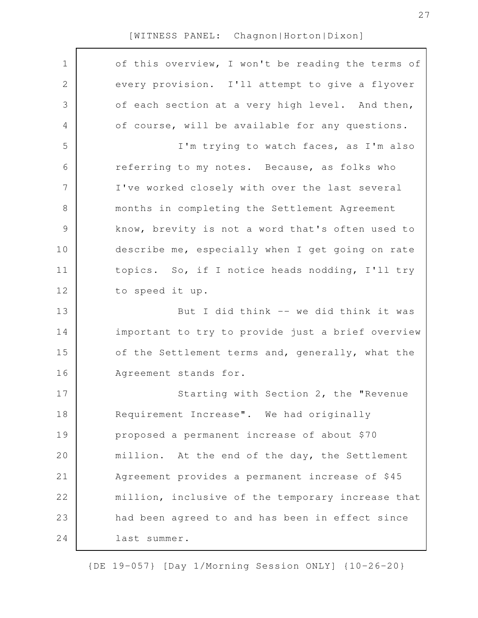| $\mathbf 1$    | of this overview, I won't be reading the terms of |
|----------------|---------------------------------------------------|
| $\mathbf{2}$   | every provision. I'll attempt to give a flyover   |
| 3              | of each section at a very high level. And then,   |
| $\overline{4}$ | of course, will be available for any questions.   |
| 5              | I'm trying to watch faces, as I'm also            |
| 6              | referring to my notes. Because, as folks who      |
| $\overline{7}$ | I've worked closely with over the last several    |
| $\,8\,$        | months in completing the Settlement Agreement     |
| $\mathcal{G}$  | know, brevity is not a word that's often used to  |
| 10             | describe me, especially when I get going on rate  |
| 11             | topics. So, if I notice heads nodding, I'll try   |
| 12             | to speed it up.                                   |
| 13             | But I did think -- we did think it was            |
| 14             | important to try to provide just a brief overview |
| 15             | of the Settlement terms and, generally, what the  |
| 16             | Agreement stands for.                             |
| 17             | Starting with Section 2, the "Revenue             |
| 18             | Requirement Increase". We had originally          |
| 19             | proposed a permanent increase of about \$70       |
| 20             | million. At the end of the day, the Settlement    |
| 21             | Agreement provides a permanent increase of \$45   |
| 22             | million, inclusive of the temporary increase that |
| 23             | had been agreed to and has been in effect since   |
| 24             | last summer.                                      |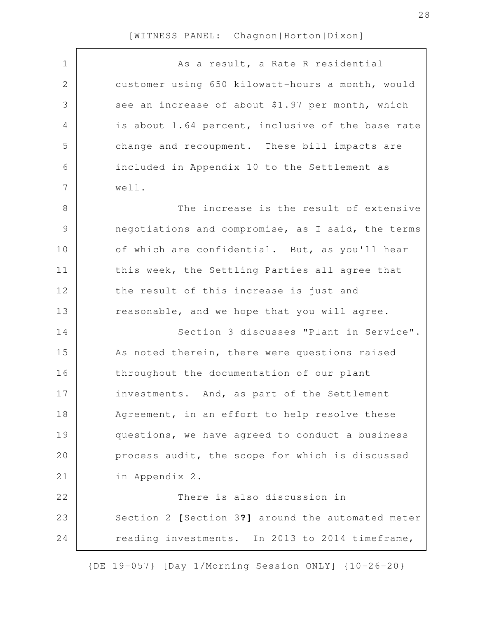| $\mathbf 1$    | As a result, a Rate R residential                 |
|----------------|---------------------------------------------------|
| $\mathbf{2}$   | customer using 650 kilowatt-hours a month, would  |
| 3              | see an increase of about \$1.97 per month, which  |
| $\overline{4}$ | is about 1.64 percent, inclusive of the base rate |
| 5              | change and recoupment. These bill impacts are     |
| 6              | included in Appendix 10 to the Settlement as      |
| 7              | well.                                             |
| $\,8\,$        | The increase is the result of extensive           |
| $\mathcal{G}$  | negotiations and compromise, as I said, the terms |
| 10             | of which are confidential. But, as you'll hear    |
| 11             | this week, the Settling Parties all agree that    |
| 12             | the result of this increase is just and           |
| 13             | reasonable, and we hope that you will agree.      |
| 14             | Section 3 discusses "Plant in Service".           |
| 15             | As noted therein, there were questions raised     |
| 16             | throughout the documentation of our plant         |
| 17             | investments. And, as part of the Settlement       |
| 18             | Agreement, in an effort to help resolve these     |
| 19             | questions, we have agreed to conduct a business   |
| 20             | process audit, the scope for which is discussed   |
| 21             | in Appendix 2.                                    |
| 22             | There is also discussion in                       |
| 23             | Section 2 [Section 3?] around the automated meter |
| 24             | reading investments. In 2013 to 2014 timeframe,   |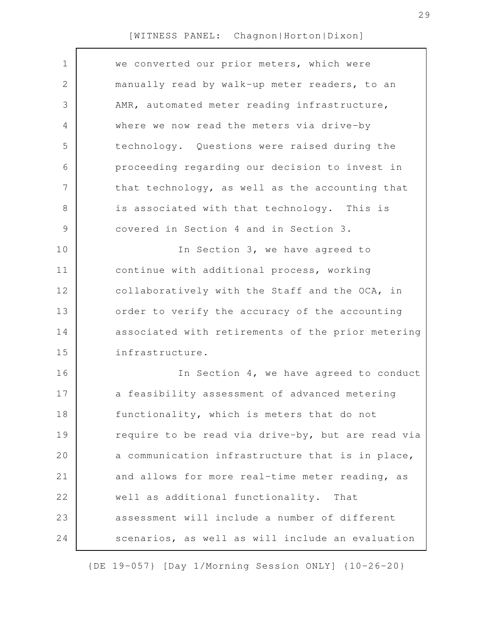| 1             | we converted our prior meters, which were         |
|---------------|---------------------------------------------------|
| 2             | manually read by walk-up meter readers, to an     |
| 3             | AMR, automated meter reading infrastructure,      |
| 4             | where we now read the meters via drive-by         |
| 5             | technology. Questions were raised during the      |
| 6             | proceeding regarding our decision to invest in    |
| 7             | that technology, as well as the accounting that   |
| 8             | is associated with that technology. This is       |
| $\mathcal{G}$ | covered in Section 4 and in Section 3.            |
| 10            | In Section 3, we have agreed to                   |
| 11            | continue with additional process, working         |
| 12            | collaboratively with the Staff and the OCA, in    |
| 13            | order to verify the accuracy of the accounting    |
| 14            | associated with retirements of the prior metering |
| 15            | infrastructure.                                   |
| 16            | In Section 4, we have agreed to conduct           |
| 17            | a feasibility assessment of advanced metering     |
| 18            | functionality, which is meters that do not        |
| 19            | require to be read via drive-by, but are read via |
| 20            | a communication infrastructure that is in place,  |
| 21            | and allows for more real-time meter reading, as   |
| 22            | well as additional functionality.<br>That         |
| 23            | assessment will include a number of different     |
| 24            | scenarios, as well as will include an evaluation  |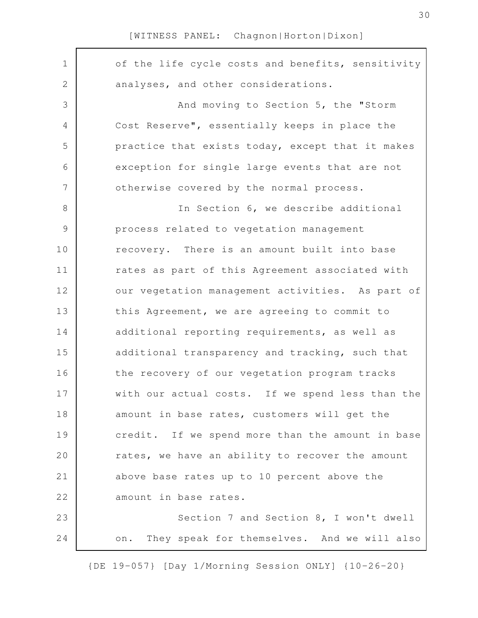| $\mathbf 1$    | of the life cycle costs and benefits, sensitivity  |
|----------------|----------------------------------------------------|
| $\mathbf{2}$   | analyses, and other considerations.                |
| 3              | And moving to Section 5, the "Storm                |
| 4              | Cost Reserve", essentially keeps in place the      |
| 5              | practice that exists today, except that it makes   |
| 6              | exception for single large events that are not     |
| $\overline{7}$ | otherwise covered by the normal process.           |
| 8              | In Section 6, we describe additional               |
| $\mathcal{G}$  | process related to vegetation management           |
| 10             | recovery. There is an amount built into base       |
| 11             | rates as part of this Agreement associated with    |
| 12             | our vegetation management activities. As part of   |
| 13             | this Agreement, we are agreeing to commit to       |
| 14             | additional reporting requirements, as well as      |
| 15             | additional transparency and tracking, such that    |
| 16             | the recovery of our vegetation program tracks      |
| 17             | with our actual costs. If we spend less than the   |
| 18             | amount in base rates, customers will get the       |
| 19             | credit. If we spend more than the amount in base   |
| 20             | rates, we have an ability to recover the amount    |
| 21             | above base rates up to 10 percent above the        |
| 22             | amount in base rates.                              |
| 23             | Section 7 and Section 8, I won't dwell             |
| 24             | They speak for themselves. And we will also<br>on. |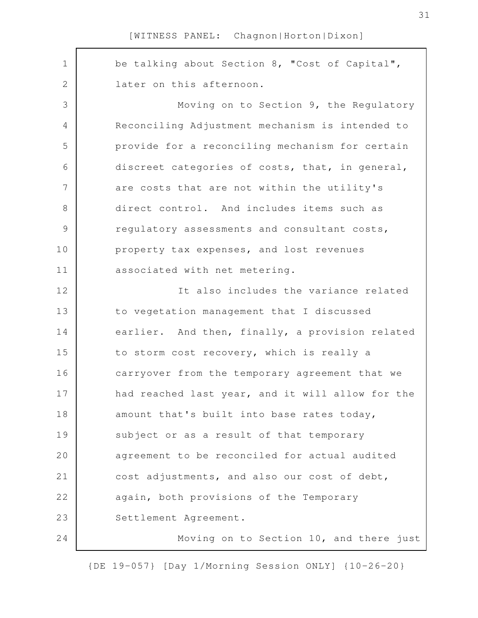be talking about Section 8, "Cost of Capital", later on this afternoon. Moving on to Section 9, the Regulatory Reconciling Adjustment mechanism is intended to provide for a reconciling mechanism for certain discreet categories of costs, that, in general, are costs that are not within the utility's direct control. And includes items such as regulatory assessments and consultant costs, property tax expenses, and lost revenues associated with net metering. It also includes the variance related to vegetation management that I discussed earlier. And then, finally, a provision related to storm cost recovery, which is really a carryover from the temporary agreement that we had reached last year, and it will allow for the amount that's built into base rates today, subject or as a result of that temporary agreement to be reconciled for actual audited cost adjustments, and also our cost of debt, again, both provisions of the Temporary Settlement Agreement. Moving on to Section 10, and there just 1 2 3 4 5 6 7 8 9 10 11 12 13 14 15 16 17 18 19 20 21 22 23 24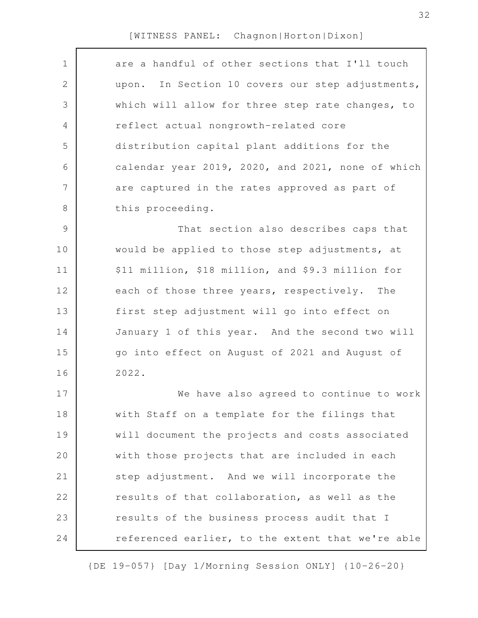| $\mathbf 1$    | are a handful of other sections that I'll touch   |
|----------------|---------------------------------------------------|
| $\mathbf{2}$   | upon. In Section 10 covers our step adjustments,  |
| 3              | which will allow for three step rate changes, to  |
| 4              | reflect actual nongrowth-related core             |
| 5              | distribution capital plant additions for the      |
| 6              | calendar year 2019, 2020, and 2021, none of which |
| $\overline{7}$ | are captured in the rates approved as part of     |
| 8              | this proceeding.                                  |
| $\mathcal{G}$  | That section also describes caps that             |
| 10             | would be applied to those step adjustments, at    |
| 11             | \$11 million, \$18 million, and \$9.3 million for |
| 12             | each of those three years, respectively.<br>The   |
| 13             | first step adjustment will go into effect on      |
| 14             | January 1 of this year. And the second two will   |
| 15             | go into effect on August of 2021 and August of    |
| 16             | 2022.                                             |
| 17             | We have also agreed to continue to work           |
| 18             | with Staff on a template for the filings that     |
| 19             | will document the projects and costs associated   |
| 20             | with those projects that are included in each     |
| 21             | step adjustment. And we will incorporate the      |
| 22             | results of that collaboration, as well as the     |
| 23             | results of the business process audit that I      |
| 24             | referenced earlier, to the extent that we're able |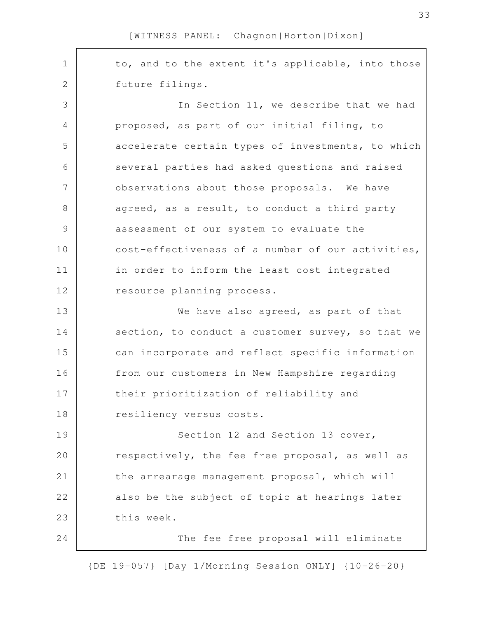to, and to the extent it's applicable, into those future filings. In Section 11, we describe that we had proposed, as part of our initial filing, to accelerate certain types of investments, to which several parties had asked questions and raised observations about those proposals. We have agreed, as a result, to conduct a third party assessment of our system to evaluate the cost-effectiveness of a number of our activities, in order to inform the least cost integrated resource planning process. We have also agreed, as part of that section, to conduct a customer survey, so that we can incorporate and reflect specific information from our customers in New Hampshire regarding their prioritization of reliability and resiliency versus costs. Section 12 and Section 13 cover, respectively, the fee free proposal, as well as the arrearage management proposal, which will also be the subject of topic at hearings later this week. The fee free proposal will eliminate 1 2 3 4 5 6 7 8 9 10 11 12 13 14 15 16 17 18 19 20 21 22 23 24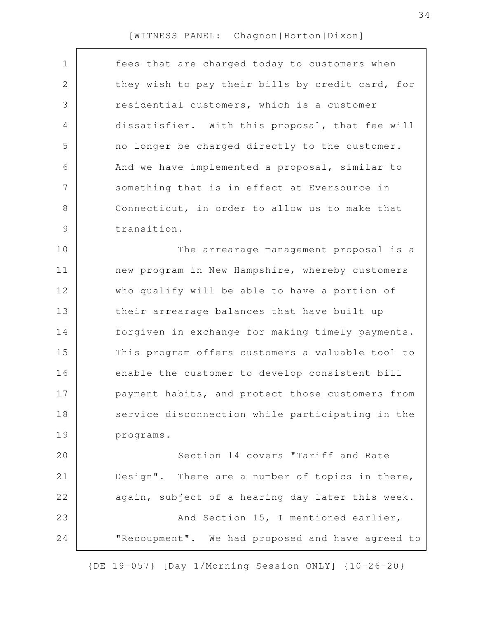| 1              | fees that are charged today to customers when    |
|----------------|--------------------------------------------------|
| $\mathbf{2}$   | they wish to pay their bills by credit card, for |
| 3              | residential customers, which is a customer       |
| $\overline{4}$ | dissatisfier. With this proposal, that fee will  |
| 5              | no longer be charged directly to the customer.   |
| 6              | And we have implemented a proposal, similar to   |
| $\overline{7}$ | something that is in effect at Eversource in     |
| $8\,$          | Connecticut, in order to allow us to make that   |
| $\mathcal{G}$  | transition.                                      |
| 10             | The arrearage management proposal is a           |
| 11             | new program in New Hampshire, whereby customers  |
| 12             | who qualify will be able to have a portion of    |
| 13             | their arrearage balances that have built up      |
| 14             | forgiven in exchange for making timely payments. |
| 15             | This program offers customers a valuable tool to |
| 16             | enable the customer to develop consistent bill   |
| 17             | payment habits, and protect those customers from |
| 18             | service disconnection while participating in the |
| 19             | programs.                                        |
| 20             | Section 14 covers "Tariff and Rate               |
| 21             | Design". There are a number of topics in there,  |
| 22             | again, subject of a hearing day later this week. |
| 23             | And Section 15, I mentioned earlier,             |
| 24             | "Recoupment". We had proposed and have agreed to |
|                |                                                  |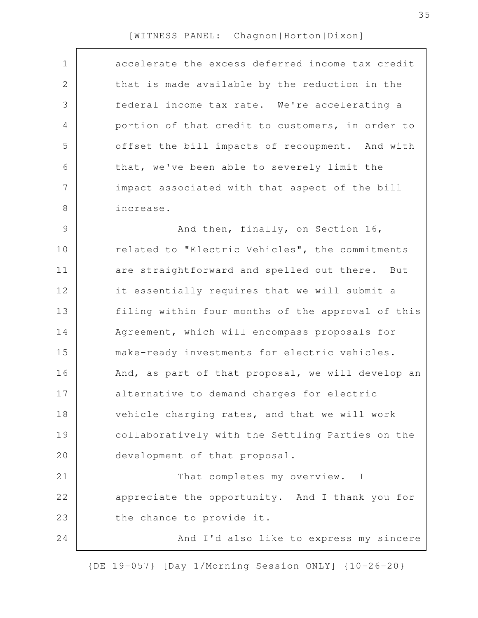| $\mathbf 1$   | accelerate the excess deferred income tax credit  |
|---------------|---------------------------------------------------|
| 2             | that is made available by the reduction in the    |
| 3             | federal income tax rate. We're accelerating a     |
| 4             | portion of that credit to customers, in order to  |
| 5             | offset the bill impacts of recoupment. And with   |
| 6             | that, we've been able to severely limit the       |
| 7             | impact associated with that aspect of the bill    |
| 8             | increase.                                         |
| $\mathcal{G}$ | And then, finally, on Section 16,                 |
| 10            | related to "Electric Vehicles", the commitments   |
| 11            | are straightforward and spelled out there. But    |
| 12            | it essentially requires that we will submit a     |
| 13            | filing within four months of the approval of this |
| 14            | Agreement, which will encompass proposals for     |
| 15            | make-ready investments for electric vehicles.     |
| 16            | And, as part of that proposal, we will develop an |
| 17            | alternative to demand charges for electric        |
| 18            | vehicle charging rates, and that we will work     |
| 19            | collaboratively with the Settling Parties on the  |
| 20            | development of that proposal.                     |
| 21            | That completes my overview. I                     |
| 22            | appreciate the opportunity. And I thank you for   |
| 23            | the chance to provide it.                         |
| 24            | And I'd also like to express my sincere           |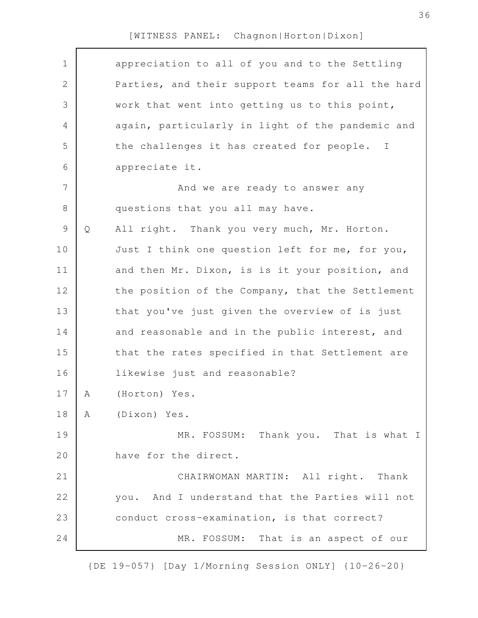| $\mathbf 1$    |              | appreciation to all of you and to the Settling    |
|----------------|--------------|---------------------------------------------------|
| $\mathbf{2}$   |              | Parties, and their support teams for all the hard |
| 3              |              | work that went into getting us to this point,     |
| 4              |              | again, particularly in light of the pandemic and  |
| 5              |              | the challenges it has created for people. I       |
| 6              |              | appreciate it.                                    |
| $\overline{7}$ |              | And we are ready to answer any                    |
| $\,8\,$        |              | questions that you all may have.                  |
| $\mathcal{G}$  | $\mathsf{Q}$ | All right. Thank you very much, Mr. Horton.       |
| 10             |              | Just I think one question left for me, for you,   |
| 11             |              | and then Mr. Dixon, is is it your position, and   |
| 12             |              | the position of the Company, that the Settlement  |
| 13             |              | that you've just given the overview of is just    |
| 14             |              | and reasonable and in the public interest, and    |
| 15             |              | that the rates specified in that Settlement are   |
| 16             |              | likewise just and reasonable?                     |
| 17             | А            | (Horton) Yes.                                     |
| 18             | A            | (Dixon) Yes.                                      |
| 19             |              | MR. FOSSUM: Thank you. That is what I             |
| 20             |              | have for the direct.                              |
| 21             |              | CHAIRWOMAN MARTIN: All right. Thank               |
| 22             |              | you. And I understand that the Parties will not   |
| 23             |              | conduct cross-examination, is that correct?       |
| 24             |              | MR. FOSSUM: That is an aspect of our              |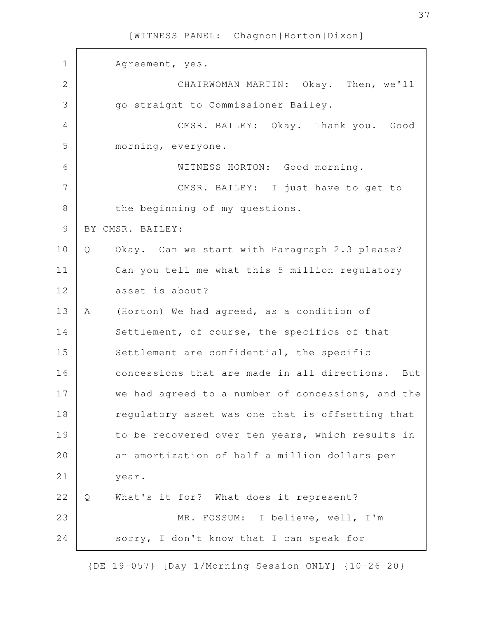Agreement, yes. CHAIRWOMAN MARTIN: Okay. Then, we'll go straight to Commissioner Bailey. CMSR. BAILEY: Okay. Thank you. Good morning, everyone. WITNESS HORTON: Good morning. CMSR. BAILEY: I just have to get to the beginning of my questions. BY CMSR. BAILEY: Q Okay. Can we start with Paragraph 2.3 please? Can you tell me what this 5 million regulatory asset is about? A (Horton) We had agreed, as a condition of Settlement, of course, the specifics of that Settlement are confidential, the specific concessions that are made in all directions. But we had agreed to a number of concessions, and the regulatory asset was one that is offsetting that to be recovered over ten years, which results in an amortization of half a million dollars per year. Q What's it for? What does it represent? MR. FOSSUM: I believe, well, I'm sorry, I don't know that I can speak for 1 2 3 4 5 6 7 8 9 10 11 12 13 14 15 16 17 18 19 20 21 22 23 24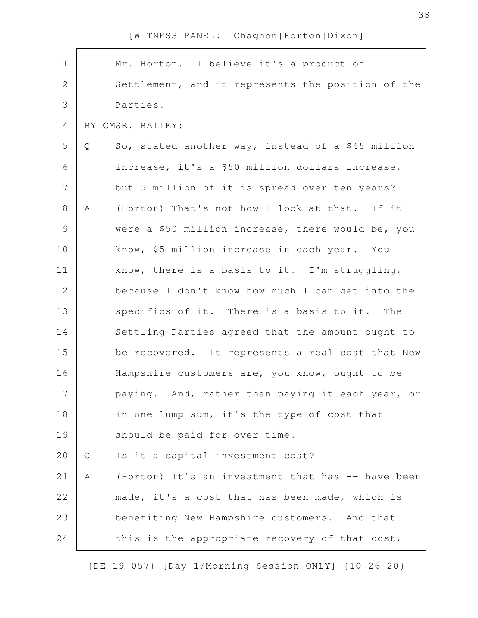| $\mathbf 1$    |   | Mr. Horton. I believe it's a product of           |
|----------------|---|---------------------------------------------------|
| $\overline{2}$ |   | Settlement, and it represents the position of the |
| 3              |   | Parties.                                          |
| $\overline{4}$ |   | BY CMSR. BAILEY:                                  |
| 5              | Q | So, stated another way, instead of a \$45 million |
| 6              |   | increase, it's a \$50 million dollars increase,   |
| $\overline{7}$ |   | but 5 million of it is spread over ten years?     |
| $8\,$          | A | (Horton) That's not how I look at that. If it     |
| $\mathcal{G}$  |   | were a \$50 million increase, there would be, you |
| 10             |   | know, \$5 million increase in each year. You      |
| 11             |   | know, there is a basis to it. I'm struggling,     |
| 12             |   | because I don't know how much I can get into the  |
| 13             |   | specifics of it. There is a basis to it. The      |
| 14             |   | Settling Parties agreed that the amount ought to  |
| 15             |   | be recovered. It represents a real cost that New  |
| 16             |   | Hampshire customers are, you know, ought to be    |
| 17             |   | paying. And, rather than paying it each year, or  |
| 18             |   | in one lump sum, it's the type of cost that       |
| 19             |   | should be paid for over time.                     |
| 20             | Q | Is it a capital investment cost?                  |
| 21             | Α | (Horton) It's an investment that has -- have been |
| 22             |   | made, it's a cost that has been made, which is    |
| 23             |   | benefiting New Hampshire customers. And that      |
| 24             |   | this is the appropriate recovery of that cost,    |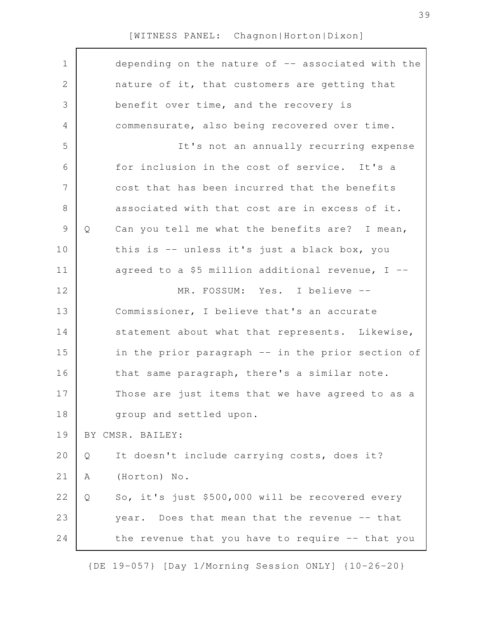| $\mathbf 1$    | depending on the nature of $-$ associated with the   |
|----------------|------------------------------------------------------|
| $\mathbf{2}$   | nature of it, that customers are getting that        |
| $\mathfrak{Z}$ | benefit over time, and the recovery is               |
| 4              | commensurate, also being recovered over time.        |
| 5              | It's not an annually recurring expense               |
| 6              | for inclusion in the cost of service. It's a         |
| $\overline{7}$ | cost that has been incurred that the benefits        |
| 8              | associated with that cost are in excess of it.       |
| $\mathsf 9$    | Can you tell me what the benefits are? I mean,<br>Q  |
| 10             | this is -- unless it's just a black box, you         |
| 11             | agreed to a \$5 million additional revenue, I --     |
| 12             | MR. FOSSUM: Yes. I believe --                        |
| 13             | Commissioner, I believe that's an accurate           |
| 14             | statement about what that represents. Likewise,      |
| 15             | in the prior paragraph -- in the prior section of    |
| 16             | that same paragraph, there's a similar note.         |
| 17             | Those are just items that we have agreed to as a     |
| 18             | group and settled upon.                              |
| 19             | BY CMSR. BAILEY:                                     |
| 20             | It doesn't include carrying costs, does it?<br>Q     |
| 21             | (Horton) No.<br>Α                                    |
| 22             | So, it's just \$500,000 will be recovered every<br>Q |
| 23             | year. Does that mean that the revenue -- that        |
| 24             | the revenue that you have to require -- that you     |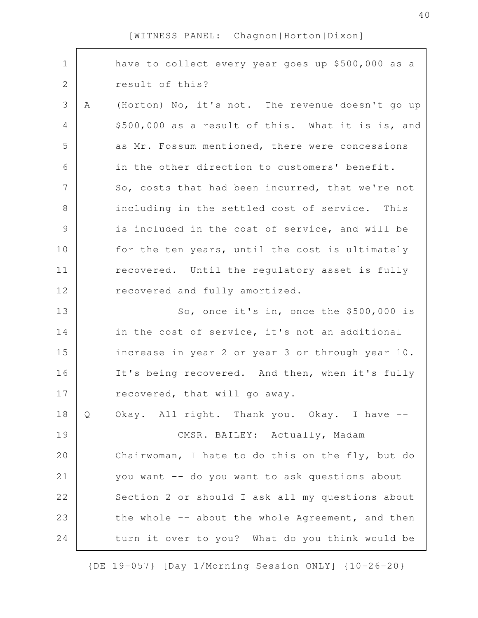| $\mathbf 1$   |   | have to collect every year goes up \$500,000 as a |
|---------------|---|---------------------------------------------------|
| $\mathbf{2}$  |   | result of this?                                   |
| 3             | A | (Horton) No, it's not. The revenue doesn't go up  |
| 4             |   | \$500,000 as a result of this. What it is is, and |
| 5             |   | as Mr. Fossum mentioned, there were concessions   |
| 6             |   | in the other direction to customers' benefit.     |
| 7             |   | So, costs that had been incurred, that we're not  |
| $8\,$         |   | including in the settled cost of service. This    |
| $\mathcal{G}$ |   | is included in the cost of service, and will be   |
| 10            |   | for the ten years, until the cost is ultimately   |
| 11            |   | recovered. Until the regulatory asset is fully    |
| 12            |   | recovered and fully amortized.                    |
| 13            |   | So, once it's in, once the \$500,000 is           |
| 14            |   | in the cost of service, it's not an additional    |
| 15            |   | increase in year 2 or year 3 or through year 10.  |
| 16            |   | It's being recovered. And then, when it's fully   |
| 17            |   | recovered, that will go away.                     |
| 18            | Q | Okay. All right. Thank you. Okay. I have --       |
| 19            |   | CMSR. BAILEY: Actually, Madam                     |
| 20            |   | Chairwoman, I hate to do this on the fly, but do  |
| 21            |   | you want -- do you want to ask questions about    |
| 22            |   | Section 2 or should I ask all my questions about  |
| 23            |   | the whole -- about the whole Agreement, and then  |
| 24            |   | turn it over to you? What do you think would be   |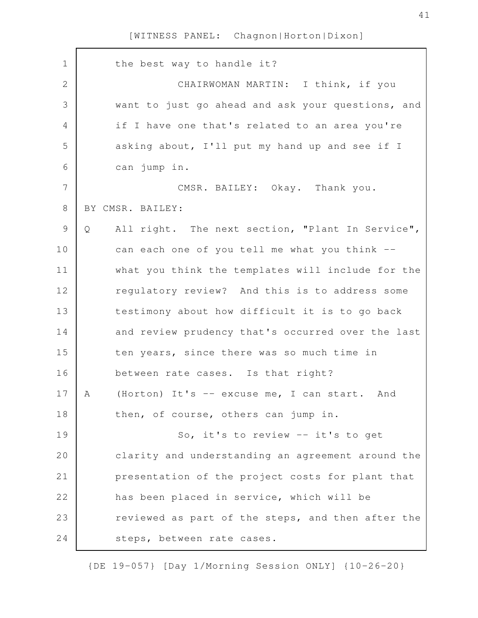| $\mathbf 1$   | the best way to handle it?                            |
|---------------|-------------------------------------------------------|
| $\mathbf{2}$  | CHAIRWOMAN MARTIN: I think, if you                    |
| 3             | want to just go ahead and ask your questions, and     |
| 4             | if I have one that's related to an area you're        |
| 5             | asking about, I'll put my hand up and see if I        |
| 6             | can jump in.                                          |
| 7             | CMSR. BAILEY: Okay. Thank you.                        |
| 8             | BY CMSR. BAILEY:                                      |
| $\mathcal{G}$ | Q<br>All right. The next section, "Plant In Service", |
| 10            | can each one of you tell me what you think --         |
| 11            | what you think the templates will include for the     |
| 12            | requlatory review? And this is to address some        |
| 13            | testimony about how difficult it is to go back        |
| 14            | and review prudency that's occurred over the last     |
| 15            | ten years, since there was so much time in            |
| 16            | between rate cases. Is that right?                    |
| 17            | (Horton) It's -- excuse me, I can start. And<br>A     |
| 18            | then, of course, others can jump in.                  |
| 19            | So, it's to review -- it's to get                     |
| 20            | clarity and understanding an agreement around the     |
| 21            | presentation of the project costs for plant that      |
| 22            | has been placed in service, which will be             |
| 23            | reviewed as part of the steps, and then after the     |
| 24            | steps, between rate cases.                            |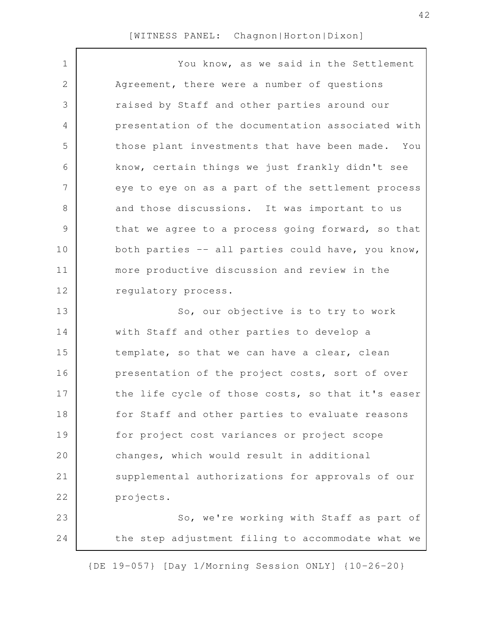| $\mathbf 1$  | You know, as we said in the Settlement            |
|--------------|---------------------------------------------------|
| $\mathbf{2}$ | Agreement, there were a number of questions       |
| 3            | raised by Staff and other parties around our      |
| 4            | presentation of the documentation associated with |
| 5            | those plant investments that have been made. You  |
| 6            | know, certain things we just frankly didn't see   |
| 7            | eye to eye on as a part of the settlement process |
| 8            | and those discussions. It was important to us     |
| $\mathsf 9$  | that we agree to a process going forward, so that |
| 10           | both parties -- all parties could have, you know, |
| 11           | more productive discussion and review in the      |
| 12           | regulatory process.                               |
| 13           | So, our objective is to try to work               |
| 14           | with Staff and other parties to develop a         |
| 15           | template, so that we can have a clear, clean      |
| 16           | presentation of the project costs, sort of over   |
| 17           | the life cycle of those costs, so that it's easer |
| 18           | for Staff and other parties to evaluate reasons   |
| 19           | for project cost variances or project scope       |
| 20           | changes, which would result in additional         |
| 21           | supplemental authorizations for approvals of our  |
| 22           | projects.                                         |
| 23           | So, we're working with Staff as part of           |
| 24           | the step adjustment filing to accommodate what we |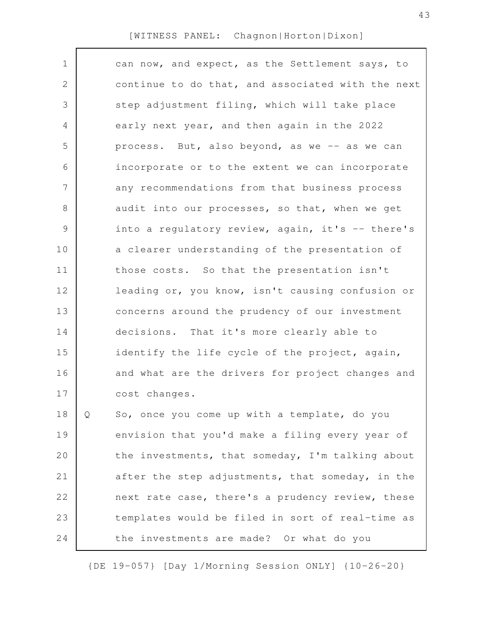| $\mathbf 1$    |   | can now, and expect, as the Settlement says, to   |
|----------------|---|---------------------------------------------------|
| $\mathbf 2$    |   | continue to do that, and associated with the next |
| 3              |   | step adjustment filing, which will take place     |
| 4              |   | early next year, and then again in the 2022       |
| 5              |   | process. But, also beyond, as we -- as we can     |
| 6              |   | incorporate or to the extent we can incorporate   |
| $\overline{7}$ |   | any recommendations from that business process    |
| 8              |   | audit into our processes, so that, when we get    |
| 9              |   | into a regulatory review, again, it's -- there's  |
| 10             |   | a clearer understanding of the presentation of    |
| 11             |   | those costs. So that the presentation isn't       |
| 12             |   | leading or, you know, isn't causing confusion or  |
| 13             |   | concerns around the prudency of our investment    |
| 14             |   | decisions. That it's more clearly able to         |
| 15             |   | identify the life cycle of the project, again,    |
| 16             |   | and what are the drivers for project changes and  |
| 17             |   | cost changes.                                     |
| 18             | Q | So, once you come up with a template, do you      |
| 19             |   | envision that you'd make a filing every year of   |
| 20             |   | the investments, that someday, I'm talking about  |
| 21             |   | after the step adjustments, that someday, in the  |
| 22             |   | next rate case, there's a prudency review, these  |
| 23             |   | templates would be filed in sort of real-time as  |
| 24             |   | the investments are made? Or what do you          |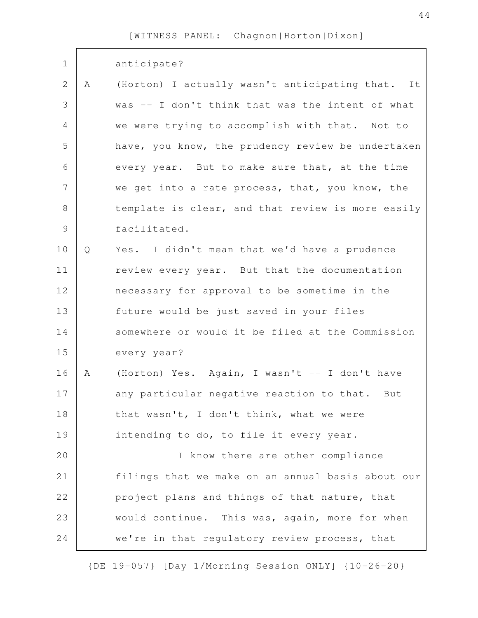| $1\,$          |   | anticipate?                                       |
|----------------|---|---------------------------------------------------|
| $\mathbf{2}$   | A | (Horton) I actually wasn't anticipating that. It  |
| 3              |   | was -- I don't think that was the intent of what  |
| $\overline{4}$ |   | we were trying to accomplish with that. Not to    |
| 5              |   | have, you know, the prudency review be undertaken |
| 6              |   | every year. But to make sure that, at the time    |
| $\overline{7}$ |   | we get into a rate process, that, you know, the   |
| $\,8\,$        |   | template is clear, and that review is more easily |
| $\mathcal{G}$  |   | facilitated.                                      |
| 10             | Q | Yes. I didn't mean that we'd have a prudence      |
| 11             |   | review every year. But that the documentation     |
| 12             |   | necessary for approval to be sometime in the      |
| 13             |   | future would be just saved in your files          |
| 14             |   | somewhere or would it be filed at the Commission  |
| 15             |   | every year?                                       |
| 16             | A | (Horton) Yes. Again, I wasn't -- I don't have     |
| 17             |   | any particular negative reaction to that.<br>But  |
| 18             |   | that wasn't, I don't think, what we were          |
| 19             |   | intending to do, to file it every year.           |
| 20             |   | I know there are other compliance                 |
| 21             |   | filings that we make on an annual basis about our |
| 22             |   | project plans and things of that nature, that     |
| 23             |   | would continue. This was, again, more for when    |
| 24             |   | we're in that regulatory review process, that     |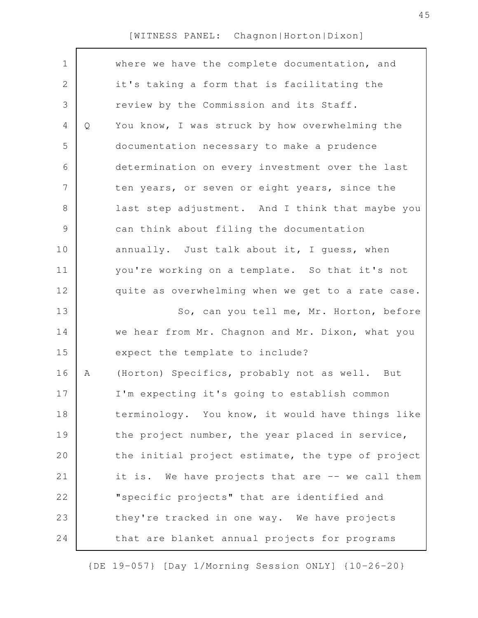| $\mathbf 1$    |   | where we have the complete documentation, and     |
|----------------|---|---------------------------------------------------|
| $\overline{2}$ |   | it's taking a form that is facilitating the       |
| 3              |   | review by the Commission and its Staff.           |
| 4              | Q | You know, I was struck by how overwhelming the    |
| 5              |   | documentation necessary to make a prudence        |
| 6              |   | determination on every investment over the last   |
| $\overline{7}$ |   | ten years, or seven or eight years, since the     |
| 8              |   | last step adjustment. And I think that maybe you  |
| $\mathsf 9$    |   | can think about filing the documentation          |
| 10             |   | annually. Just talk about it, I guess, when       |
| 11             |   | you're working on a template. So that it's not    |
| 12             |   | quite as overwhelming when we get to a rate case. |
| 13             |   | So, can you tell me, Mr. Horton, before           |
| 14             |   | we hear from Mr. Chagnon and Mr. Dixon, what you  |
| 15             |   | expect the template to include?                   |
| 16             | Α | (Horton) Specifics, probably not as well. But     |
| 17             |   | I'm expecting it's going to establish common      |
| 18             |   | terminology. You know, it would have things like  |
| 19             |   | the project number, the year placed in service,   |
| 20             |   | the initial project estimate, the type of project |
| 21             |   | it is. We have projects that are -- we call them  |
| 22             |   | "specific projects" that are identified and       |
| 23             |   | they're tracked in one way. We have projects      |
| 24             |   | that are blanket annual projects for programs     |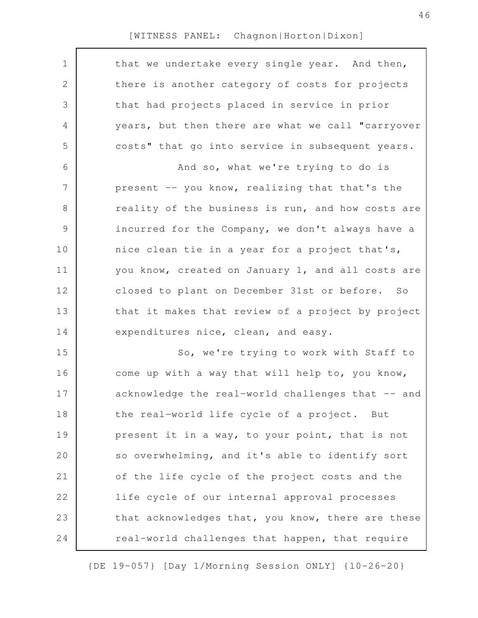| $\mathbf 1$ | that we undertake every single year. And then,    |
|-------------|---------------------------------------------------|
| 2           | there is another category of costs for projects   |
| 3           | that had projects placed in service in prior      |
| 4           | years, but then there are what we call "carryover |
| 5           | costs" that go into service in subsequent years.  |
| 6           | And so, what we're trying to do is                |
| 7           | present -- you know, realizing that that's the    |
| 8           | reality of the business is run, and how costs are |
| 9           | incurred for the Company, we don't always have a  |
| 10          | nice clean tie in a year for a project that's,    |
| 11          | you know, created on January 1, and all costs are |
| 12          | closed to plant on December 31st or before. So    |
| 13          | that it makes that review of a project by project |
| 14          | expenditures nice, clean, and easy.               |
| 15          | So, we're trying to work with Staff to            |
| 16          | come up with a way that will help to, you know,   |
| 17          | acknowledge the real-world challenges that -- and |
| 18          | the real-world life cycle of a project. But       |
| 19          | present it in a way, to your point, that is not   |
| 20          | so overwhelming, and it's able to identify sort   |
| 21          | of the life cycle of the project costs and the    |
| 22          | life cycle of our internal approval processes     |
| 23          | that acknowledges that, you know, there are these |
| 24          | real-world challenges that happen, that require   |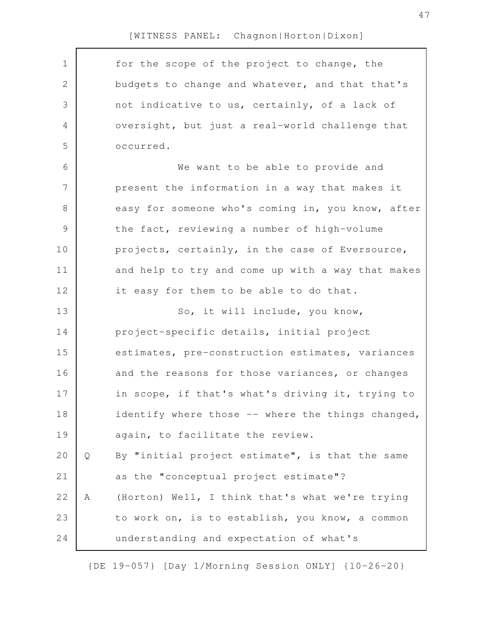| $\mathbf 1$      |   | for the scope of the project to change, the       |
|------------------|---|---------------------------------------------------|
| $\mathbf{2}$     |   | budgets to change and whatever, and that that's   |
| 3                |   | not indicative to us, certainly, of a lack of     |
| 4                |   | oversight, but just a real-world challenge that   |
| 5                |   | occurred.                                         |
| 6                |   | We want to be able to provide and                 |
| $\boldsymbol{7}$ |   | present the information in a way that makes it    |
| $8\,$            |   | easy for someone who's coming in, you know, after |
| $\mathsf 9$      |   | the fact, reviewing a number of high-volume       |
| 10               |   | projects, certainly, in the case of Eversource,   |
| 11               |   | and help to try and come up with a way that makes |
| 12               |   | it easy for them to be able to do that.           |
| 13               |   | So, it will include, you know,                    |
| 14               |   | project-specific details, initial project         |
| 15               |   | estimates, pre-construction estimates, variances  |
| 16               |   | and the reasons for those variances, or changes   |
| 17               |   | in scope, if that's what's driving it, trying to  |
| 18               |   | identify where those -- where the things changed, |
| 19               |   | again, to facilitate the review.                  |
| 20               | Q | By "initial project estimate", is that the same   |
| 21               |   | as the "conceptual project estimate"?             |
| 22               | Α | (Horton) Well, I think that's what we're trying   |
| 23               |   | to work on, is to establish, you know, a common   |
| 24               |   | understanding and expectation of what's           |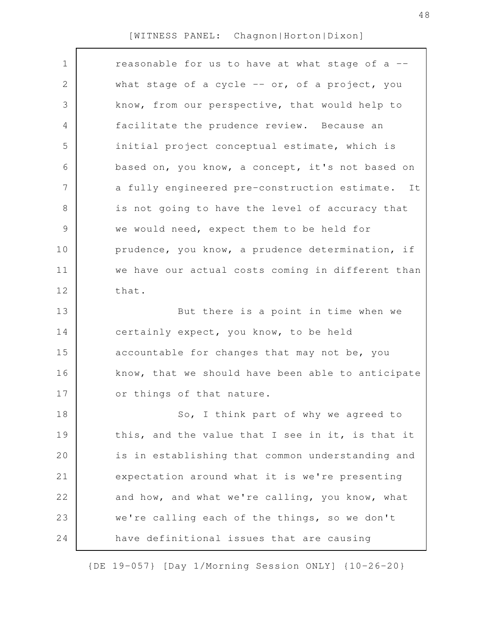| $\mathbf 1$ | reasonable for us to have at what stage of a --   |
|-------------|---------------------------------------------------|
| 2           | what stage of a cycle -- or, of a project, you    |
| 3           | know, from our perspective, that would help to    |
| 4           | facilitate the prudence review. Because an        |
| 5           | initial project conceptual estimate, which is     |
| 6           | based on, you know, a concept, it's not based on  |
| 7           | a fully engineered pre-construction estimate. It  |
| 8           | is not going to have the level of accuracy that   |
| $\mathsf 9$ | we would need, expect them to be held for         |
| 10          | prudence, you know, a prudence determination, if  |
| 11          | we have our actual costs coming in different than |
| 12          | that.                                             |
| 13          | But there is a point in time when we              |
| 14          | certainly expect, you know, to be held            |
| 15          | accountable for changes that may not be, you      |
| 16          | know, that we should have been able to anticipate |
| 17          | or things of that nature.                         |
| 18          | So, I think part of why we agreed to              |
| 19          | this, and the value that I see in it, is that it  |
| 20          | is in establishing that common understanding and  |
| 21          | expectation around what it is we're presenting    |
| 22          | and how, and what we're calling, you know, what   |
| 23          | we're calling each of the things, so we don't     |
| 24          | have definitional issues that are causing         |
|             |                                                   |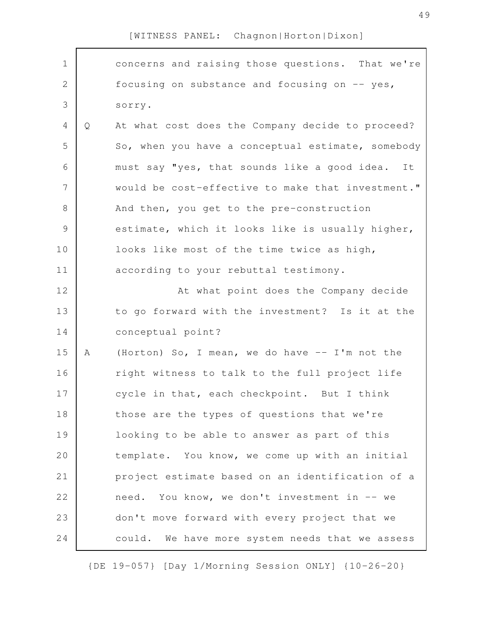| $\mathbf 1$    |   | concerns and raising those questions. That we're   |
|----------------|---|----------------------------------------------------|
| $\overline{2}$ |   | focusing on substance and focusing on -- yes,      |
| 3              |   | sorry.                                             |
| $\overline{4}$ | Q | At what cost does the Company decide to proceed?   |
| 5              |   | So, when you have a conceptual estimate, somebody  |
| 6              |   | must say "yes, that sounds like a good idea.<br>It |
| 7              |   | would be cost-effective to make that investment."  |
| 8              |   | And then, you get to the pre-construction          |
| $\mathcal{G}$  |   | estimate, which it looks like is usually higher,   |
| 10             |   | looks like most of the time twice as high,         |
| 11             |   | according to your rebuttal testimony.              |
| 12             |   | At what point does the Company decide              |
| 13             |   | to go forward with the investment? Is it at the    |
| 14             |   | conceptual point?                                  |
| 15             | A | (Horton) So, I mean, we do have -- I'm not the     |
| 16             |   | right witness to talk to the full project life     |
| 17             |   | cycle in that, each checkpoint. But I think        |
| 18             |   | those are the types of questions that we're        |
| 19             |   | looking to be able to answer as part of this       |
| 20             |   | template. You know, we come up with an initial     |
| 21             |   | project estimate based on an identification of a   |
| 22             |   | need. You know, we don't investment in -- we       |
| 23             |   | don't move forward with every project that we      |
| 24             |   | could. We have more system needs that we assess    |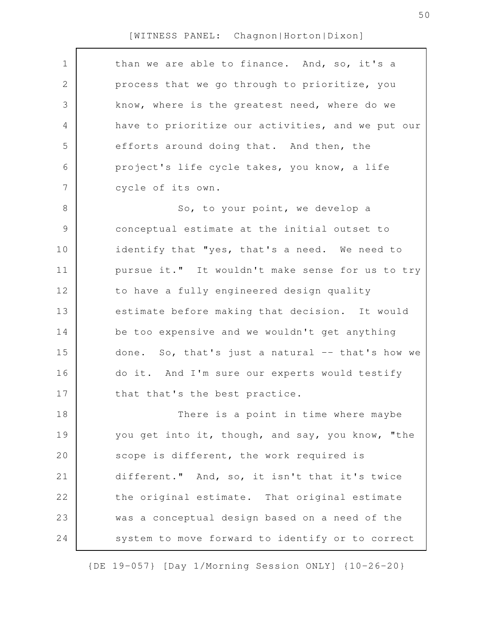| $\mathbf 1$<br>than we are able to finance. And, so, it's a<br>$\mathbf{2}$<br>process that we go through to prioritize, you<br>3<br>know, where is the greatest need, where do we<br>have to prioritize our activities, and we put our<br>4<br>5<br>efforts around doing that. And then, the<br>project's life cycle takes, you know, a life<br>6<br>7<br>cycle of its own.<br>8<br>So, to your point, we develop a<br>9<br>conceptual estimate at the initial outset to<br>10<br>identify that "yes, that's a need. We need to<br>11<br>pursue it." It wouldn't make sense for us to try<br>12<br>to have a fully engineered design quality<br>13<br>estimate before making that decision. It would<br>be too expensive and we wouldn't get anything<br>14<br>done. So, that's just a natural -- that's how we<br>16<br>do it. And I'm sure our experts would testify<br>17<br>that that's the best practice.<br>18<br>There is a point in time where maybe<br>19<br>you get into it, though, and say, you know, "the<br>20<br>scope is different, the work required is<br>21<br>different." And, so, it isn't that it's twice<br>the original estimate. That original estimate<br>was a conceptual design based on a need of the<br>24<br>system to move forward to identify or to correct |    |  |
|-----------------------------------------------------------------------------------------------------------------------------------------------------------------------------------------------------------------------------------------------------------------------------------------------------------------------------------------------------------------------------------------------------------------------------------------------------------------------------------------------------------------------------------------------------------------------------------------------------------------------------------------------------------------------------------------------------------------------------------------------------------------------------------------------------------------------------------------------------------------------------------------------------------------------------------------------------------------------------------------------------------------------------------------------------------------------------------------------------------------------------------------------------------------------------------------------------------------------------------------------------------------------------------------------|----|--|
|                                                                                                                                                                                                                                                                                                                                                                                                                                                                                                                                                                                                                                                                                                                                                                                                                                                                                                                                                                                                                                                                                                                                                                                                                                                                                               |    |  |
|                                                                                                                                                                                                                                                                                                                                                                                                                                                                                                                                                                                                                                                                                                                                                                                                                                                                                                                                                                                                                                                                                                                                                                                                                                                                                               |    |  |
|                                                                                                                                                                                                                                                                                                                                                                                                                                                                                                                                                                                                                                                                                                                                                                                                                                                                                                                                                                                                                                                                                                                                                                                                                                                                                               |    |  |
|                                                                                                                                                                                                                                                                                                                                                                                                                                                                                                                                                                                                                                                                                                                                                                                                                                                                                                                                                                                                                                                                                                                                                                                                                                                                                               |    |  |
|                                                                                                                                                                                                                                                                                                                                                                                                                                                                                                                                                                                                                                                                                                                                                                                                                                                                                                                                                                                                                                                                                                                                                                                                                                                                                               |    |  |
|                                                                                                                                                                                                                                                                                                                                                                                                                                                                                                                                                                                                                                                                                                                                                                                                                                                                                                                                                                                                                                                                                                                                                                                                                                                                                               |    |  |
|                                                                                                                                                                                                                                                                                                                                                                                                                                                                                                                                                                                                                                                                                                                                                                                                                                                                                                                                                                                                                                                                                                                                                                                                                                                                                               |    |  |
|                                                                                                                                                                                                                                                                                                                                                                                                                                                                                                                                                                                                                                                                                                                                                                                                                                                                                                                                                                                                                                                                                                                                                                                                                                                                                               |    |  |
|                                                                                                                                                                                                                                                                                                                                                                                                                                                                                                                                                                                                                                                                                                                                                                                                                                                                                                                                                                                                                                                                                                                                                                                                                                                                                               |    |  |
|                                                                                                                                                                                                                                                                                                                                                                                                                                                                                                                                                                                                                                                                                                                                                                                                                                                                                                                                                                                                                                                                                                                                                                                                                                                                                               |    |  |
|                                                                                                                                                                                                                                                                                                                                                                                                                                                                                                                                                                                                                                                                                                                                                                                                                                                                                                                                                                                                                                                                                                                                                                                                                                                                                               |    |  |
|                                                                                                                                                                                                                                                                                                                                                                                                                                                                                                                                                                                                                                                                                                                                                                                                                                                                                                                                                                                                                                                                                                                                                                                                                                                                                               |    |  |
|                                                                                                                                                                                                                                                                                                                                                                                                                                                                                                                                                                                                                                                                                                                                                                                                                                                                                                                                                                                                                                                                                                                                                                                                                                                                                               |    |  |
|                                                                                                                                                                                                                                                                                                                                                                                                                                                                                                                                                                                                                                                                                                                                                                                                                                                                                                                                                                                                                                                                                                                                                                                                                                                                                               |    |  |
|                                                                                                                                                                                                                                                                                                                                                                                                                                                                                                                                                                                                                                                                                                                                                                                                                                                                                                                                                                                                                                                                                                                                                                                                                                                                                               | 15 |  |
|                                                                                                                                                                                                                                                                                                                                                                                                                                                                                                                                                                                                                                                                                                                                                                                                                                                                                                                                                                                                                                                                                                                                                                                                                                                                                               |    |  |
|                                                                                                                                                                                                                                                                                                                                                                                                                                                                                                                                                                                                                                                                                                                                                                                                                                                                                                                                                                                                                                                                                                                                                                                                                                                                                               |    |  |
|                                                                                                                                                                                                                                                                                                                                                                                                                                                                                                                                                                                                                                                                                                                                                                                                                                                                                                                                                                                                                                                                                                                                                                                                                                                                                               |    |  |
|                                                                                                                                                                                                                                                                                                                                                                                                                                                                                                                                                                                                                                                                                                                                                                                                                                                                                                                                                                                                                                                                                                                                                                                                                                                                                               |    |  |
|                                                                                                                                                                                                                                                                                                                                                                                                                                                                                                                                                                                                                                                                                                                                                                                                                                                                                                                                                                                                                                                                                                                                                                                                                                                                                               |    |  |
|                                                                                                                                                                                                                                                                                                                                                                                                                                                                                                                                                                                                                                                                                                                                                                                                                                                                                                                                                                                                                                                                                                                                                                                                                                                                                               |    |  |
|                                                                                                                                                                                                                                                                                                                                                                                                                                                                                                                                                                                                                                                                                                                                                                                                                                                                                                                                                                                                                                                                                                                                                                                                                                                                                               | 22 |  |
|                                                                                                                                                                                                                                                                                                                                                                                                                                                                                                                                                                                                                                                                                                                                                                                                                                                                                                                                                                                                                                                                                                                                                                                                                                                                                               | 23 |  |
|                                                                                                                                                                                                                                                                                                                                                                                                                                                                                                                                                                                                                                                                                                                                                                                                                                                                                                                                                                                                                                                                                                                                                                                                                                                                                               |    |  |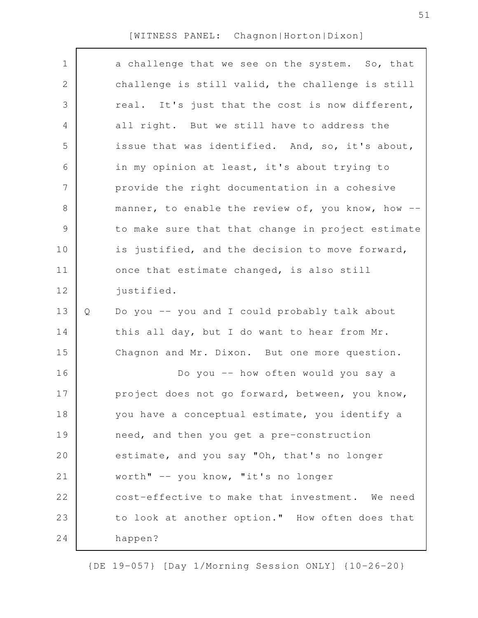| $\mathbf 1$   |   | a challenge that we see on the system. So, that   |
|---------------|---|---------------------------------------------------|
| 2             |   | challenge is still valid, the challenge is still  |
| 3             |   | real. It's just that the cost is now different,   |
| 4             |   | all right. But we still have to address the       |
| 5             |   | issue that was identified. And, so, it's about,   |
| 6             |   | in my opinion at least, it's about trying to      |
| 7             |   | provide the right documentation in a cohesive     |
| 8             |   | manner, to enable the review of, you know, how -- |
| $\mathcal{G}$ |   | to make sure that that change in project estimate |
| 10            |   | is justified, and the decision to move forward,   |
| 11            |   | once that estimate changed, is also still         |
| 12            |   | justified.                                        |
| 13            | Q | Do you -- you and I could probably talk about     |
| 14            |   | this all day, but I do want to hear from Mr.      |
| 15            |   | Chagnon and Mr. Dixon. But one more question.     |
| 16            |   | Do you -- how often would you say a               |
| 17            |   | project does not go forward, between, you know,   |
| 18            |   | you have a conceptual estimate, you identify a    |
| 19            |   | need, and then you get a pre-construction         |
| 20            |   | estimate, and you say "Oh, that's no longer       |
| 21            |   | worth" -- you know, "it's no longer               |
| 22            |   | cost-effective to make that investment. We need   |
| 23            |   | to look at another option." How often does that   |
| 24            |   | happen?                                           |
|               |   |                                                   |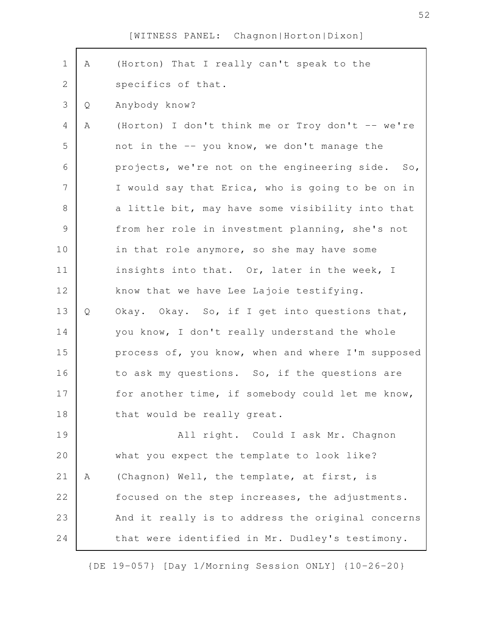| $\mathbf 1$   | Α | (Horton) That I really can't speak to the         |
|---------------|---|---------------------------------------------------|
| $\mathbf{2}$  |   | specifics of that.                                |
| 3             | Q | Anybody know?                                     |
| 4             | Α | (Horton) I don't think me or Troy don't -- we're  |
| 5             |   | not in the -- you know, we don't manage the       |
| 6             |   | projects, we're not on the engineering side. So,  |
| 7             |   | I would say that Erica, who is going to be on in  |
| 8             |   | a little bit, may have some visibility into that  |
| $\mathcal{G}$ |   | from her role in investment planning, she's not   |
| 10            |   | in that role anymore, so she may have some        |
| 11            |   | insights into that. Or, later in the week, I      |
| 12            |   | know that we have Lee Lajoie testifying.          |
| 13            | Q | Okay. Okay. So, if I get into questions that,     |
| 14            |   | you know, I don't really understand the whole     |
| 15            |   | process of, you know, when and where I'm supposed |
| 16            |   | to ask my questions. So, if the questions are     |
| 17            |   | for another time, if somebody could let me know,  |
| 18            |   | that would be really great.                       |
| 19            |   | All right. Could I ask Mr. Chagnon                |
| 20            |   | what you expect the template to look like?        |
| 21            | Α | (Chagnon) Well, the template, at first, is        |
| 22            |   | focused on the step increases, the adjustments.   |
| 23            |   | And it really is to address the original concerns |
| 24            |   | that were identified in Mr. Dudley's testimony.   |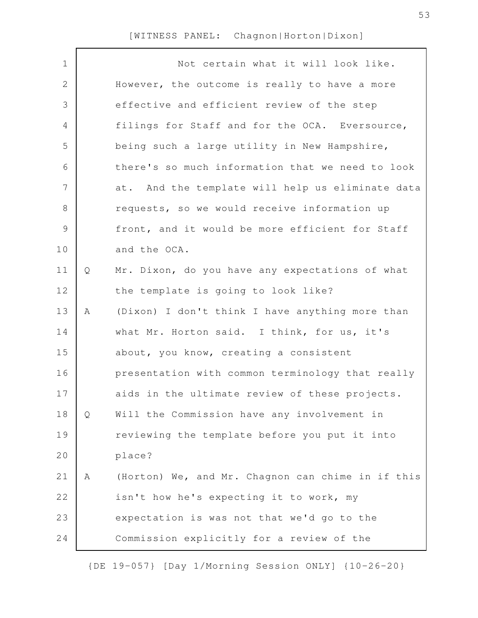| $\mathbf 1$   |   | Not certain what it will look like.               |
|---------------|---|---------------------------------------------------|
| 2             |   | However, the outcome is really to have a more     |
| 3             |   | effective and efficient review of the step        |
| 4             |   | filings for Staff and for the OCA. Eversource,    |
| 5             |   | being such a large utility in New Hampshire,      |
| 6             |   | there's so much information that we need to look  |
| 7             |   | at. And the template will help us eliminate data  |
| 8             |   | requests, so we would receive information up      |
| $\mathcal{G}$ |   | front, and it would be more efficient for Staff   |
| 10            |   | and the OCA.                                      |
| 11            | Q | Mr. Dixon, do you have any expectations of what   |
| 12            |   | the template is going to look like?               |
| 13            | Α | (Dixon) I don't think I have anything more than   |
| 14            |   | what Mr. Horton said. I think, for us, it's       |
| 15            |   | about, you know, creating a consistent            |
| 16            |   | presentation with common terminology that really  |
| 17            |   | aids in the ultimate review of these projects.    |
| 18            | Q | Will the Commission have any involvement in       |
| 19            |   | reviewing the template before you put it into     |
| 20            |   | place?                                            |
| 21            | Α | (Horton) We, and Mr. Chagnon can chime in if this |
| 22            |   | isn't how he's expecting it to work, my           |
| 23            |   | expectation is was not that we'd go to the        |
| 24            |   | Commission explicitly for a review of the         |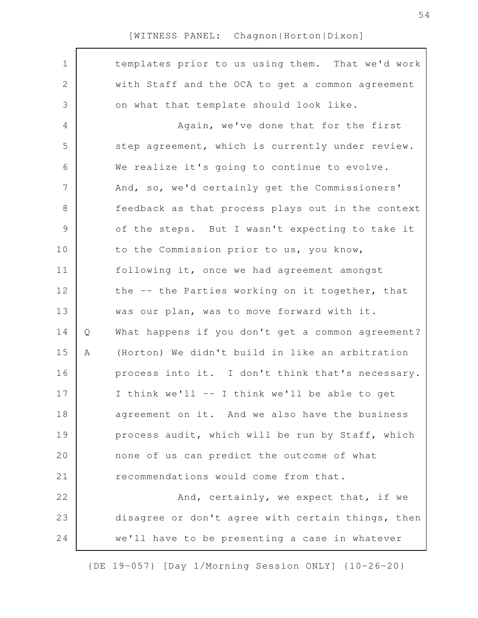| $\mathbf 1$    |   | templates prior to us using them. That we'd work  |
|----------------|---|---------------------------------------------------|
| 2              |   | with Staff and the OCA to get a common agreement  |
|                |   |                                                   |
| 3              |   | on what that template should look like.           |
| 4              |   | Again, we've done that for the first              |
| 5              |   | step agreement, which is currently under review.  |
| 6              |   | We realize it's going to continue to evolve.      |
| $\overline{7}$ |   | And, so, we'd certainly get the Commissioners'    |
| $\,8\,$        |   | feedback as that process plays out in the context |
| $\mathcal{G}$  |   | of the steps. But I wasn't expecting to take it   |
| 10             |   | to the Commission prior to us, you know,          |
| 11             |   | following it, once we had agreement amongst       |
| 12             |   | the -- the Parties working on it together, that   |
| 13             |   | was our plan, was to move forward with it.        |
| 14             | Q | What happens if you don't get a common agreement? |
| 15             | Α | (Horton) We didn't build in like an arbitration   |
| 16             |   | process into it. I don't think that's necessary.  |
| 17             |   | I think we'll -- I think we'll be able to get     |
| 18             |   | agreement on it. And we also have the business    |
| 19             |   | process audit, which will be run by Staff, which  |
| 20             |   | none of us can predict the outcome of what        |
| 21             |   | recommendations would come from that.             |
| 22             |   | And, certainly, we expect that, if we             |
| 23             |   | disagree or don't agree with certain things, then |
| 24             |   | we'll have to be presenting a case in whatever    |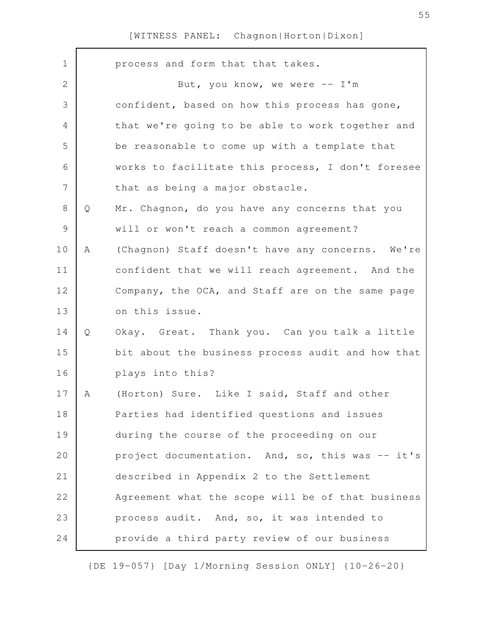| $\mathbf 1$    |   | process and form that that takes.                 |
|----------------|---|---------------------------------------------------|
| $\mathbf{2}$   |   | But, you know, we were $--$ I'm                   |
| 3              |   | confident, based on how this process has gone,    |
| 4              |   | that we're going to be able to work together and  |
| 5              |   | be reasonable to come up with a template that     |
| 6              |   | works to facilitate this process, I don't foresee |
| $\overline{7}$ |   | that as being a major obstacle.                   |
| 8              | Q | Mr. Chagnon, do you have any concerns that you    |
| $\mathcal{G}$  |   | will or won't reach a common agreement?           |
| 10             | Α | (Chagnon) Staff doesn't have any concerns. We're  |
| 11             |   | confident that we will reach agreement. And the   |
| 12             |   | Company, the OCA, and Staff are on the same page  |
| 13             |   | on this issue.                                    |
| 14             | Q | Okay. Great. Thank you. Can you talk a little     |
| 15             |   | bit about the business process audit and how that |
| 16             |   | plays into this?                                  |
| 17             | A | (Horton) Sure. Like I said, Staff and other       |
| 18             |   | Parties had identified questions and issues       |
| 19             |   | during the course of the proceeding on our        |
| 20             |   | project documentation. And, so, this was -- it's  |
| 21             |   | described in Appendix 2 to the Settlement         |
| 22             |   | Agreement what the scope will be of that business |
| 23             |   | process audit. And, so, it was intended to        |
| 24             |   | provide a third party review of our business      |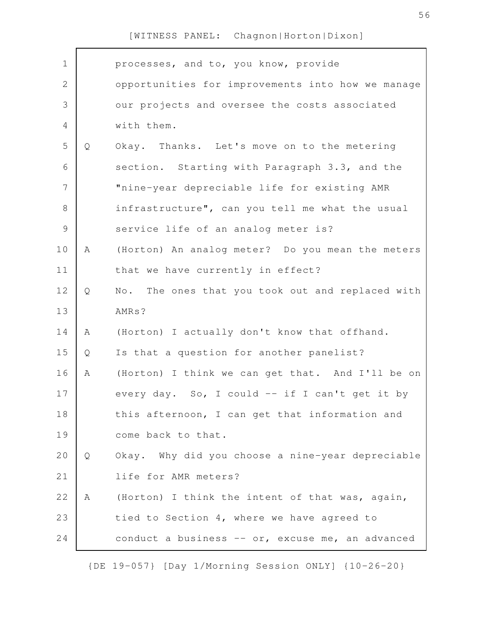| $\mathbf 1$    |   | processes, and to, you know, provide              |
|----------------|---|---------------------------------------------------|
| $\mathbf{2}$   |   | opportunities for improvements into how we manage |
| 3              |   | our projects and oversee the costs associated     |
| 4              |   | with them.                                        |
| 5              | Q | Okay. Thanks. Let's move on to the metering       |
| 6              |   | section. Starting with Paragraph 3.3, and the     |
| $\overline{7}$ |   | "nine-year depreciable life for existing AMR      |
| $8\,$          |   | infrastructure", can you tell me what the usual   |
| $\mathcal{G}$  |   | service life of an analog meter is?               |
| 10             | A | (Horton) An analog meter? Do you mean the meters  |
| 11             |   | that we have currently in effect?                 |
| 12             | Q | No. The ones that you took out and replaced with  |
| 13             |   | AMRs?                                             |
| 14             | A | (Horton) I actually don't know that offhand.      |
| 15             | Q | Is that a question for another panelist?          |
| 16             | A | (Horton) I think we can get that. And I'll be on  |
| 17             |   | every day. So, I could -- if I can't get it by    |
| 18             |   | this afternoon, I can get that information and    |
| 19             |   | come back to that.                                |
| 20             | Q | Okay. Why did you choose a nine-year depreciable  |
| 21             |   | life for AMR meters?                              |
| 22             | A | (Horton) I think the intent of that was, again,   |
| 23             |   | tied to Section 4, where we have agreed to        |
| 24             |   | conduct a business -- or, excuse me, an advanced  |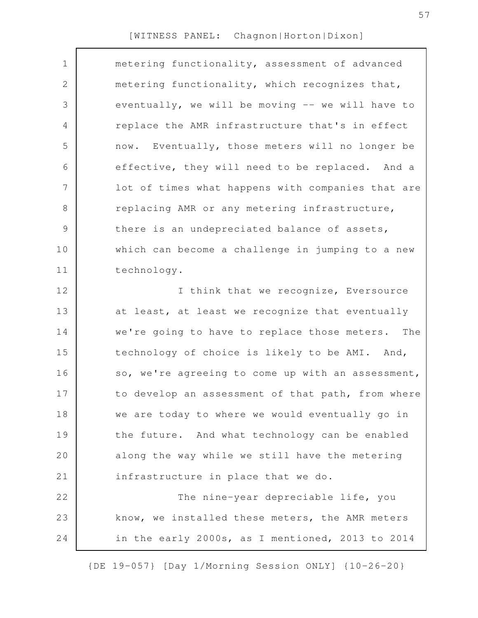| $\mathbf 1$   | metering functionality, assessment of advanced    |
|---------------|---------------------------------------------------|
| $\mathbf{2}$  | metering functionality, which recognizes that,    |
| 3             | eventually, we will be moving -- we will have to  |
| 4             | replace the AMR infrastructure that's in effect   |
| 5             | now. Eventually, those meters will no longer be   |
| 6             | effective, they will need to be replaced. And a   |
| 7             | lot of times what happens with companies that are |
| $8\,$         | replacing AMR or any metering infrastructure,     |
| $\mathcal{G}$ | there is an undepreciated balance of assets,      |
| 10            | which can become a challenge in jumping to a new  |
| 11            | technology.                                       |
| 12            | I think that we recognize, Eversource             |
| 13            | at least, at least we recognize that eventually   |
| 14            | we're going to have to replace those meters. The  |
| 15            | technology of choice is likely to be AMI. And,    |
| 16            | so, we're agreeing to come up with an assessment, |
| 17            | to develop an assessment of that path, from where |
| 18            | we are today to where we would eventually go in   |
| 19            | the future. And what technology can be enabled    |
| 20            | along the way while we still have the metering    |
| 21            | infrastructure in place that we do.               |
| 22            | The nine-year depreciable life, you               |
| 23            | know, we installed these meters, the AMR meters   |
| 24            | in the early 2000s, as I mentioned, 2013 to 2014  |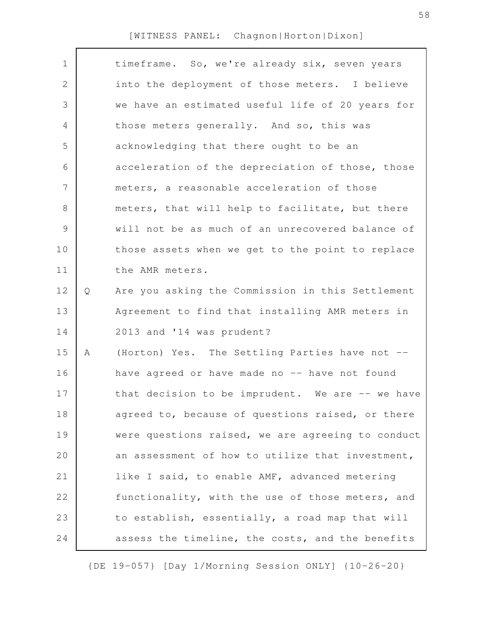|   | timeframe. So, we're already six, seven years     |
|---|---------------------------------------------------|
|   | into the deployment of those meters. I believe    |
|   | we have an estimated useful life of 20 years for  |
|   | those meters generally. And so, this was          |
|   | acknowledging that there ought to be an           |
|   | acceleration of the depreciation of those, those  |
|   | meters, a reasonable acceleration of those        |
|   | meters, that will help to facilitate, but there   |
|   | will not be as much of an unrecovered balance of  |
|   | those assets when we get to the point to replace  |
|   | the AMR meters.                                   |
| Q | Are you asking the Commission in this Settlement  |
|   | Agreement to find that installing AMR meters in   |
|   | 2013 and '14 was prudent?                         |
| A | (Horton) Yes. The Settling Parties have not --    |
|   | have agreed or have made no -- have not found     |
|   | that decision to be imprudent. We are -- we have  |
|   | agreed to, because of questions raised, or there  |
|   | were questions raised, we are agreeing to conduct |
|   | an assessment of how to utilize that investment,  |
|   | like I said, to enable AMF, advanced metering     |
|   | functionality, with the use of those meters, and  |
|   | to establish, essentially, a road map that will   |
|   | assess the timeline, the costs, and the benefits  |
|   |                                                   |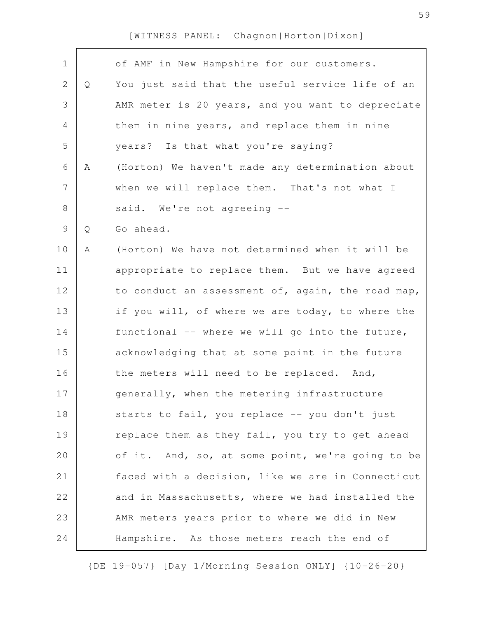| $\mathbf 1$    |   | of AMF in New Hampshire for our customers.        |
|----------------|---|---------------------------------------------------|
| $\mathbf{2}$   | Q | You just said that the useful service life of an  |
|                |   |                                                   |
| 3              |   | AMR meter is 20 years, and you want to depreciate |
| 4              |   | them in nine years, and replace them in nine      |
| 5              |   | years? Is that what you're saying?                |
| 6              | Α | (Horton) We haven't made any determination about  |
| $\overline{7}$ |   | when we will replace them. That's not what I      |
| $8\,$          |   | said. We're not agreeing --                       |
| $\mathcal{G}$  | Q | Go ahead.                                         |
| 10             | Α | (Horton) We have not determined when it will be   |
| 11             |   | appropriate to replace them. But we have agreed   |
|                |   |                                                   |
| 12             |   | to conduct an assessment of, again, the road map, |
| 13             |   | if you will, of where we are today, to where the  |
| 14             |   | functional -- where we will go into the future,   |
| 15             |   | acknowledging that at some point in the future    |
| 16             |   | the meters will need to be replaced. And,         |
| 17             |   | generally, when the metering infrastructure       |
| 18             |   | starts to fail, you replace -- you don't just     |
| 19             |   | replace them as they fail, you try to get ahead   |
| 20             |   | of it. And, so, at some point, we're going to be  |
| 21             |   | faced with a decision, like we are in Connecticut |
| 22             |   | and in Massachusetts, where we had installed the  |
| 23             |   | AMR meters years prior to where we did in New     |
| 24             |   | Hampshire. As those meters reach the end of       |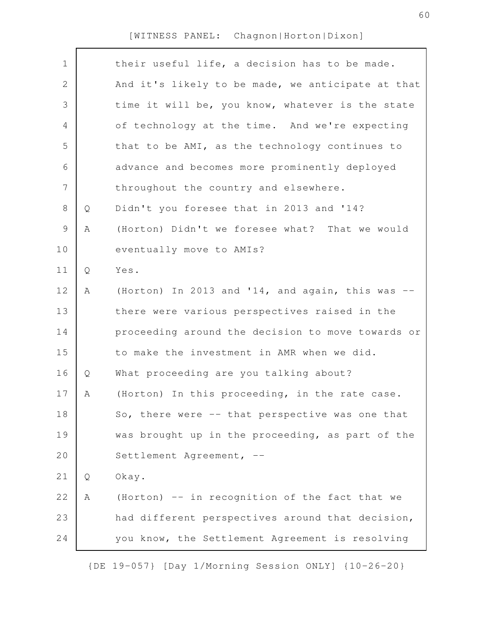| $\mathbf 1$    |   | their useful life, a decision has to be made.     |
|----------------|---|---------------------------------------------------|
| $\mathbf 2$    |   | And it's likely to be made, we anticipate at that |
| $\mathcal{S}$  |   | time it will be, you know, whatever is the state  |
| $\overline{4}$ |   | of technology at the time. And we're expecting    |
| 5              |   | that to be AMI, as the technology continues to    |
| 6              |   | advance and becomes more prominently deployed     |
| 7              |   | throughout the country and elsewhere.             |
| $8\,$          | Q | Didn't you foresee that in 2013 and '14?          |
| $\mathcal{G}$  | A | (Horton) Didn't we foresee what? That we would    |
| 10             |   | eventually move to AMIs?                          |
| 11             | Q | Yes.                                              |
| 12             | A | (Horton) In 2013 and '14, and again, this was     |
| 13             |   | there were various perspectives raised in the     |
| 14             |   | proceeding around the decision to move towards or |
| 15             |   | to make the investment in AMR when we did.        |
| 16             | Q | What proceeding are you talking about?            |
| 17             | А | (Horton) In this proceeding, in the rate case.    |
| 18             |   | So, there were -- that perspective was one that   |
| 19             |   | was brought up in the proceeding, as part of the  |
| 20             |   | Settlement Agreement, --                          |
| 21             | Q | Okay.                                             |
| 22             | Α | (Horton) -- in recognition of the fact that we    |
| 23             |   | had different perspectives around that decision,  |
| 24             |   | you know, the Settlement Agreement is resolving   |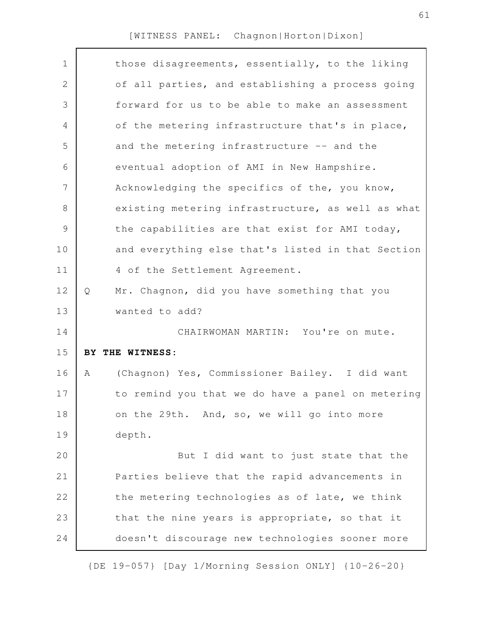| $\mathbf 1$<br>$\mathbf{2}$<br>3<br>$\overline{4}$<br>5<br>and the metering infrastructure -- and the<br>6<br>eventual adoption of AMI in New Hampshire.<br>7<br>Acknowledging the specifics of the, you know,<br>8<br>$\mathcal{G}$<br>the capabilities are that exist for AMI today,<br>10<br>11<br>4 of the Settlement Agreement.<br>12<br>Mr. Chagnon, did you have something that you<br>Q<br>13<br>wanted to add?<br>14<br>CHAIRWOMAN MARTIN: You're on mute.<br>15<br>BY THE WITNESS:<br>16<br>A<br>17<br>18<br>on the 29th. And, so, we will go into more<br>19<br>depth.<br>20<br>21<br>22<br>23<br>that the nine years is appropriate, so that it<br>24 |  |                                                   |
|-------------------------------------------------------------------------------------------------------------------------------------------------------------------------------------------------------------------------------------------------------------------------------------------------------------------------------------------------------------------------------------------------------------------------------------------------------------------------------------------------------------------------------------------------------------------------------------------------------------------------------------------------------------------|--|---------------------------------------------------|
|                                                                                                                                                                                                                                                                                                                                                                                                                                                                                                                                                                                                                                                                   |  | those disagreements, essentially, to the liking   |
|                                                                                                                                                                                                                                                                                                                                                                                                                                                                                                                                                                                                                                                                   |  | of all parties, and establishing a process going  |
|                                                                                                                                                                                                                                                                                                                                                                                                                                                                                                                                                                                                                                                                   |  | forward for us to be able to make an assessment   |
|                                                                                                                                                                                                                                                                                                                                                                                                                                                                                                                                                                                                                                                                   |  | of the metering infrastructure that's in place,   |
|                                                                                                                                                                                                                                                                                                                                                                                                                                                                                                                                                                                                                                                                   |  |                                                   |
|                                                                                                                                                                                                                                                                                                                                                                                                                                                                                                                                                                                                                                                                   |  |                                                   |
|                                                                                                                                                                                                                                                                                                                                                                                                                                                                                                                                                                                                                                                                   |  |                                                   |
|                                                                                                                                                                                                                                                                                                                                                                                                                                                                                                                                                                                                                                                                   |  | existing metering infrastructure, as well as what |
|                                                                                                                                                                                                                                                                                                                                                                                                                                                                                                                                                                                                                                                                   |  |                                                   |
|                                                                                                                                                                                                                                                                                                                                                                                                                                                                                                                                                                                                                                                                   |  | and everything else that's listed in that Section |
|                                                                                                                                                                                                                                                                                                                                                                                                                                                                                                                                                                                                                                                                   |  |                                                   |
|                                                                                                                                                                                                                                                                                                                                                                                                                                                                                                                                                                                                                                                                   |  |                                                   |
|                                                                                                                                                                                                                                                                                                                                                                                                                                                                                                                                                                                                                                                                   |  |                                                   |
|                                                                                                                                                                                                                                                                                                                                                                                                                                                                                                                                                                                                                                                                   |  |                                                   |
|                                                                                                                                                                                                                                                                                                                                                                                                                                                                                                                                                                                                                                                                   |  |                                                   |
|                                                                                                                                                                                                                                                                                                                                                                                                                                                                                                                                                                                                                                                                   |  | (Chagnon) Yes, Commissioner Bailey. I did want    |
|                                                                                                                                                                                                                                                                                                                                                                                                                                                                                                                                                                                                                                                                   |  | to remind you that we do have a panel on metering |
|                                                                                                                                                                                                                                                                                                                                                                                                                                                                                                                                                                                                                                                                   |  |                                                   |
|                                                                                                                                                                                                                                                                                                                                                                                                                                                                                                                                                                                                                                                                   |  |                                                   |
|                                                                                                                                                                                                                                                                                                                                                                                                                                                                                                                                                                                                                                                                   |  | But I did want to just state that the             |
|                                                                                                                                                                                                                                                                                                                                                                                                                                                                                                                                                                                                                                                                   |  | Parties believe that the rapid advancements in    |
|                                                                                                                                                                                                                                                                                                                                                                                                                                                                                                                                                                                                                                                                   |  | the metering technologies as of late, we think    |
|                                                                                                                                                                                                                                                                                                                                                                                                                                                                                                                                                                                                                                                                   |  |                                                   |
|                                                                                                                                                                                                                                                                                                                                                                                                                                                                                                                                                                                                                                                                   |  | doesn't discourage new technologies sooner more   |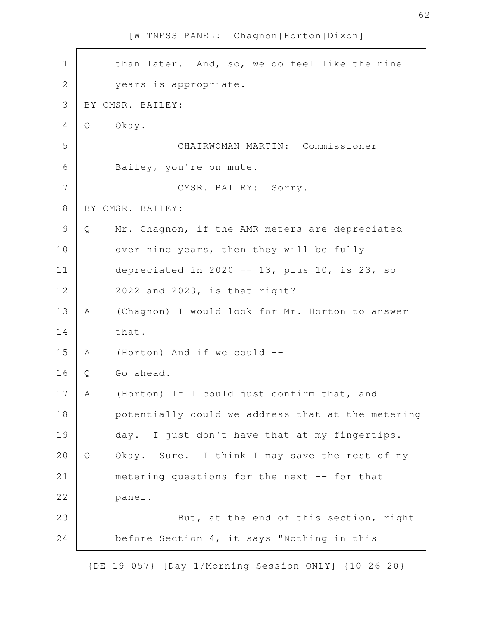than later. And, so, we do feel like the nine years is appropriate. BY CMSR. BAILEY: Q Okay. CHAIRWOMAN MARTIN: Commissioner Bailey, you're on mute. CMSR. BAILEY: Sorry. BY CMSR. BAILEY: Q Mr. Chagnon, if the AMR meters are depreciated over nine years, then they will be fully depreciated in 2020  $-$  13, plus 10, is 23, so 2022 and 2023, is that right? A (Chagnon) I would look for Mr. Horton to answer that. A (Horton) And if we could -- Q Go ahead. A (Horton) If I could just confirm that, and potentially could we address that at the metering day. I just don't have that at my fingertips. Q Okay. Sure. I think I may save the rest of my metering questions for the next -- for that panel. But, at the end of this section, right before Section 4, it says "Nothing in this 1 2 3 4 5 6 7 8 9 10 11 12 13 14 15 16 17 18 19 20 21 22 23 24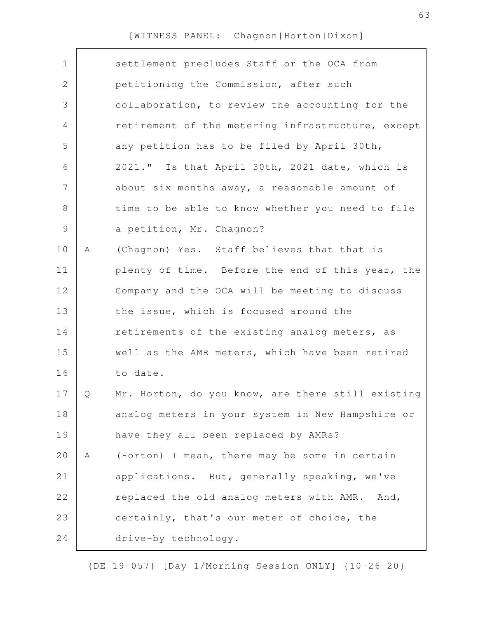| $\mathbf 1$    |   | settlement precludes Staff or the OCA from        |
|----------------|---|---------------------------------------------------|
| $\mathbf{2}$   |   | petitioning the Commission, after such            |
| 3              |   | collaboration, to review the accounting for the   |
| $\overline{4}$ |   | retirement of the metering infrastructure, except |
| 5              |   | any petition has to be filed by April 30th,       |
| 6              |   | 2021." Is that April 30th, 2021 date, which is    |
| 7              |   | about six months away, a reasonable amount of     |
| 8              |   | time to be able to know whether you need to file  |
| $\mathcal{G}$  |   | a petition, Mr. Chagnon?                          |
| 10             | A | (Chagnon) Yes. Staff believes that that is        |
| 11             |   | plenty of time. Before the end of this year, the  |
| 12             |   | Company and the OCA will be meeting to discuss    |
| 13             |   | the issue, which is focused around the            |
| 14             |   | retirements of the existing analog meters, as     |
| 15             |   | well as the AMR meters, which have been retired   |
| 16             |   | to date.                                          |
| 17             | Q | Mr. Horton, do you know, are there still existing |
| 18             |   | analog meters in your system in New Hampshire or  |
| 19             |   | have they all been replaced by AMRs?              |
| 20             | Α | (Horton) I mean, there may be some in certain     |
| 21             |   | applications. But, generally speaking, we've      |
| 22             |   | replaced the old analog meters with AMR. And,     |
| 23             |   | certainly, that's our meter of choice, the        |
| 24             |   | drive-by technology.                              |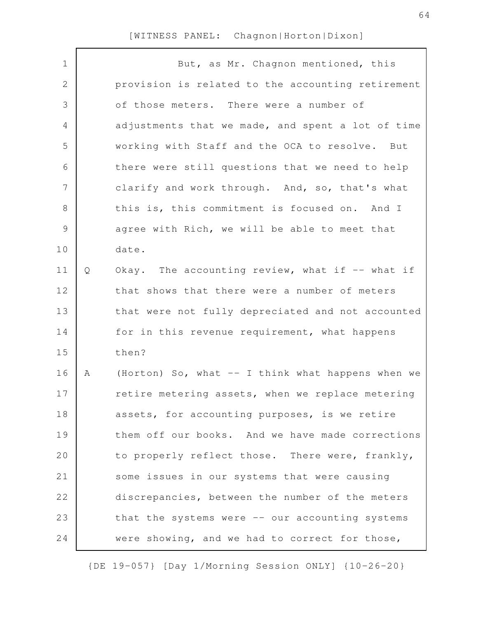| $\mathbf 1$   |   | But, as Mr. Chagnon mentioned, this               |
|---------------|---|---------------------------------------------------|
| $\mathbf 2$   |   | provision is related to the accounting retirement |
| 3             |   | of those meters. There were a number of           |
| 4             |   | adjustments that we made, and spent a lot of time |
| 5             |   | working with Staff and the OCA to resolve. But    |
| 6             |   | there were still questions that we need to help   |
| 7             |   | clarify and work through. And, so, that's what    |
| $\,8\,$       |   | this is, this commitment is focused on. And I     |
| $\mathcal{G}$ |   | agree with Rich, we will be able to meet that     |
| 10            |   | date.                                             |
| 11            | Q | Okay. The accounting review, what if $-$ what if  |
| 12            |   | that shows that there were a number of meters     |
| 13            |   | that were not fully depreciated and not accounted |
| 14            |   | for in this revenue requirement, what happens     |
| 15            |   | then?                                             |
| 16            | A | (Horton) So, what -- I think what happens when we |
| 17            |   | retire metering assets, when we replace metering  |
| 18            |   | assets, for accounting purposes, is we retire     |
| 19            |   | them off our books. And we have made corrections  |
| 20            |   | to properly reflect those. There were, frankly,   |
| 21            |   | some issues in our systems that were causing      |
| 22            |   | discrepancies, between the number of the meters   |
| 23            |   | that the systems were -- our accounting systems   |
| 24            |   | were showing, and we had to correct for those,    |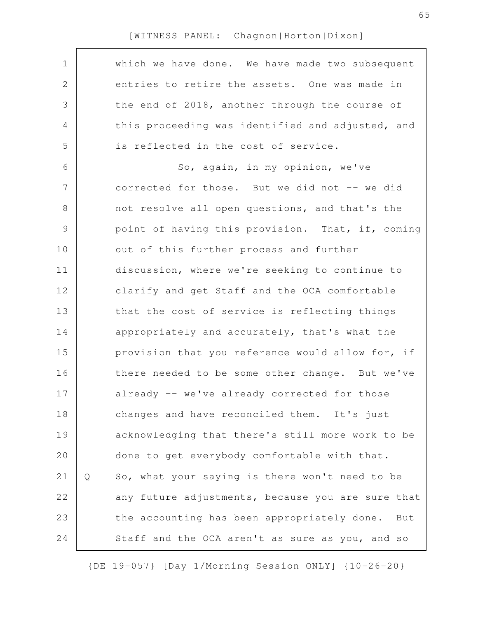| $\mathbf 1$ |   | which we have done. We have made two subsequent    |
|-------------|---|----------------------------------------------------|
| 2           |   | entries to retire the assets. One was made in      |
| 3           |   | the end of 2018, another through the course of     |
| 4           |   | this proceeding was identified and adjusted, and   |
| 5           |   | is reflected in the cost of service.               |
| 6           |   | So, again, in my opinion, we've                    |
| 7           |   | corrected for those. But we did not -- we did      |
| $8\,$       |   | not resolve all open questions, and that's the     |
| $\mathsf 9$ |   | point of having this provision. That, if, coming   |
| 10          |   | out of this further process and further            |
| 11          |   | discussion, where we're seeking to continue to     |
| 12          |   | clarify and get Staff and the OCA comfortable      |
| 13          |   | that the cost of service is reflecting things      |
| 14          |   | appropriately and accurately, that's what the      |
| 15          |   | provision that you reference would allow for, if   |
| 16          |   | there needed to be some other change. But we've    |
| 17          |   | already -- we've already corrected for those       |
| 18          |   | changes and have reconciled them. It's just        |
| 19          |   | acknowledging that there's still more work to be   |
| 20          |   | done to get everybody comfortable with that.       |
| 21          | Q | So, what your saying is there won't need to be     |
| 22          |   | any future adjustments, because you are sure that  |
| 23          |   | the accounting has been appropriately done.<br>But |
| 24          |   | Staff and the OCA aren't as sure as you, and so    |
|             |   |                                                    |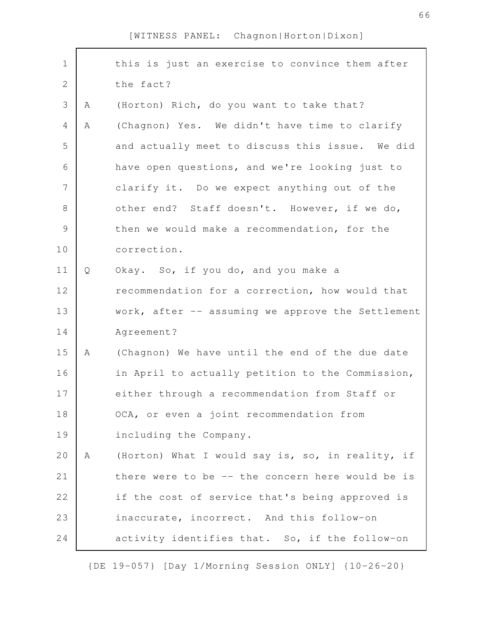| $\mathbf 1$    |   | this is just an exercise to convince them after   |
|----------------|---|---------------------------------------------------|
| $\sqrt{2}$     |   | the fact?                                         |
| 3              | Α | (Horton) Rich, do you want to take that?          |
| $\overline{4}$ | Α | (Chagnon) Yes. We didn't have time to clarify     |
| 5              |   | and actually meet to discuss this issue. We did   |
| 6              |   | have open questions, and we're looking just to    |
| $\overline{7}$ |   | clarify it. Do we expect anything out of the      |
| 8              |   | other end? Staff doesn't. However, if we do,      |
| $\mathcal{G}$  |   | then we would make a recommendation, for the      |
| 10             |   | correction.                                       |
| 11             | Q | Okay. So, if you do, and you make a               |
| 12             |   | recommendation for a correction, how would that   |
| 13             |   | work, after -- assuming we approve the Settlement |
| 14             |   | Agreement?                                        |
| 15             | A | (Chagnon) We have until the end of the due date   |
| 16             |   | in April to actually petition to the Commission,  |
| 17             |   | either through a recommendation from Staff or     |
| 18             |   | OCA, or even a joint recommendation from          |
| 19             |   | including the Company.                            |
| 20             | A | (Horton) What I would say is, so, in reality, if  |
| 21             |   | there were to be -- the concern here would be is  |
| 22             |   | if the cost of service that's being approved is   |
| 23             |   | inaccurate, incorrect. And this follow-on         |
| 24             |   | activity identifies that. So, if the follow-on    |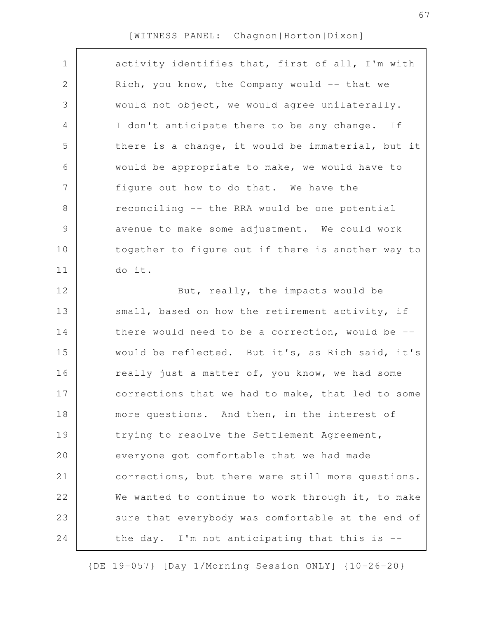| $\mathbf 1$    | activity identifies that, first of all, I'm with    |
|----------------|-----------------------------------------------------|
| 2              | Rich, you know, the Company would -- that we        |
| 3              | would not object, we would agree unilaterally.      |
| 4              | I don't anticipate there to be any change. If       |
| 5              | there is a change, it would be immaterial, but it   |
| 6              | would be appropriate to make, we would have to      |
| $\overline{7}$ | figure out how to do that. We have the              |
| $8\,$          | reconciling -- the RRA would be one potential       |
| 9              | avenue to make some adjustment. We could work       |
| 10             | together to figure out if there is another way to   |
| 11             | do it.                                              |
| 12             | But, really, the impacts would be                   |
| 13             | small, based on how the retirement activity, if     |
| 14             | there would need to be a correction, would be $-$ - |
| 15             | would be reflected. But it's, as Rich said, it's    |
| 16             | really just a matter of, you know, we had some      |
| 17             | corrections that we had to make, that led to some   |
| 18             | more questions. And then, in the interest of        |
| 19             | trying to resolve the Settlement Agreement,         |
| 20             | everyone got comfortable that we had made           |
| 21             | corrections, but there were still more questions.   |
| 22             | We wanted to continue to work through it, to make   |
| 23             | sure that everybody was comfortable at the end of   |
| 24             | the day. I'm not anticipating that this is --       |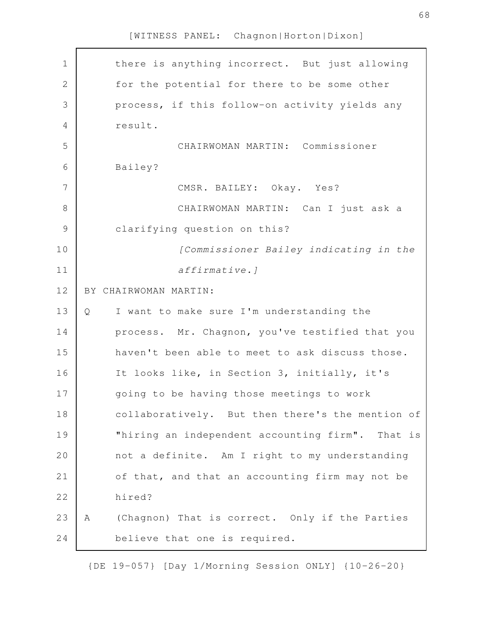| $\mathbf 1$    |   | there is anything incorrect. But just allowing   |
|----------------|---|--------------------------------------------------|
| $\overline{2}$ |   | for the potential for there to be some other     |
| 3              |   | process, if this follow-on activity yields any   |
| $\overline{4}$ |   | result.                                          |
| 5              |   | CHAIRWOMAN MARTIN: Commissioner                  |
| 6              |   | Bailey?                                          |
| 7              |   | CMSR. BAILEY: Okay. Yes?                         |
| 8              |   | CHAIRWOMAN MARTIN: Can I just ask a              |
| $\mathcal{G}$  |   | clarifying question on this?                     |
| 10             |   | [Commissioner Bailey indicating in the           |
| 11             |   | affirmative.]                                    |
| 12             |   | BY CHAIRWOMAN MARTIN:                            |
| 13             | Q | I want to make sure I'm understanding the        |
| 14             |   | process. Mr. Chagnon, you've testified that you  |
| 15             |   | haven't been able to meet to ask discuss those.  |
| 16             |   | It looks like, in Section 3, initially, it's     |
| 17             |   | going to be having those meetings to work        |
| 18             |   | collaboratively. But then there's the mention of |
| 19             |   | "hiring an independent accounting firm". That is |
| 20             |   | not a definite. Am I right to my understanding   |
| 21             |   | of that, and that an accounting firm may not be  |
| 22             |   | hired?                                           |
| 23             | Α | (Chagnon) That is correct. Only if the Parties   |
| 24             |   | believe that one is required.                    |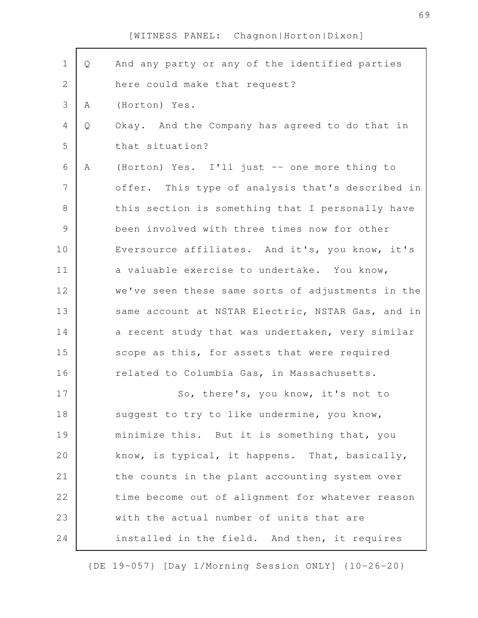| $\mathbf 1$    | Q | And any party or any of the identified parties    |
|----------------|---|---------------------------------------------------|
| 2              |   | here could make that request?                     |
| 3              | Α | (Horton) Yes.                                     |
| 4              | Q | Okay. And the Company has agreed to do that in    |
| 5              |   | that situation?                                   |
| 6              | Α | (Horton) Yes. I'll just -- one more thing to      |
| $\overline{7}$ |   | offer. This type of analysis that's described in  |
| $\,8\,$        |   | this section is something that I personally have  |
| $\mathsf 9$    |   | been involved with three times now for other      |
| 10             |   | Eversource affiliates. And it's, you know, it's   |
| 11             |   | a valuable exercise to undertake. You know,       |
| 12             |   | we've seen these same sorts of adjustments in the |
| 13             |   | same account at NSTAR Electric, NSTAR Gas, and in |
| 14             |   | a recent study that was undertaken, very similar  |
| 15             |   | scope as this, for assets that were required      |
| 16             |   | related to Columbia Gas, in Massachusetts.        |
| 17             |   | So, there's, you know, it's not to                |
| 18             |   | suggest to try to like undermine, you know,       |
| 19             |   | minimize this. But it is something that, you      |
| 20             |   | know, is typical, it happens. That, basically,    |
| 21             |   | the counts in the plant accounting system over    |
| 22             |   | time become out of alignment for whatever reason  |
| 23             |   | with the actual number of units that are          |
| 24             |   | installed in the field. And then, it requires     |

{DE 19-057} [Day 1/Morning Session ONLY] {10-26-20}

69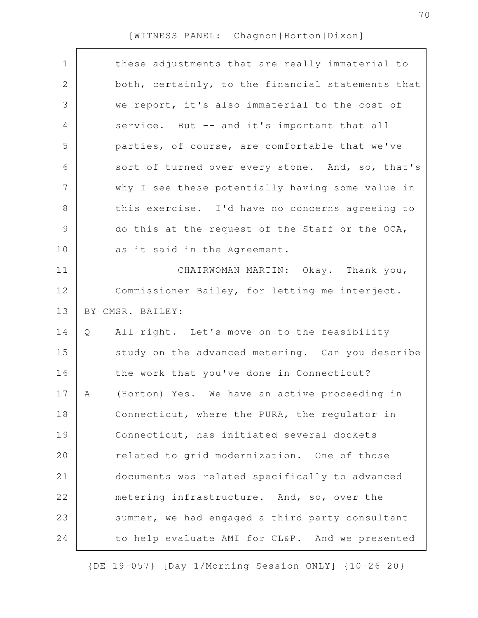$\Gamma$ 

| $\mathbf 1$    |   | these adjustments that are really immaterial to   |
|----------------|---|---------------------------------------------------|
| $\mathbf 2$    |   | both, certainly, to the financial statements that |
| 3              |   | we report, it's also immaterial to the cost of    |
| 4              |   | service. But -- and it's important that all       |
| 5              |   | parties, of course, are comfortable that we've    |
| 6              |   | sort of turned over every stone. And, so, that's  |
| $\overline{7}$ |   | why I see these potentially having some value in  |
| 8              |   | this exercise. I'd have no concerns agreeing to   |
| $\mathsf 9$    |   | do this at the request of the Staff or the OCA,   |
| 10             |   | as it said in the Agreement.                      |
| 11             |   | CHAIRWOMAN MARTIN: Okay. Thank you,               |
| 12             |   | Commissioner Bailey, for letting me interject.    |
|                |   |                                                   |
| 13             |   | BY CMSR. BAILEY:                                  |
| 14             | Q | All right. Let's move on to the feasibility       |
| 15             |   | study on the advanced metering. Can you describe  |
| 16             |   | the work that you've done in Connecticut?         |
| 17             | A | (Horton) Yes. We have an active proceeding in     |
| 18             |   | Connecticut, where the PURA, the regulator in     |
| 19             |   | Connecticut, has initiated several dockets        |
| 20             |   | related to grid modernization. One of those       |
| 21             |   | documents was related specifically to advanced    |
| 22             |   | metering infrastructure. And, so, over the        |
| 23             |   | summer, we had engaged a third party consultant   |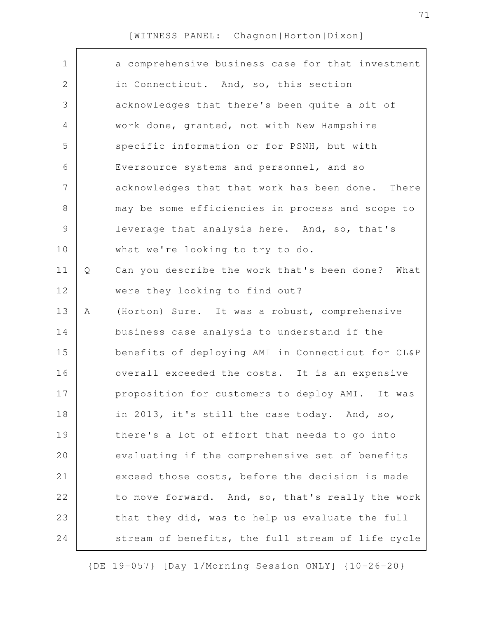$\Gamma$ 

| $\mathbf 1$   |   | a comprehensive business case for that investment |
|---------------|---|---------------------------------------------------|
| 2             |   | in Connecticut. And, so, this section             |
| 3             |   | acknowledges that there's been quite a bit of     |
| 4             |   | work done, granted, not with New Hampshire        |
| 5             |   | specific information or for PSNH, but with        |
| 6             |   | Eversource systems and personnel, and so          |
| 7             |   | acknowledges that that work has been done. There  |
| $8\,$         |   | may be some efficiencies in process and scope to  |
| $\mathcal{G}$ |   | leverage that analysis here. And, so, that's      |
| 10            |   | what we're looking to try to do.                  |
| 11            | Q | Can you describe the work that's been done? What  |
| 12            |   | were they looking to find out?                    |
|               |   |                                                   |
| 13            | Α | (Horton) Sure. It was a robust, comprehensive     |
| 14            |   | business case analysis to understand if the       |
| 15            |   | benefits of deploying AMI in Connecticut for CL&P |
| 16            |   | overall exceeded the costs. It is an expensive    |
| 17            |   | proposition for customers to deploy AMI. It was   |
| 18            |   | in 2013, it's still the case today. And, so,      |
| 19            |   | there's a lot of effort that needs to go into     |
| 20            |   | evaluating if the comprehensive set of benefits   |
| 21            |   | exceed those costs, before the decision is made   |
| 22            |   | to move forward. And, so, that's really the work  |
| 23            |   | that they did, was to help us evaluate the full   |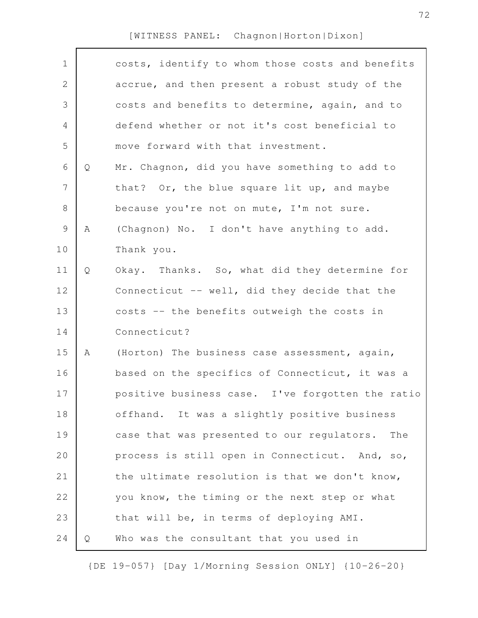$\Gamma$ 

| $\mathbf 1$    |   | costs, identify to whom those costs and benefits  |
|----------------|---|---------------------------------------------------|
| $\mathbf 2$    |   | accrue, and then present a robust study of the    |
| 3              |   | costs and benefits to determine, again, and to    |
| $\overline{4}$ |   | defend whether or not it's cost beneficial to     |
| 5              |   | move forward with that investment.                |
| 6              | Q | Mr. Chagnon, did you have something to add to     |
| 7              |   | that? Or, the blue square lit up, and maybe       |
| 8              |   | because you're not on mute, I'm not sure.         |
| $\mathsf 9$    | Α | (Chagnon) No. I don't have anything to add.       |
| 10             |   | Thank you.                                        |
| 11             | Q | Okay. Thanks. So, what did they determine for     |
| 12             |   | Connecticut -- well, did they decide that the     |
| 13             |   | costs -- the benefits outweigh the costs in       |
| 14             |   | Connecticut?                                      |
| 15             | Α | (Horton) The business case assessment, again,     |
| 16             |   | based on the specifics of Connecticut, it was a   |
| 17             |   | positive business case. I've forgotten the ratio  |
| 18             |   | offhand. It was a slightly positive business      |
| 19             |   | case that was presented to our regulators.<br>The |
| 20             |   | process is still open in Connecticut. And, so,    |
| 21             |   | the ultimate resolution is that we don't know,    |
| 22             |   | you know, the timing or the next step or what     |
| 23             |   | that will be, in terms of deploying AMI.          |
| 24             | Q | Who was the consultant that you used in           |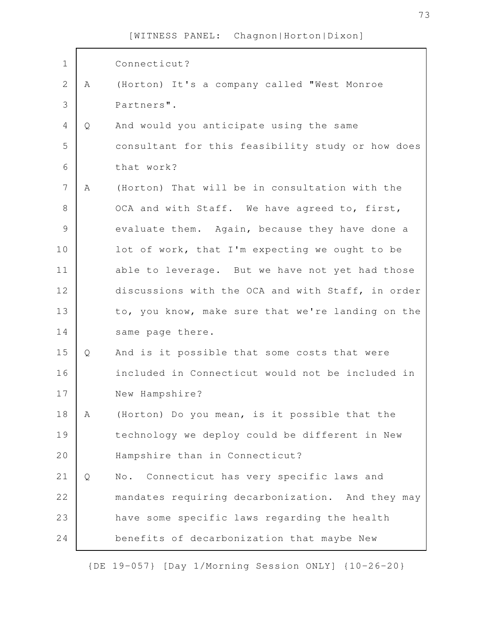| $\mathbf 1$    |   | Connecticut?                                      |
|----------------|---|---------------------------------------------------|
| $\mathbf{2}$   | A | (Horton) It's a company called "West Monroe       |
| 3              |   | Partners".                                        |
| $\overline{4}$ | Q | And would you anticipate using the same           |
| 5              |   | consultant for this feasibility study or how does |
| 6              |   | that work?                                        |
| 7              | A | (Horton) That will be in consultation with the    |
| $\,8\,$        |   | OCA and with Staff. We have agreed to, first,     |
| $\mathcal{G}$  |   | evaluate them. Again, because they have done a    |
| 10             |   | lot of work, that I'm expecting we ought to be    |
| 11             |   | able to leverage. But we have not yet had those   |
| 12             |   | discussions with the OCA and with Staff, in order |
| 13             |   | to, you know, make sure that we're landing on the |
| 14             |   | same page there.                                  |
| 15             | Q | And is it possible that some costs that were      |
| 16             |   | included in Connecticut would not be included in  |
| 17             |   | New Hampshire?                                    |
| 18             | A | (Horton) Do you mean, is it possible that the     |
| 19             |   | technology we deploy could be different in New    |
| 20             |   | Hampshire than in Connecticut?                    |
| 21             | Q | No. Connecticut has very specific laws and        |
| 22             |   | mandates requiring decarbonization. And they may  |
| 23             |   | have some specific laws regarding the health      |
| 24             |   | benefits of decarbonization that maybe New        |

{DE 19-057} [Day 1/Morning Session ONLY] {10-26-20}

73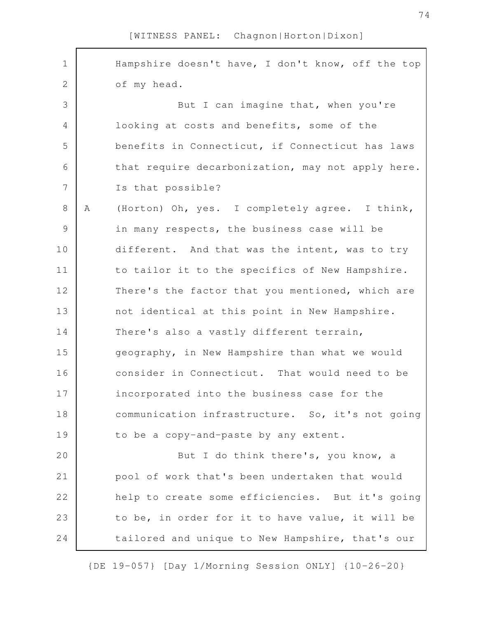Hampshire doesn't have, I don't know, off the top of my head. But I can imagine that, when you're looking at costs and benefits, some of the benefits in Connecticut, if Connecticut has laws that require decarbonization, may not apply here. Is that possible? A (Horton) Oh, yes. I completely agree. I think, in many respects, the business case will be different. And that was the intent, was to try to tailor it to the specifics of New Hampshire. There's the factor that you mentioned, which are not identical at this point in New Hampshire. There's also a vastly different terrain, geography, in New Hampshire than what we would consider in Connecticut. That would need to be incorporated into the business case for the communication infrastructure. So, it's not going to be a copy-and-paste by any extent. But I do think there's, you know, a pool of work that's been undertaken that would help to create some efficiencies. But it's going to be, in order for it to have value, it will be tailored and unique to New Hampshire, that's our 1 2 3 4 5 6 7 8 9 10 11 12 13 14 15 16 17 18 19 20 21 22 23 24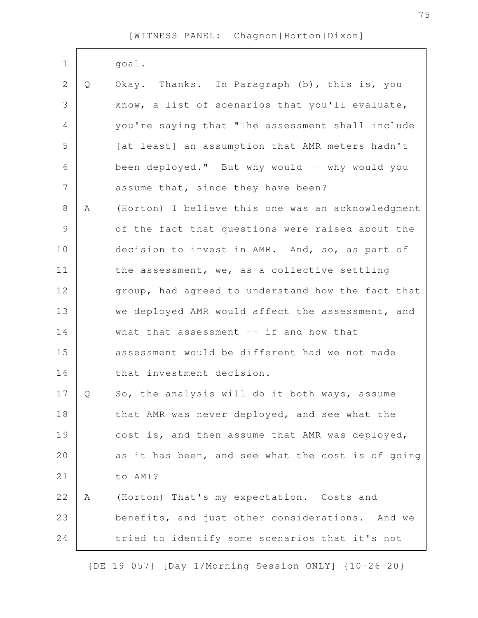| $\mathbf 1$    |   | goal.                                             |
|----------------|---|---------------------------------------------------|
| $\mathbf{2}$   | Q | Okay. Thanks. In Paragraph (b), this is, you      |
| 3              |   | know, a list of scenarios that you'll evaluate,   |
| $\overline{4}$ |   | you're saying that "The assessment shall include  |
| 5              |   | [at least] an assumption that AMR meters hadn't   |
| 6              |   | been deployed." But why would -- why would you    |
| 7              |   | assume that, since they have been?                |
| $8\,$          | A | (Horton) I believe this one was an acknowledgment |
| $\mathsf 9$    |   | of the fact that questions were raised about the  |
| 10             |   | decision to invest in AMR. And, so, as part of    |
| 11             |   | the assessment, we, as a collective settling      |
| 12             |   | group, had agreed to understand how the fact that |
| 13             |   | we deployed AMR would affect the assessment, and  |
| 14             |   | what that assessment $--$ if and how that         |
| 15             |   | assessment would be different had we not made     |
| 16             |   | that investment decision.                         |
| 17             | Q | So, the analysis will do it both ways, assume     |
| 18             |   | that AMR was never deployed, and see what the     |
| 19             |   | cost is, and then assume that AMR was deployed,   |
| 20             |   | as it has been, and see what the cost is of going |
| 21             |   | to AMI?                                           |
| 22             | Α | (Horton) That's my expectation. Costs and         |
| 23             |   | benefits, and just other considerations. And we   |
| 24             |   | tried to identify some scenarios that it's not    |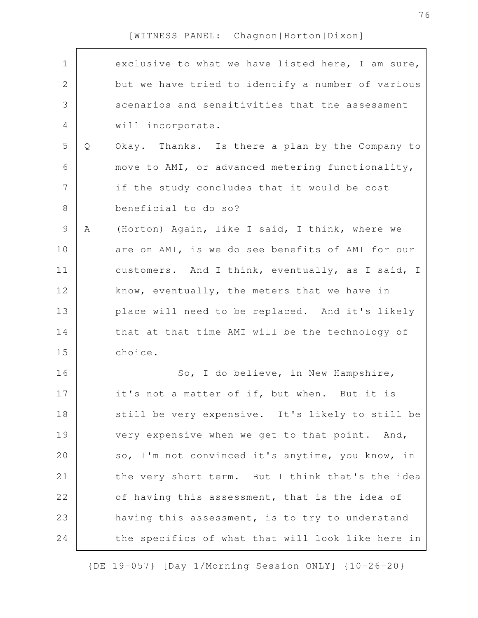| $\mathbf 1$    |   | exclusive to what we have listed here, I am sure, |
|----------------|---|---------------------------------------------------|
| $\mathbf{2}$   |   | but we have tried to identify a number of various |
| 3              |   | scenarios and sensitivities that the assessment   |
| $\overline{4}$ |   | will incorporate.                                 |
| 5              | Q | Okay. Thanks. Is there a plan by the Company to   |
| 6              |   | move to AMI, or advanced metering functionality,  |
| $\overline{7}$ |   | if the study concludes that it would be cost      |
| $\,8\,$        |   | beneficial to do so?                              |
| $\mathsf 9$    | Α | (Horton) Again, like I said, I think, where we    |
| 10             |   | are on AMI, is we do see benefits of AMI for our  |
| 11             |   | customers. And I think, eventually, as I said, I  |
| 12             |   | know, eventually, the meters that we have in      |
| 13             |   | place will need to be replaced. And it's likely   |
| 14             |   | that at that time AMI will be the technology of   |
| 15             |   | choice.                                           |
| 16             |   | So, I do believe, in New Hampshire,               |
| 17             |   | it's not a matter of if, but when. But it is      |
| 18             |   | still be very expensive. It's likely to still be  |
| 19             |   | very expensive when we get to that point. And,    |
| 20             |   | so, I'm not convinced it's anytime, you know, in  |
| 21             |   | the very short term. But I think that's the idea  |
| 22             |   | of having this assessment, that is the idea of    |
| 23             |   | having this assessment, is to try to understand   |
| 24             |   | the specifics of what that will look like here in |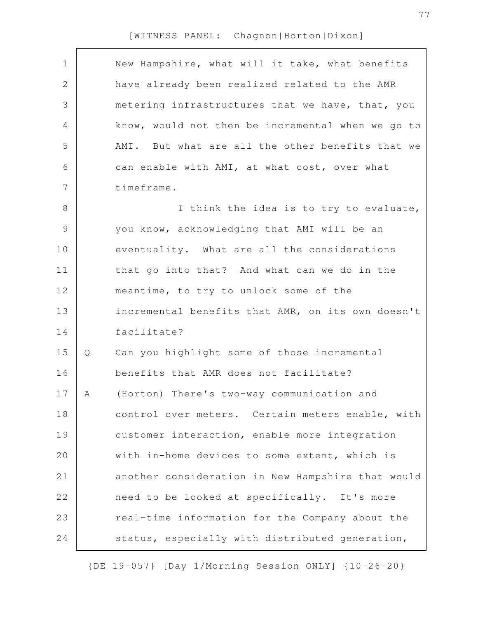$\Gamma$ 

| $\mathbf 1$   |   | New Hampshire, what will it take, what benefits   |
|---------------|---|---------------------------------------------------|
| $\mathbf{2}$  |   | have already been realized related to the AMR     |
| 3             |   | metering infrastructures that we have, that, you  |
| 4             |   | know, would not then be incremental when we go to |
| 5             |   | AMI. But what are all the other benefits that we  |
| 6             |   | can enable with AMI, at what cost, over what      |
| 7             |   | timeframe.                                        |
| 8             |   | I think the idea is to try to evaluate,           |
| $\mathcal{G}$ |   | you know, acknowledging that AMI will be an       |
| 10            |   | eventuality. What are all the considerations      |
| 11            |   | that go into that? And what can we do in the      |
| 12            |   | meantime, to try to unlock some of the            |
| 13            |   | incremental benefits that AMR, on its own doesn't |
| 14            |   | facilitate?                                       |
| 15            | Q | Can you highlight some of those incremental       |
| 16            |   | benefits that AMR does not facilitate?            |
| 17            | Α | (Horton) There's two-way communication and        |
| 18            |   | control over meters. Certain meters enable, with  |
| 19            |   | customer interaction, enable more integration     |
| 20            |   | with in-home devices to some extent, which is     |
| 21            |   | another consideration in New Hampshire that would |
| 22            |   | need to be looked at specifically. It's more      |
| 23            |   | real-time information for the Company about the   |
| 24            |   | status, especially with distributed generation,   |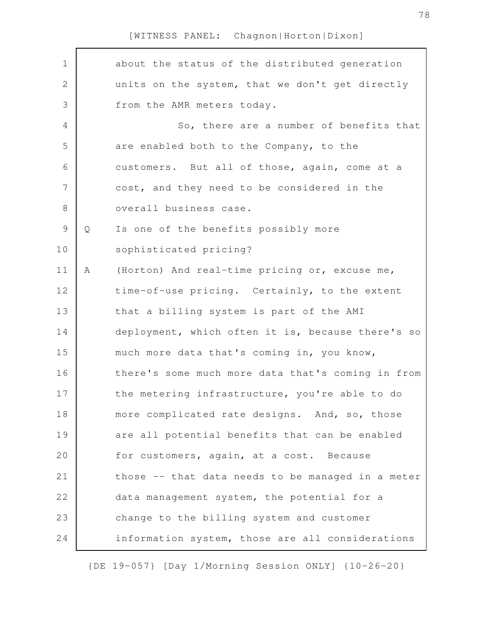| $\mathbf 1$    |   | about the status of the distributed generation    |
|----------------|---|---------------------------------------------------|
| $\mathbf{2}$   |   | units on the system, that we don't get directly   |
| 3              |   | from the AMR meters today.                        |
| 4              |   | So, there are a number of benefits that           |
| 5              |   | are enabled both to the Company, to the           |
| 6              |   | customers. But all of those, again, come at a     |
| $\overline{7}$ |   | cost, and they need to be considered in the       |
| 8              |   | overall business case.                            |
| $\mathsf{S}$   | Q | Is one of the benefits possibly more              |
| 10             |   | sophisticated pricing?                            |
| 11             | A | (Horton) And real-time pricing or, excuse me,     |
| 12             |   | time-of-use pricing. Certainly, to the extent     |
| 13             |   | that a billing system is part of the AMI          |
| 14             |   | deployment, which often it is, because there's so |
| 15             |   | much more data that's coming in, you know,        |
| 16             |   | there's some much more data that's coming in from |
| 17             |   | the metering infrastructure, you're able to do    |
| 18             |   | more complicated rate designs. And, so, those     |
| 19             |   | are all potential benefits that can be enabled    |
| 20             |   | for customers, again, at a cost. Because          |
| 21             |   | those -- that data needs to be managed in a meter |
| 22             |   | data management system, the potential for a       |
| 23             |   | change to the billing system and customer         |
| 24             |   | information system, those are all considerations  |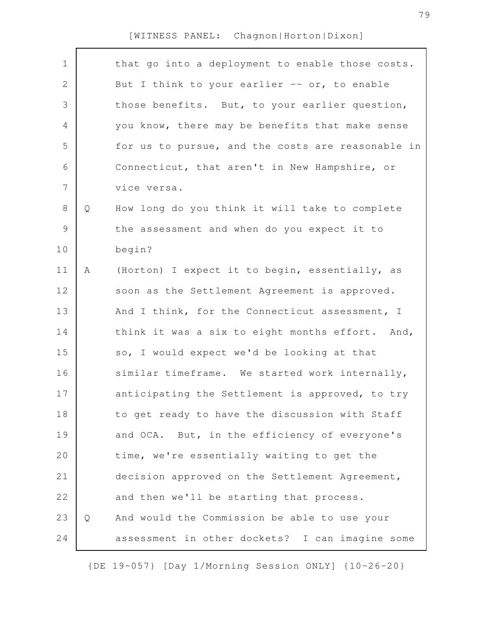$\Gamma$ 

| $\mathbf 1$   |   | that go into a deployment to enable those costs.  |
|---------------|---|---------------------------------------------------|
| $\mathbf{2}$  |   | But I think to your earlier -- or, to enable      |
| 3             |   | those benefits. But, to your earlier question,    |
| 4             |   | you know, there may be benefits that make sense   |
| 5             |   | for us to pursue, and the costs are reasonable in |
| 6             |   | Connecticut, that aren't in New Hampshire, or     |
| 7             |   | vice versa.                                       |
| 8             | Q | How long do you think it will take to complete    |
| $\mathcal{G}$ |   | the assessment and when do you expect it to       |
| 10            |   | begin?                                            |
| 11            | Α | (Horton) I expect it to begin, essentially, as    |
| 12            |   | soon as the Settlement Agreement is approved.     |
| 13            |   | And I think, for the Connecticut assessment, I    |
| 14            |   | think it was a six to eight months effort. And,   |
| 15            |   | so, I would expect we'd be looking at that        |
| 16            |   | similar timeframe. We started work internally,    |
| 17            |   | anticipating the Settlement is approved, to try   |
| 18            |   | to get ready to have the discussion with Staff    |
| 19            |   | and OCA. But, in the efficiency of everyone's     |
| 20            |   | time, we're essentially waiting to get the        |
| 21            |   | decision approved on the Settlement Agreement,    |
| 22            |   | and then we'll be starting that process.          |
| 23            | Q | And would the Commission be able to use your      |
| 24            |   | assessment in other dockets? I can imagine some   |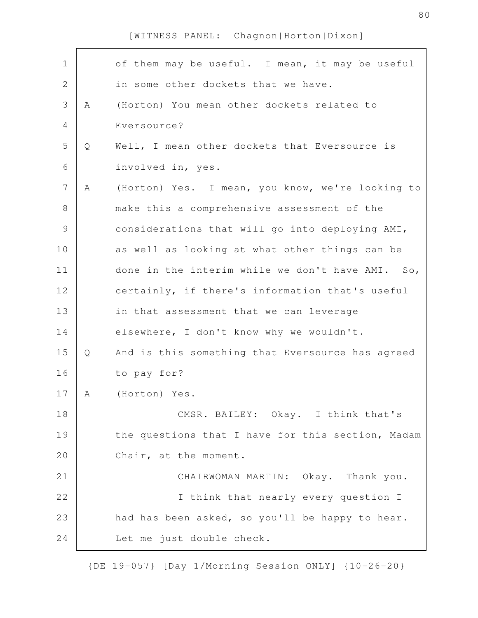| $\mathbf 1$    |   | of them may be useful. I mean, it may be useful   |
|----------------|---|---------------------------------------------------|
| $\mathbf{2}$   |   | in some other dockets that we have.               |
| 3              | Α | (Horton) You mean other dockets related to        |
| 4              |   | Eversource?                                       |
| 5              | Q | Well, I mean other dockets that Eversource is     |
| 6              |   | involved in, yes.                                 |
| $\overline{7}$ | A | (Horton) Yes. I mean, you know, we're looking to  |
| $\,8\,$        |   | make this a comprehensive assessment of the       |
| $\mathcal{G}$  |   | considerations that will go into deploying AMI,   |
| 10             |   | as well as looking at what other things can be    |
| 11             |   | done in the interim while we don't have AMI. So,  |
| 12             |   | certainly, if there's information that's useful   |
| 13             |   | in that assessment that we can leverage           |
| 14             |   | elsewhere, I don't know why we wouldn't.          |
| 15             | Q | And is this something that Eversource has agreed  |
| 16             |   | to pay for?                                       |
| 17             | A | (Horton) Yes.                                     |
| 18             |   | CMSR. BAILEY: Okay. I think that's                |
| 19             |   | the questions that I have for this section, Madam |
| 20             |   | Chair, at the moment.                             |
| 21             |   | CHAIRWOMAN MARTIN: Okay. Thank you.               |
| 22             |   | I think that nearly every question I              |
| 23             |   | had has been asked, so you'll be happy to hear.   |
| 24             |   | Let me just double check.                         |

{DE 19-057} [Day 1/Morning Session ONLY] {10-26-20}

80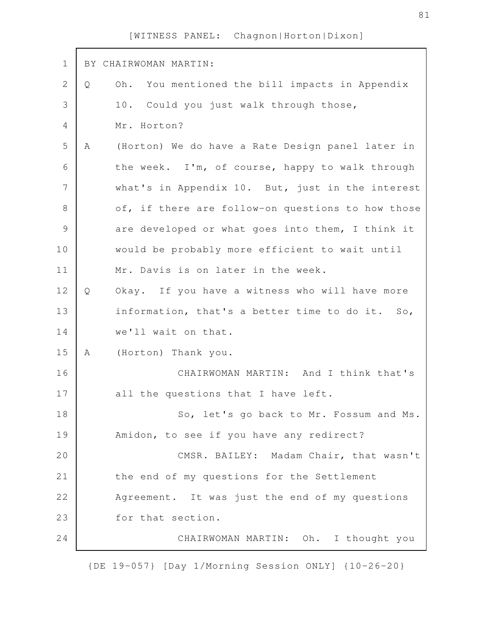| $\mathbf 1$     |   | BY CHAIRWOMAN MARTIN:                                          |
|-----------------|---|----------------------------------------------------------------|
| $\mathbf{2}$    | Q | Oh. You mentioned the bill impacts in Appendix                 |
| 3               |   | 10. Could you just walk through those,                         |
| 4               |   | Mr. Horton?                                                    |
| 5               | Α | (Horton) We do have a Rate Design panel later in               |
| 6               |   | the week. I'm, of course, happy to walk through                |
| $7\phantom{.0}$ |   | what's in Appendix 10. But, just in the interest               |
| $8\,$           |   | of, if there are follow-on questions to how those              |
| $\mathcal{G}$   |   | are developed or what goes into them, I think it               |
| 10              |   | would be probably more efficient to wait until                 |
| 11              |   | Mr. Davis is on later in the week.                             |
| 12              | Q | Okay. If you have a witness who will have more                 |
| 13              |   | information, that's a better time to do it.<br>SO <sub>1</sub> |
| 14              |   | we'll wait on that.                                            |
| 15              | A | (Horton) Thank you.                                            |
| 16              |   | CHAIRWOMAN MARTIN: And I think that's                          |
| 17              |   | all the questions that I have left.                            |
| 18              |   | So, let's go back to Mr. Fossum and Ms.                        |
| 19              |   | Amidon, to see if you have any redirect?                       |
| 20              |   | CMSR. BAILEY: Madam Chair, that wasn't                         |
| 21              |   | the end of my questions for the Settlement                     |
| 22              |   | Agreement. It was just the end of my questions                 |
| 23              |   | for that section.                                              |
| 24              |   | CHAIRWOMAN MARTIN: Oh. I thought you                           |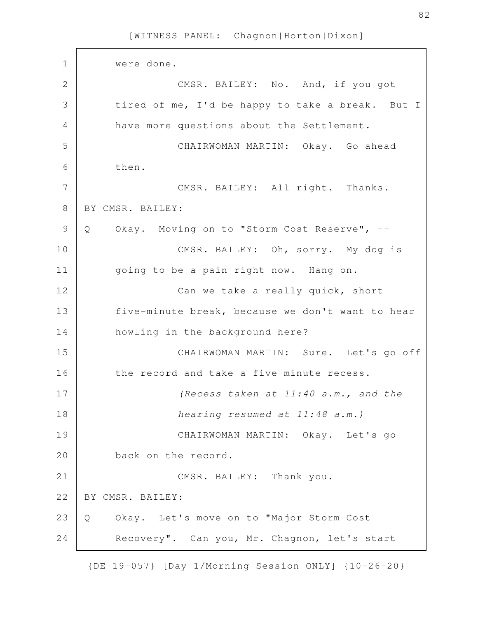were done. CMSR. BAILEY: No. And, if you got tired of me, I'd be happy to take a break. But I have more questions about the Settlement. CHAIRWOMAN MARTIN: Okay. Go ahead then. CMSR. BAILEY: All right. Thanks. BY CMSR. BAILEY: Q Okay. Moving on to "Storm Cost Reserve", -- CMSR. BAILEY: Oh, sorry. My dog is going to be a pain right now. Hang on. Can we take a really quick, short five-minute break, because we don't want to hear howling in the background here? CHAIRWOMAN MARTIN: Sure. Let's go off the record and take a five-minute recess. *(Recess taken at 11:40 a.m., and the hearing resumed at 11:48 a.m.)*  CHAIRWOMAN MARTIN: Okay. Let's go back on the record. CMSR. BAILEY: Thank you. BY CMSR. BAILEY: Q Okay. Let's move on to "Major Storm Cost Recovery". Can you, Mr. Chagnon, let's start 1 2 3 4 5 6 7 8 9 10 11 12 13 14 15 16 17 18 19 20 21 22 23 24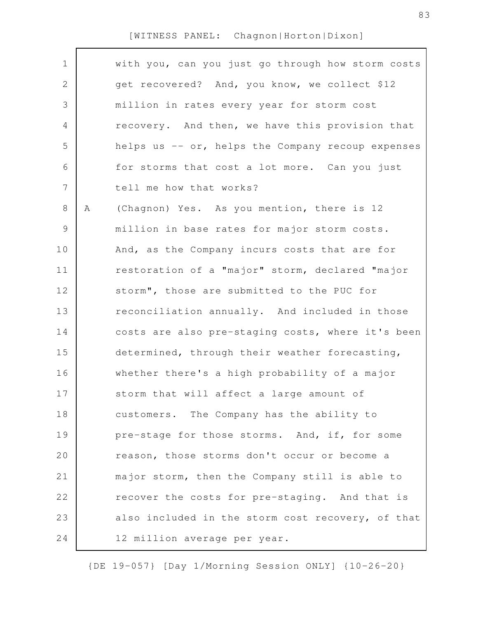$\Gamma$ 

| $\mathbf 1$  |   | with you, can you just go through how storm costs |
|--------------|---|---------------------------------------------------|
| $\mathbf{2}$ |   | get recovered? And, you know, we collect \$12     |
| 3            |   | million in rates every year for storm cost        |
| 4            |   | recovery. And then, we have this provision that   |
| 5            |   | helps us -- or, helps the Company recoup expenses |
| 6            |   | for storms that cost a lot more. Can you just     |
| 7            |   | tell me how that works?                           |
| 8            | Α | (Chagnon) Yes. As you mention, there is 12        |
| $\mathsf 9$  |   | million in base rates for major storm costs.      |
| 10           |   | And, as the Company incurs costs that are for     |
| 11           |   | restoration of a "major" storm, declared "major   |
| 12           |   | storm", those are submitted to the PUC for        |
| 13           |   | reconciliation annually. And included in those    |
| 14           |   | costs are also pre-staging costs, where it's been |
| 15           |   | determined, through their weather forecasting,    |
| 16           |   | whether there's a high probability of a major     |
| 17           |   | storm that will affect a large amount of          |
| 18           |   | customers. The Company has the ability to         |
| 19           |   | pre-stage for those storms. And, if, for some     |
| 20           |   | reason, those storms don't occur or become a      |
| 21           |   | major storm, then the Company still is able to    |
| 22           |   | recover the costs for pre-staging. And that is    |
| 23           |   | also included in the storm cost recovery, of that |
| 24           |   | 12 million average per year.                      |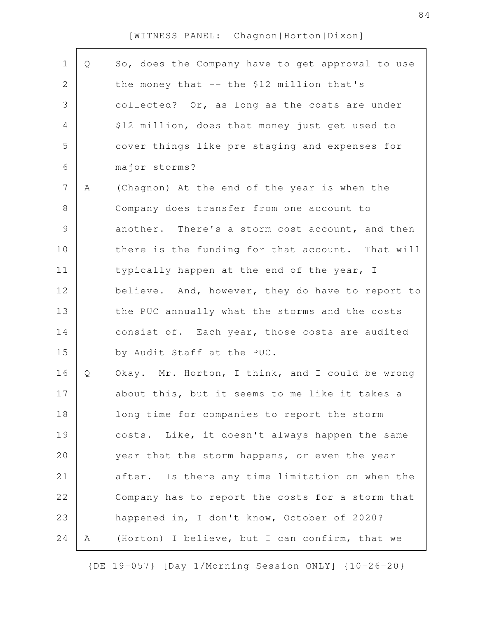| $\mathbf 1$    | Q | So, does the Company have to get approval to use |
|----------------|---|--------------------------------------------------|
| 2              |   | the money that -- the \$12 million that's        |
| 3              |   | collected? Or, as long as the costs are under    |
| 4              |   | \$12 million, does that money just get used to   |
| 5              |   | cover things like pre-staging and expenses for   |
| 6              |   | major storms?                                    |
| $\overline{7}$ | Α | (Chagnon) At the end of the year is when the     |
| $8\,$          |   | Company does transfer from one account to        |
| $\mathsf 9$    |   | another. There's a storm cost account, and then  |
| 10             |   | there is the funding for that account. That will |
| 11             |   | typically happen at the end of the year, I       |
| 12             |   | believe. And, however, they do have to report to |
| 13             |   | the PUC annually what the storms and the costs   |
| 14             |   | consist of. Each year, those costs are audited   |
| 15             |   | by Audit Staff at the PUC.                       |
| 16             | Q | Okay. Mr. Horton, I think, and I could be wrong  |
| 17             |   | about this, but it seems to me like it takes a   |
| 18             |   | long time for companies to report the storm      |
| 19             |   | costs. Like, it doesn't always happen the same   |
| 20             |   | year that the storm happens, or even the year    |
| 21             |   | after. Is there any time limitation on when the  |
| 22             |   | Company has to report the costs for a storm that |
| 23             |   | happened in, I don't know, October of 2020?      |
| 24             | Α | (Horton) I believe, but I can confirm, that we   |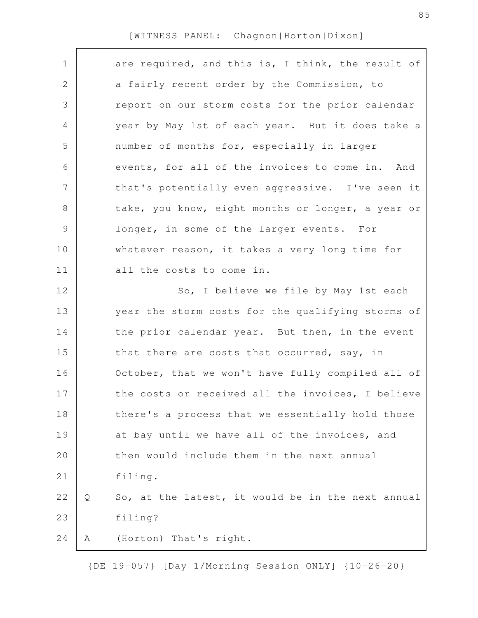| $\mathbf 1$ |   | are required, and this is, I think, the result of |
|-------------|---|---------------------------------------------------|
| 2           |   | a fairly recent order by the Commission, to       |
| 3           |   | report on our storm costs for the prior calendar  |
| 4           |   | year by May 1st of each year. But it does take a  |
| 5           |   | number of months for, especially in larger        |
| 6           |   | events, for all of the invoices to come in. And   |
| 7           |   | that's potentially even aggressive. I've seen it  |
| $\,8\,$     |   | take, you know, eight months or longer, a year or |
| $\mathsf 9$ |   | longer, in some of the larger events. For         |
| 10          |   | whatever reason, it takes a very long time for    |
| 11          |   | all the costs to come in.                         |
| 12          |   | So, I believe we file by May 1st each             |
| 13          |   | year the storm costs for the qualifying storms of |
| 14          |   | the prior calendar year. But then, in the event   |
| 15          |   | that there are costs that occurred, say, in       |
| 16          |   | October, that we won't have fully compiled all of |
| 17          |   | the costs or received all the invoices, I believe |
| 18          |   | there's a process that we essentially hold those  |
| 19          |   | at bay until we have all of the invoices, and     |
| 20          |   | then would include them in the next annual        |
| 21          |   | filing.                                           |
| 22          | Q | So, at the latest, it would be in the next annual |
| 23          |   | filing?                                           |
| 24          | Α | (Horton) That's right.                            |
|             |   |                                                   |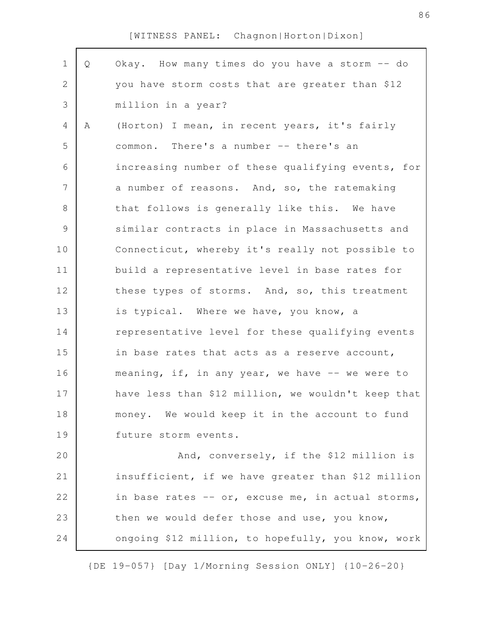| $\mathbf 1$    | Q | Okay. How many times do you have a storm -- do     |
|----------------|---|----------------------------------------------------|
| $\overline{2}$ |   | you have storm costs that are greater than \$12    |
| 3              |   | million in a year?                                 |
| 4              | Α | (Horton) I mean, in recent years, it's fairly      |
| 5              |   | common. There's a number -- there's an             |
| 6              |   | increasing number of these qualifying events, for  |
| $\overline{7}$ |   | a number of reasons. And, so, the ratemaking       |
| 8              |   | that follows is generally like this. We have       |
| $\mathcal{G}$  |   | similar contracts in place in Massachusetts and    |
| 10             |   | Connecticut, whereby it's really not possible to   |
| 11             |   | build a representative level in base rates for     |
| 12             |   | these types of storms. And, so, this treatment     |
| 13             |   | is typical. Where we have, you know, a             |
| 14             |   | representative level for these qualifying events   |
| 15             |   | in base rates that acts as a reserve account,      |
| 16             |   | meaning, if, in any year, we have -- we were to    |
| 17             |   | have less than \$12 million, we wouldn't keep that |
| 18             |   | money. We would keep it in the account to fund     |
| 19             |   | future storm events.                               |
| 20             |   | And, conversely, if the \$12 million is            |
| 21             |   | insufficient, if we have greater than \$12 million |
| 22             |   | in base rates -- or, excuse me, in actual storms,  |
| 23             |   | then we would defer those and use, you know,       |
| 24             |   | ongoing \$12 million, to hopefully, you know, work |

{DE 19-057} [Day 1/Morning Session ONLY] {10-26-20}

86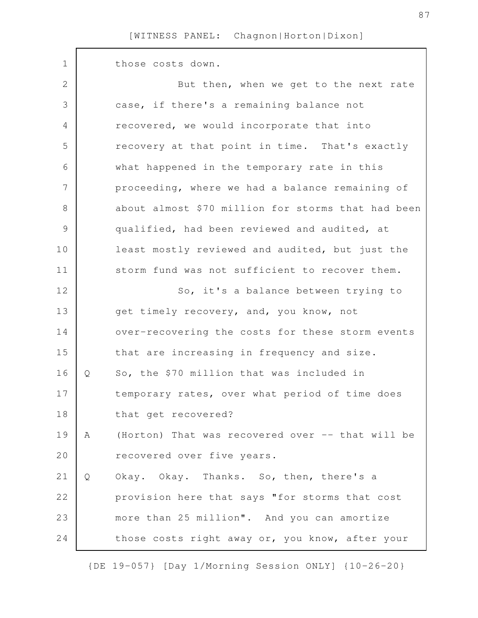| $\mathbf 1$    |   | those costs down.                                  |
|----------------|---|----------------------------------------------------|
| 2              |   | But then, when we get to the next rate             |
| 3              |   | case, if there's a remaining balance not           |
| $\overline{4}$ |   | recovered, we would incorporate that into          |
| 5              |   | recovery at that point in time. That's exactly     |
| 6              |   | what happened in the temporary rate in this        |
| $\overline{7}$ |   | proceeding, where we had a balance remaining of    |
| $8\,$          |   | about almost \$70 million for storms that had been |
| $\mathcal{G}$  |   | qualified, had been reviewed and audited, at       |
| 10             |   | least mostly reviewed and audited, but just the    |
| 11             |   | storm fund was not sufficient to recover them.     |
| 12             |   | So, it's a balance between trying to               |
| 13             |   | get timely recovery, and, you know, not            |
| 14             |   | over-recovering the costs for these storm events   |
| 15             |   | that are increasing in frequency and size.         |
| 16             | Q | So, the \$70 million that was included in          |
| 17             |   | temporary rates, over what period of time does     |
| 18             |   | that get recovered?                                |
| 19             | A | (Horton) That was recovered over -- that will be   |
| 20             |   | recovered over five years.                         |
| 21             | Q | Okay. Okay. Thanks. So, then, there's a            |
| 22             |   | provision here that says "for storms that cost     |
| 23             |   | more than 25 million". And you can amortize        |
| 24             |   | those costs right away or, you know, after your    |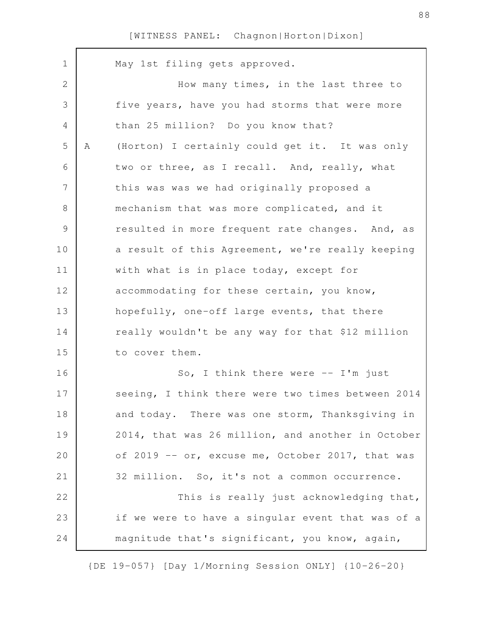| $\mathbf 1$   |   | May 1st filing gets approved.                     |
|---------------|---|---------------------------------------------------|
| $\mathbf{2}$  |   | How many times, in the last three to              |
| 3             |   | five years, have you had storms that were more    |
| 4             |   | than 25 million? Do you know that?                |
| 5             | Α | (Horton) I certainly could get it. It was only    |
| 6             |   | two or three, as I recall. And, really, what      |
| 7             |   | this was was we had originally proposed a         |
| 8             |   | mechanism that was more complicated, and it       |
| $\mathcal{G}$ |   | resulted in more frequent rate changes. And, as   |
| 10            |   | a result of this Agreement, we're really keeping  |
| 11            |   | with what is in place today, except for           |
| 12            |   | accommodating for these certain, you know,        |
| 13            |   | hopefully, one-off large events, that there       |
| 14            |   | really wouldn't be any way for that \$12 million  |
| 15            |   | to cover them.                                    |
| 16            |   | So, I think there were $--$ I'm just              |
| 17            |   | seeing, I think there were two times between 2014 |
| 18            |   | and today. There was one storm, Thanksgiving in   |
| 19            |   | 2014, that was 26 million, and another in October |
| 20            |   | of 2019 -- or, excuse me, October 2017, that was  |
| 21            |   | 32 million. So, it's not a common occurrence.     |
| 22            |   | This is really just acknowledging that,           |
| 23            |   | if we were to have a singular event that was of a |
| 24            |   | magnitude that's significant, you know, again,    |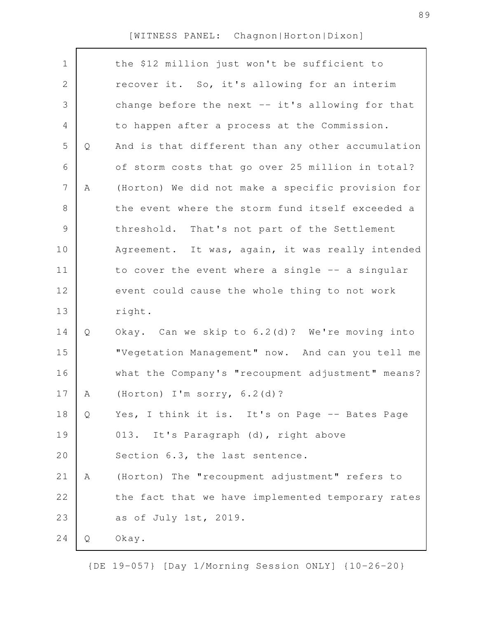| $\mathbf 1$    |   | the \$12 million just won't be sufficient to      |
|----------------|---|---------------------------------------------------|
| $\mathbf{2}$   |   | recover it. So, it's allowing for an interim      |
| 3              |   | change before the next -- it's allowing for that  |
| 4              |   | to happen after a process at the Commission.      |
| 5              | Q | And is that different than any other accumulation |
| 6              |   | of storm costs that go over 25 million in total?  |
| $\overline{7}$ | Α | (Horton) We did not make a specific provision for |
| $8\,$          |   | the event where the storm fund itself exceeded a  |
| $\mathcal{G}$  |   | threshold. That's not part of the Settlement      |
| 10             |   | Agreement. It was, again, it was really intended  |
| 11             |   | to cover the event where a single -- a singular   |
| 12             |   | event could cause the whole thing to not work     |
| 13             |   | right.                                            |
| 14             | Q | Okay. Can we skip to 6.2(d)? We're moving into    |
| 15             |   | "Vegetation Management" now. And can you tell me  |
| 16             |   | what the Company's "recoupment adjustment" means? |
| 17             | A | (Horton) I'm sorry, 6.2(d)?                       |
| 18             | Q | Yes, I think it is. It's on Page -- Bates Page    |
| 19             |   | 013. It's Paragraph (d), right above              |
| 20             |   | Section 6.3, the last sentence.                   |
| 21             | Α | (Horton) The "recoupment adjustment" refers to    |
| 22             |   | the fact that we have implemented temporary rates |
| 23             |   | as of July 1st, 2019.                             |
| 24             | Q | Okay.                                             |
|                |   |                                                   |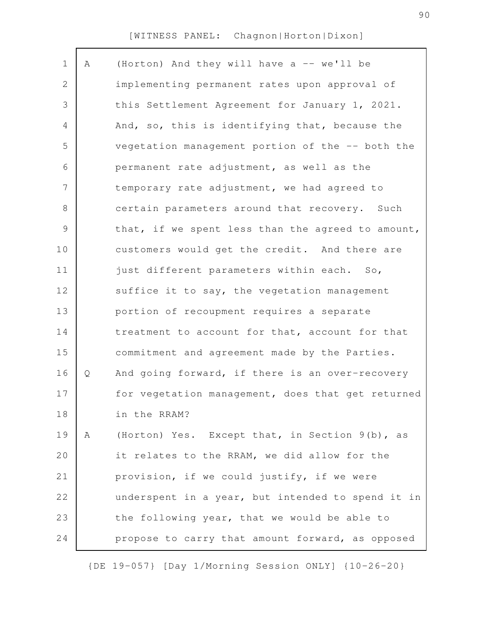| $\mathbf 1$ | Α | (Horton) And they will have a -- we'll be         |
|-------------|---|---------------------------------------------------|
| 2           |   | implementing permanent rates upon approval of     |
| 3           |   | this Settlement Agreement for January 1, 2021.    |
| 4           |   | And, so, this is identifying that, because the    |
| 5           |   | vegetation management portion of the -- both the  |
| 6           |   | permanent rate adjustment, as well as the         |
| 7           |   | temporary rate adjustment, we had agreed to       |
| 8           |   | certain parameters around that recovery. Such     |
| 9           |   | that, if we spent less than the agreed to amount, |
| 10          |   | customers would get the credit. And there are     |
| 11          |   | just different parameters within each. So,        |
| 12          |   | suffice it to say, the vegetation management      |
| 13          |   | portion of recoupment requires a separate         |
| 14          |   | treatment to account for that, account for that   |
| 15          |   | commitment and agreement made by the Parties.     |
| 16          | Q | And going forward, if there is an over-recovery   |
| 17          |   | for vegetation management, does that get returned |
| 18          |   | in the RRAM?                                      |
| 19          | Α | (Horton) Yes. Except that, in Section 9(b), as    |
| 20          |   | it relates to the RRAM, we did allow for the      |
| 21          |   | provision, if we could justify, if we were        |
| 22          |   | underspent in a year, but intended to spend it in |
| 23          |   | the following year, that we would be able to      |
| 24          |   | propose to carry that amount forward, as opposed  |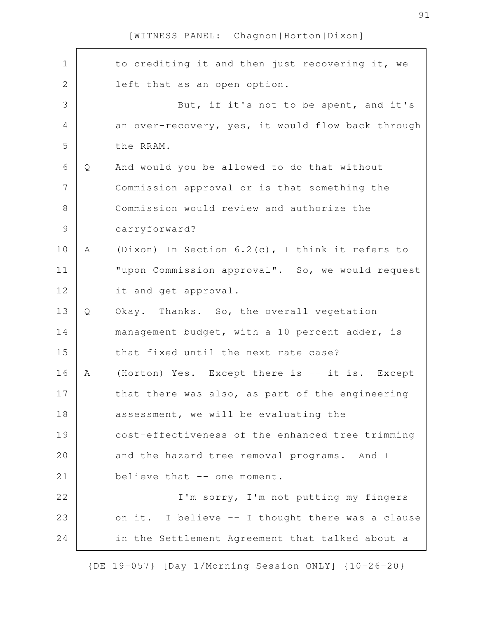| $\mathbf 1$    |   | to crediting it and then just recovering it, we   |
|----------------|---|---------------------------------------------------|
| $\overline{2}$ |   | left that as an open option.                      |
| 3              |   | But, if it's not to be spent, and it's            |
| $\overline{4}$ |   | an over-recovery, yes, it would flow back through |
| 5              |   | the RRAM.                                         |
| 6              | Q | And would you be allowed to do that without       |
| $\overline{7}$ |   | Commission approval or is that something the      |
| $8\,$          |   | Commission would review and authorize the         |
| $\mathcal{G}$  |   | carryforward?                                     |
| 10             | A | (Dixon) In Section 6.2(c), I think it refers to   |
| 11             |   | "upon Commission approval". So, we would request  |
| 12             |   | it and get approval.                              |
| 13             | Q | Okay. Thanks. So, the overall vegetation          |
| 14             |   | management budget, with a 10 percent adder, is    |
| 15             |   | that fixed until the next rate case?              |
| 16             | A | (Horton) Yes. Except there is -- it is. Except    |
| 17             |   | that there was also, as part of the engineering   |
| 18             |   | assessment, we will be evaluating the             |
| 19             |   | cost-effectiveness of the enhanced tree trimming  |
| 20             |   | and the hazard tree removal programs. And I       |
| 21             |   | believe that -- one moment.                       |
| 22             |   | I'm sorry, I'm not putting my fingers             |
| 23             |   | on it. I believe -- I thought there was a clause  |
| 24             |   | in the Settlement Agreement that talked about a   |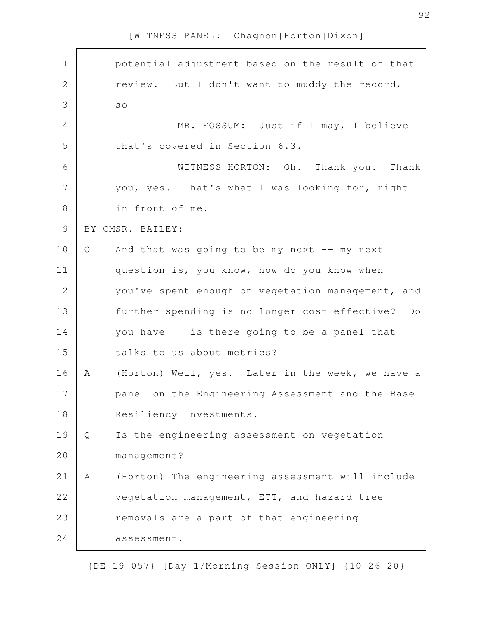| $\mathbf 1$    |   | potential adjustment based on the result of that  |
|----------------|---|---------------------------------------------------|
| $\overline{2}$ |   | review. But I don't want to muddy the record,     |
| 3              |   | $SO$ --                                           |
| $\overline{4}$ |   | MR. FOSSUM: Just if I may, I believe              |
| 5              |   | that's covered in Section 6.3.                    |
| 6              |   | WITNESS HORTON: Oh. Thank you. Thank              |
| 7              |   | you, yes. That's what I was looking for, right    |
| $\,8\,$        |   | in front of me.                                   |
| $\mathcal{G}$  |   | BY CMSR. BAILEY:                                  |
| 10             | Q | And that was going to be my next $--$ my next     |
| 11             |   | question is, you know, how do you know when       |
| 12             |   | you've spent enough on vegetation management, and |
| 13             |   | further spending is no longer cost-effective? Do  |
| 14             |   | you have -- is there going to be a panel that     |
| 15             |   | talks to us about metrics?                        |
| 16             | A | (Horton) Well, yes. Later in the week, we have a  |
| 17             |   | panel on the Engineering Assessment and the Base  |
| 18             |   | Resiliency Investments.                           |
| 19             | Q | Is the engineering assessment on vegetation       |
| 20             |   | management?                                       |
| 21             | Α | (Horton) The engineering assessment will include  |
| 22             |   | vegetation management, ETT, and hazard tree       |
| 23             |   | removals are a part of that engineering           |
| 24             |   | assessment.                                       |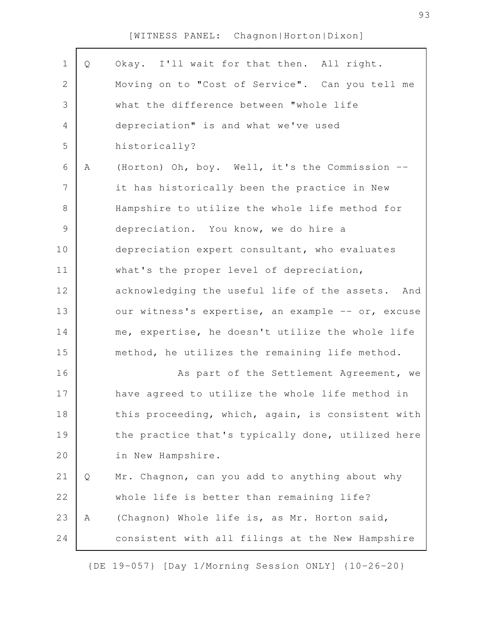| $\mathbf 1$    | Q | Okay. I'll wait for that then. All right.         |
|----------------|---|---------------------------------------------------|
| $\sqrt{2}$     |   | Moving on to "Cost of Service". Can you tell me   |
| $\mathfrak{Z}$ |   | what the difference between "whole life           |
| $\overline{4}$ |   | depreciation" is and what we've used              |
| 5              |   | historically?                                     |
| 6              | Α | (Horton) Oh, boy. Well, it's the Commission --    |
| $\overline{7}$ |   | it has historically been the practice in New      |
| $8\,$          |   | Hampshire to utilize the whole life method for    |
| $\mathsf 9$    |   | depreciation. You know, we do hire a              |
| 10             |   | depreciation expert consultant, who evaluates     |
| 11             |   | what's the proper level of depreciation,          |
| 12             |   | acknowledging the useful life of the assets. And  |
| 13             |   | our witness's expertise, an example -- or, excuse |
| 14             |   | me, expertise, he doesn't utilize the whole life  |
| 15             |   | method, he utilizes the remaining life method.    |
| 16             |   | As part of the Settlement Agreement, we           |
| 17             |   | have agreed to utilize the whole life method in   |
| 18             |   | this proceeding, which, again, is consistent with |
| 19             |   | the practice that's typically done, utilized here |
| 20             |   | in New Hampshire.                                 |
| 21             | Q | Mr. Chagnon, can you add to anything about why    |
| 22             |   | whole life is better than remaining life?         |
| 23             | Α | (Chagnon) Whole life is, as Mr. Horton said,      |
| 24             |   | consistent with all filings at the New Hampshire  |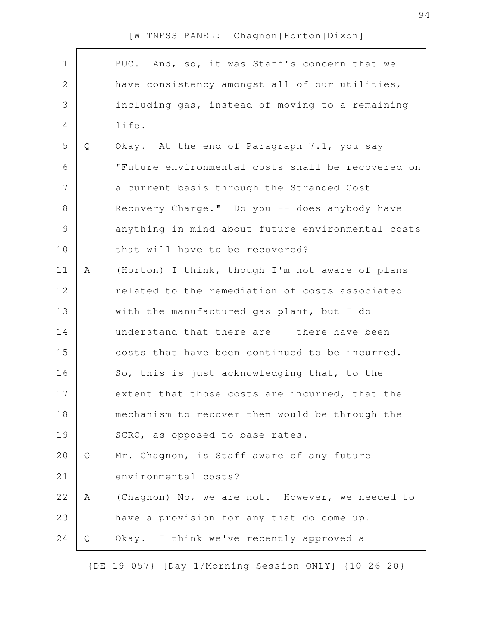| $\mathbf 1$    |   | PUC. And, so, it was Staff's concern that we      |
|----------------|---|---------------------------------------------------|
| $\mathbf 2$    |   | have consistency amongst all of our utilities,    |
| 3              |   | including gas, instead of moving to a remaining   |
| $\overline{4}$ |   | life.                                             |
| 5              | Q | Okay. At the end of Paragraph 7.1, you say        |
| 6              |   | "Future environmental costs shall be recovered on |
| 7              |   | a current basis through the Stranded Cost         |
| $8\,$          |   | Recovery Charge." Do you -- does anybody have     |
| $\mathcal{G}$  |   | anything in mind about future environmental costs |
| 10             |   | that will have to be recovered?                   |
| 11             | Α | (Horton) I think, though I'm not aware of plans   |
| 12             |   | related to the remediation of costs associated    |
| 13             |   | with the manufactured gas plant, but I do         |
| 14             |   | understand that there are -- there have been      |
| 15             |   | costs that have been continued to be incurred.    |
| 16             |   | So, this is just acknowledging that, to the       |
| 17             |   | extent that those costs are incurred, that the    |
| 18             |   | mechanism to recover them would be through the    |
| 19             |   | SCRC, as opposed to base rates.                   |
| 20             | Q | Mr. Chagnon, is Staff aware of any future         |
| 21             |   | environmental costs?                              |
| 22             | A | (Chagnon) No, we are not. However, we needed to   |
| 23             |   | have a provision for any that do come up.         |
| 24             | Q | Okay. I think we've recently approved a           |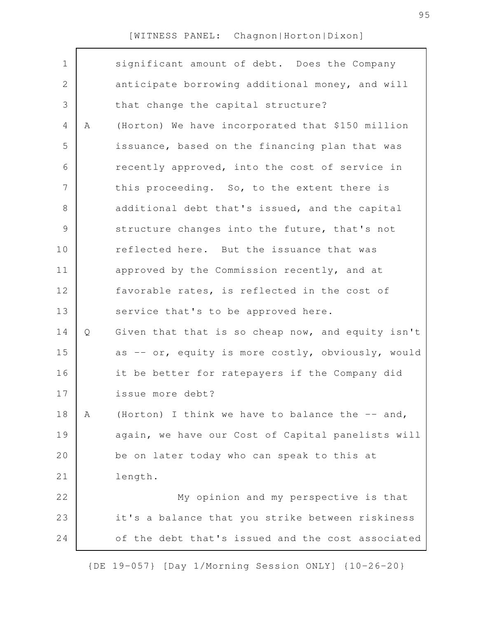| $\mathbf 1$ |             | significant amount of debt. Does the Company      |
|-------------|-------------|---------------------------------------------------|
| 2           |             | anticipate borrowing additional money, and will   |
| 3           |             | that change the capital structure?                |
| 4           | $\mathbb A$ | (Horton) We have incorporated that \$150 million  |
| 5           |             | issuance, based on the financing plan that was    |
| 6           |             | recently approved, into the cost of service in    |
| 7           |             | this proceeding. So, to the extent there is       |
| $8\,$       |             | additional debt that's issued, and the capital    |
| $\mathsf 9$ |             | structure changes into the future, that's not     |
| 10          |             | reflected here. But the issuance that was         |
| 11          |             | approved by the Commission recently, and at       |
| 12          |             | favorable rates, is reflected in the cost of      |
| 13          |             | service that's to be approved here.               |
| 14          | Q           | Given that that is so cheap now, and equity isn't |
| 15          |             | as -- or, equity is more costly, obviously, would |
| 16          |             | it be better for ratepayers if the Company did    |
| 17          |             | issue more debt?                                  |
| 18          | Α           | (Horton) I think we have to balance the -- and,   |
| 19          |             | again, we have our Cost of Capital panelists will |
| 20          |             | be on later today who can speak to this at        |
| 21          |             | length.                                           |
| 22          |             | My opinion and my perspective is that             |
| 23          |             | it's a balance that you strike between riskiness  |
| 24          |             | of the debt that's issued and the cost associated |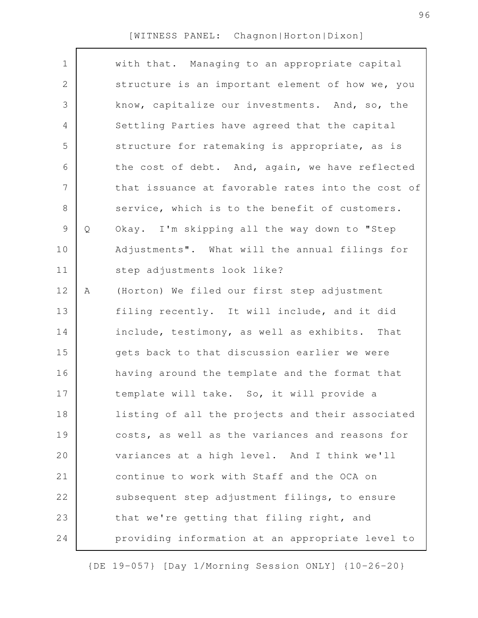| $\mathbf 1$ |   | with that. Managing to an appropriate capital     |
|-------------|---|---------------------------------------------------|
| 2           |   | structure is an important element of how we, you  |
| 3           |   | know, capitalize our investments. And, so, the    |
| 4           |   | Settling Parties have agreed that the capital     |
| 5           |   | structure for ratemaking is appropriate, as is    |
| 6           |   | the cost of debt. And, again, we have reflected   |
| 7           |   | that issuance at favorable rates into the cost of |
| $\,8\,$     |   | service, which is to the benefit of customers.    |
| $\mathsf 9$ | Q | Okay. I'm skipping all the way down to "Step      |
| 10          |   | Adjustments". What will the annual filings for    |
| 11          |   | step adjustments look like?                       |
| 12          | Α | (Horton) We filed our first step adjustment       |
| 13          |   | filing recently. It will include, and it did      |
| 14          |   | include, testimony, as well as exhibits. That     |
| 15          |   | gets back to that discussion earlier we were      |
| 16          |   | having around the template and the format that    |
| 17          |   | template will take. So, it will provide a         |
| 18          |   | listing of all the projects and their associated  |
| 19          |   | costs, as well as the variances and reasons for   |
| 20          |   | variances at a high level. And I think we'll      |
| 21          |   | continue to work with Staff and the OCA on        |
| 22          |   | subsequent step adjustment filings, to ensure     |
| 23          |   | that we're getting that filing right, and         |
| 24          |   | providing information at an appropriate level to  |
|             |   |                                                   |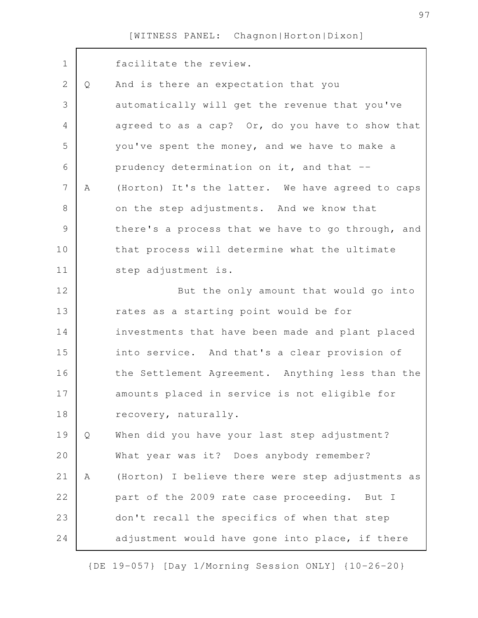| $\mathbf 1$    |   | facilitate the review.                            |
|----------------|---|---------------------------------------------------|
| $\mathbf{2}$   | Q | And is there an expectation that you              |
| 3              |   | automatically will get the revenue that you've    |
| $\overline{4}$ |   | agreed to as a cap? Or, do you have to show that  |
| 5              |   | you've spent the money, and we have to make a     |
| 6              |   | prudency determination on it, and that --         |
| $\overline{7}$ | A | (Horton) It's the latter. We have agreed to caps  |
| 8              |   | on the step adjustments. And we know that         |
| $\mathcal{G}$  |   | there's a process that we have to go through, and |
| 10             |   | that process will determine what the ultimate     |
| 11             |   | step adjustment is.                               |
| 12             |   | But the only amount that would go into            |
| 13             |   | rates as a starting point would be for            |
| 14             |   | investments that have been made and plant placed  |
| 15             |   | into service. And that's a clear provision of     |
| 16             |   | the Settlement Agreement. Anything less than the  |
| 17             |   | amounts placed in service is not eligible for     |
| 18             |   | recovery, naturally.                              |
| 19             | Q | When did you have your last step adjustment?      |
| 20             |   | What year was it? Does anybody remember?          |
| 21             | Α | (Horton) I believe there were step adjustments as |
| 22             |   | part of the 2009 rate case proceeding. But I      |
| 23             |   | don't recall the specifics of when that step      |
| 24             |   | adjustment would have gone into place, if there   |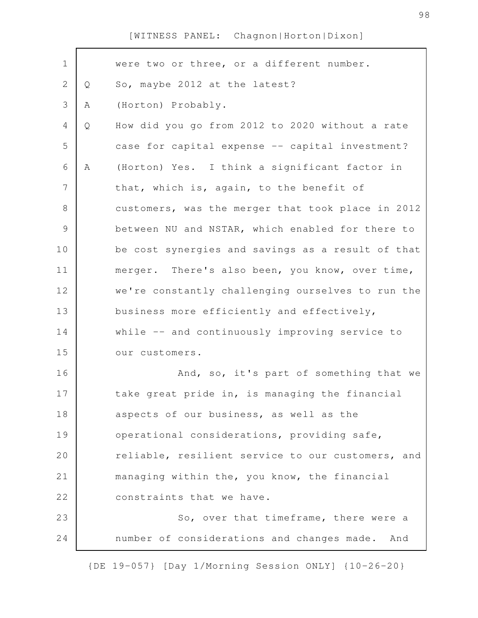| $\mathbf 1$    |   | were two or three, or a different number.         |
|----------------|---|---------------------------------------------------|
| $\mathbf{2}$   | Q | So, maybe 2012 at the latest?                     |
| 3              | Α | (Horton) Probably.                                |
| 4              | Q | How did you go from 2012 to 2020 without a rate   |
| 5              |   | case for capital expense -- capital investment?   |
| 6              | A | (Horton) Yes. I think a significant factor in     |
| $\overline{7}$ |   | that, which is, again, to the benefit of          |
| $8\,$          |   | customers, was the merger that took place in 2012 |
| $\mathsf 9$    |   | between NU and NSTAR, which enabled for there to  |
| 10             |   | be cost synergies and savings as a result of that |
| 11             |   | merger. There's also been, you know, over time,   |
| 12             |   | we're constantly challenging ourselves to run the |
| 13             |   | business more efficiently and effectively,        |
| 14             |   | while -- and continuously improving service to    |
| 15             |   | our customers.                                    |
| 16             |   | And, so, it's part of something that we           |
| 17             |   | take great pride in, is managing the financial    |
| 18             |   | aspects of our business, as well as the           |
| 19             |   | operational considerations, providing safe,       |
| 20             |   | reliable, resilient service to our customers, and |
| 21             |   | managing within the, you know, the financial      |
| 22             |   | constraints that we have.                         |
| 23             |   | So, over that timeframe, there were a             |
| 24             |   | number of considerations and changes made.<br>And |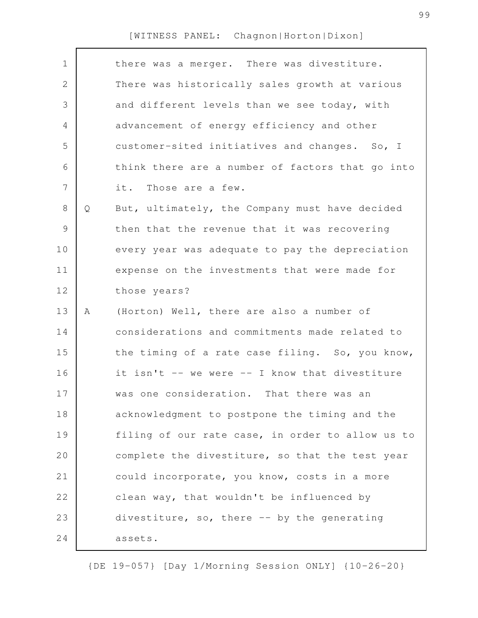|   | there was a merger. There was divestiture.       |
|---|--------------------------------------------------|
|   | There was historically sales growth at various   |
|   | and different levels than we see today, with     |
|   | advancement of energy efficiency and other       |
|   | customer-sited initiatives and changes. So, I    |
|   | think there are a number of factors that go into |
|   | it. Those are a few.                             |
| Q | But, ultimately, the Company must have decided   |
|   | then that the revenue that it was recovering     |
|   | every year was adequate to pay the depreciation  |
|   | expense on the investments that were made for    |
|   | those years?                                     |
| Α | (Horton) Well, there are also a number of        |
|   | considerations and commitments made related to   |
|   | the timing of a rate case filing. So, you know,  |
|   | it isn't -- we were -- I know that divestiture   |
|   | was one consideration. That there was an         |
|   | acknowledgment to postpone the timing and the    |
|   | filing of our rate case, in order to allow us to |
|   | complete the divestiture, so that the test year  |
|   | could incorporate, you know, costs in a more     |
|   | clean way, that wouldn't be influenced by        |
|   | divestiture, so, there -- by the generating      |
|   | assets.                                          |
|   |                                                  |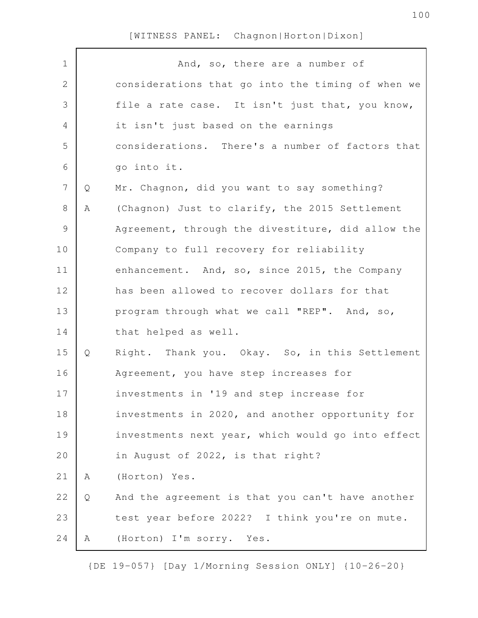| $\mathbf 1$    |   | And, so, there are a number of                    |
|----------------|---|---------------------------------------------------|
| $\mathbf{2}$   |   | considerations that go into the timing of when we |
| 3              |   | file a rate case. It isn't just that, you know,   |
| 4              |   | it isn't just based on the earnings               |
| 5              |   | considerations. There's a number of factors that  |
| 6              |   | go into it.                                       |
| $7\phantom{.}$ | Q | Mr. Chagnon, did you want to say something?       |
| 8              | Α | (Chagnon) Just to clarify, the 2015 Settlement    |
| 9              |   | Agreement, through the divestiture, did allow the |
| 10             |   | Company to full recovery for reliability          |
| 11             |   | enhancement. And, so, since 2015, the Company     |
| 12             |   | has been allowed to recover dollars for that      |
| 13             |   | program through what we call "REP". And, so,      |
| 14             |   | that helped as well.                              |
| 15             | Q | Right. Thank you. Okay. So, in this Settlement    |
| 16             |   | Agreement, you have step increases for            |
| 17             |   | investments in '19 and step increase for          |
| 18             |   | investments in 2020, and another opportunity for  |
| 19             |   | investments next year, which would go into effect |
| 20             |   | in August of 2022, is that right?                 |
| 21             | Α | (Horton) Yes.                                     |
| 22             | Q | And the agreement is that you can't have another  |
| 23             |   | test year before 2022? I think you're on mute.    |
| 24             | Α | (Horton) I'm sorry. Yes.                          |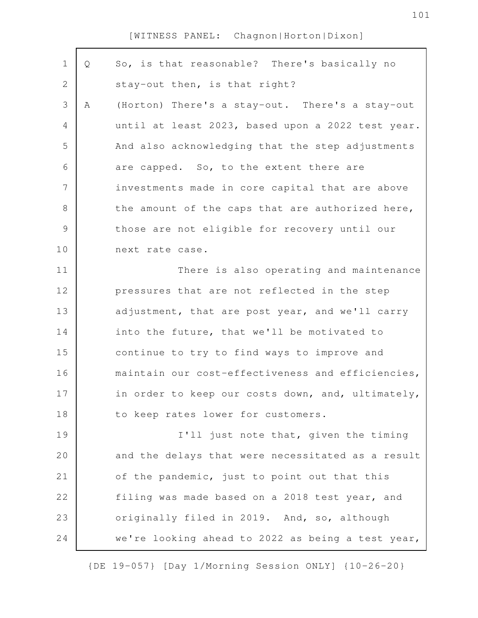| $\mathbf 1$    | Q | So, is that reasonable? There's basically no      |
|----------------|---|---------------------------------------------------|
| $\mathbf{2}$   |   | stay-out then, is that right?                     |
| 3              | Α | (Horton) There's a stay-out. There's a stay-out   |
| 4              |   | until at least 2023, based upon a 2022 test year. |
| 5              |   | And also acknowledging that the step adjustments  |
| 6              |   | are capped. So, to the extent there are           |
| $\overline{7}$ |   | investments made in core capital that are above   |
| 8              |   | the amount of the caps that are authorized here,  |
| $\mathcal{G}$  |   | those are not eligible for recovery until our     |
| 10             |   | next rate case.                                   |
| 11             |   | There is also operating and maintenance           |
| 12             |   | pressures that are not reflected in the step      |
| 13             |   | adjustment, that are post year, and we'll carry   |
| 14             |   | into the future, that we'll be motivated to       |
| 15             |   | continue to try to find ways to improve and       |
| 16             |   | maintain our cost-effectiveness and efficiencies, |
| 17             |   | in order to keep our costs down, and, ultimately, |
| 18             |   | to keep rates lower for customers.                |
| 19             |   | I'll just note that, given the timing             |
| 20             |   | and the delays that were necessitated as a result |
| 21             |   | of the pandemic, just to point out that this      |
| 22             |   | filing was made based on a 2018 test year, and    |
| 23             |   | originally filed in 2019. And, so, although       |
| 24             |   | we're looking ahead to 2022 as being a test year, |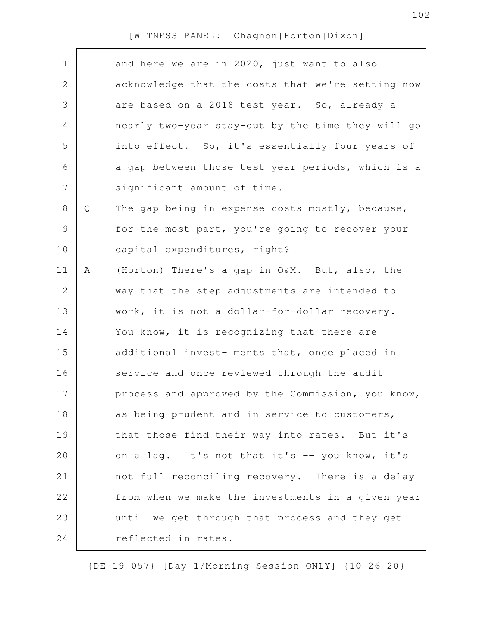| $\mathbf 1$    |   | and here we are in 2020, just want to also        |
|----------------|---|---------------------------------------------------|
| $\mathbf{2}$   |   | acknowledge that the costs that we're setting now |
| 3              |   | are based on a 2018 test year. So, already a      |
| 4              |   | nearly two-year stay-out by the time they will go |
| 5              |   | into effect. So, it's essentially four years of   |
| 6              |   | a gap between those test year periods, which is a |
| $\overline{7}$ |   | significant amount of time.                       |
| $8\,$          | Q | The gap being in expense costs mostly, because,   |
| $\mathsf{S}$   |   | for the most part, you're going to recover your   |
| 10             |   | capital expenditures, right?                      |
| 11             | A | (Horton) There's a gap in O&M. But, also, the     |
| 12             |   | way that the step adjustments are intended to     |
| 13             |   | work, it is not a dollar-for-dollar recovery.     |
| 14             |   | You know, it is recognizing that there are        |
| 15             |   | additional invest- ments that, once placed in     |
| 16             |   | service and once reviewed through the audit       |
| 17             |   | process and approved by the Commission, you know, |
| 18             |   | as being prudent and in service to customers,     |
| 19             |   | that those find their way into rates. But it's    |
| 20             |   | on a lag. It's not that it's -- you know, it's    |
| 21             |   | not full reconciling recovery. There is a delay   |
| 22             |   | from when we make the investments in a given year |
| 23             |   | until we get through that process and they get    |
| 24             |   | reflected in rates.                               |
|                |   |                                                   |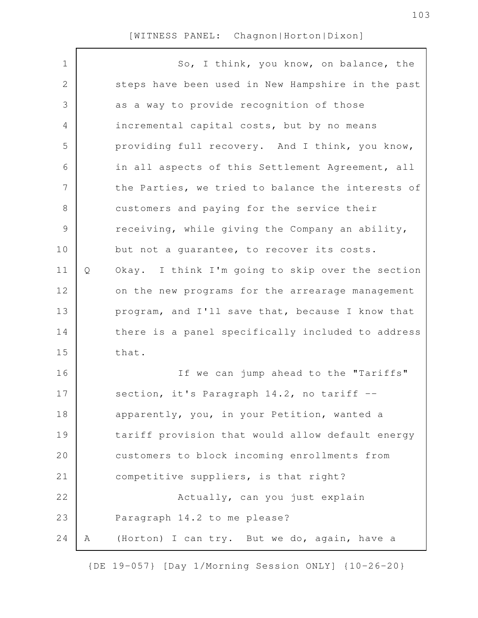| $\mathbf 1$   |   | So, I think, you know, on balance, the            |
|---------------|---|---------------------------------------------------|
| $\sqrt{2}$    |   | steps have been used in New Hampshire in the past |
| 3             |   | as a way to provide recognition of those          |
| 4             |   | incremental capital costs, but by no means        |
| 5             |   | providing full recovery. And I think, you know,   |
| 6             |   | in all aspects of this Settlement Agreement, all  |
| 7             |   | the Parties, we tried to balance the interests of |
| $8\,$         |   | customers and paying for the service their        |
| $\mathcal{G}$ |   | receiving, while giving the Company an ability,   |
| 10            |   | but not a guarantee, to recover its costs.        |
| 11            | Q | Okay. I think I'm going to skip over the section  |
| 12            |   | on the new programs for the arrearage management  |
| 13            |   | program, and I'll save that, because I know that  |
| 14            |   | there is a panel specifically included to address |
| 15            |   | that.                                             |
| 16            |   | If we can jump ahead to the "Tariffs"             |
| 17            |   | section, it's Paragraph 14.2, no tariff --        |
| 18            |   | apparently, you, in your Petition, wanted a       |
| 19            |   | tariff provision that would allow default energy  |
| 20            |   | customers to block incoming enrollments from      |
| 21            |   | competitive suppliers, is that right?             |
| 22            |   | Actually, can you just explain                    |
| 23            |   | Paragraph 14.2 to me please?                      |
| 24            | Α | (Horton) I can try. But we do, again, have a      |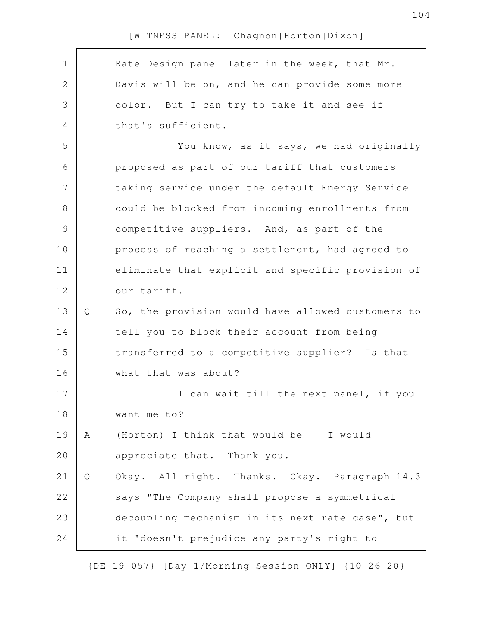Rate Design panel later in the week, that Mr. Davis will be on, and he can provide some more color. But I can try to take it and see if that's sufficient. You know, as it says, we had originally proposed as part of our tariff that customers taking service under the default Energy Service could be blocked from incoming enrollments from competitive suppliers. And, as part of the process of reaching a settlement, had agreed to eliminate that explicit and specific provision of our tariff. Q So, the provision would have allowed customers to tell you to block their account from being transferred to a competitive supplier? Is that what that was about? I can wait till the next panel, if you want me to? A (Horton) I think that would be -- I would appreciate that. Thank you. Q Okay. All right. Thanks. Okay. Paragraph 14.3 says "The Company shall propose a symmetrical decoupling mechanism in its next rate case", but it "doesn't prejudice any party's right to 1 2 3 4 5 6 7 8 9 10 11 12 13 14 15 16 17 18 19 20 21 22 23 24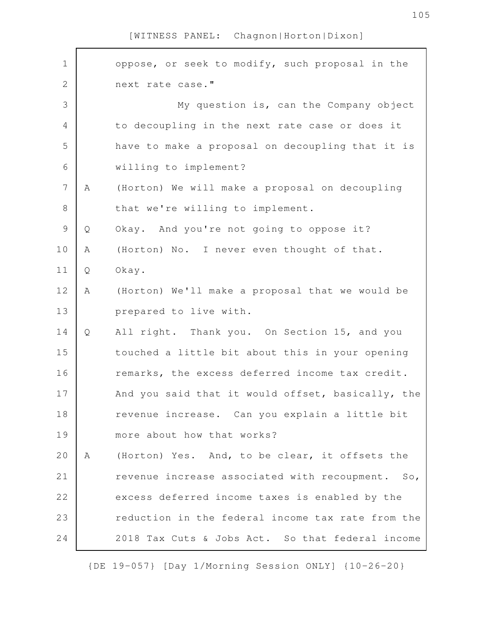| $\mathbf 1$    |   | oppose, or seek to modify, such proposal in the   |
|----------------|---|---------------------------------------------------|
| $\overline{2}$ |   | next rate case."                                  |
| 3              |   | My question is, can the Company object            |
| $\overline{4}$ |   | to decoupling in the next rate case or does it    |
| 5              |   | have to make a proposal on decoupling that it is  |
| 6              |   | willing to implement?                             |
| $\overline{7}$ | A | (Horton) We will make a proposal on decoupling    |
| $\,8\,$        |   | that we're willing to implement.                  |
| $\mathcal{G}$  | Q | Okay. And you're not going to oppose it?          |
| 10             | Α | (Horton) No. I never even thought of that.        |
| 11             | Q | Okay.                                             |
| 12             | Α | (Horton) We'll make a proposal that we would be   |
| 13             |   | prepared to live with.                            |
| 14             | Q | All right. Thank you. On Section 15, and you      |
| 15             |   | touched a little bit about this in your opening   |
| 16             |   | remarks, the excess deferred income tax credit.   |
| 17             |   | And you said that it would offset, basically, the |
| 18             |   | revenue increase. Can you explain a little bit    |
| 19             |   | more about how that works?                        |
| 20             | A | (Horton) Yes. And, to be clear, it offsets the    |
| 21             |   | revenue increase associated with recoupment. So,  |
| 22             |   | excess deferred income taxes is enabled by the    |
| 23             |   | reduction in the federal income tax rate from the |
| 24             |   | 2018 Tax Cuts & Jobs Act. So that federal income  |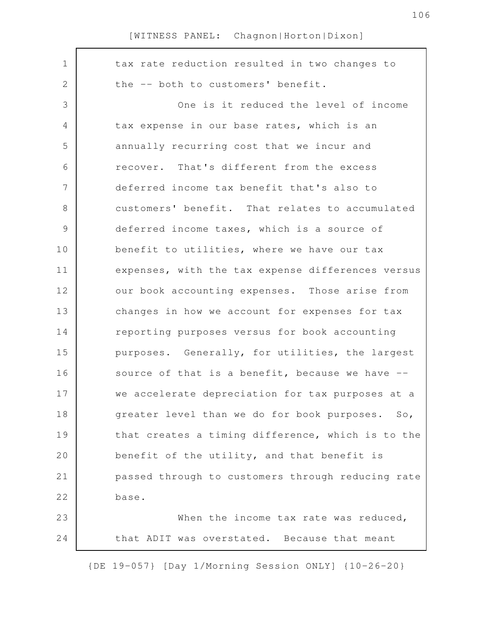| $\mathbf 1$<br>tax rate reduction resulted in two changes to<br>$\mathbf{2}$<br>the -- both to customers' benefit.<br>3<br>One is it reduced the level of income<br>$\overline{4}$<br>tax expense in our base rates, which is an<br>5<br>annually recurring cost that we incur and<br>6<br>recover. That's different from the excess<br>7<br>deferred income tax benefit that's also to<br>8<br>customers' benefit. That relates to accumulated<br>$\mathcal{G}$<br>deferred income taxes, which is a source of |  |
|-----------------------------------------------------------------------------------------------------------------------------------------------------------------------------------------------------------------------------------------------------------------------------------------------------------------------------------------------------------------------------------------------------------------------------------------------------------------------------------------------------------------|--|
|                                                                                                                                                                                                                                                                                                                                                                                                                                                                                                                 |  |
|                                                                                                                                                                                                                                                                                                                                                                                                                                                                                                                 |  |
|                                                                                                                                                                                                                                                                                                                                                                                                                                                                                                                 |  |
|                                                                                                                                                                                                                                                                                                                                                                                                                                                                                                                 |  |
|                                                                                                                                                                                                                                                                                                                                                                                                                                                                                                                 |  |
|                                                                                                                                                                                                                                                                                                                                                                                                                                                                                                                 |  |
|                                                                                                                                                                                                                                                                                                                                                                                                                                                                                                                 |  |
|                                                                                                                                                                                                                                                                                                                                                                                                                                                                                                                 |  |
|                                                                                                                                                                                                                                                                                                                                                                                                                                                                                                                 |  |
| 10<br>benefit to utilities, where we have our tax                                                                                                                                                                                                                                                                                                                                                                                                                                                               |  |
| expenses, with the tax expense differences versus<br>11                                                                                                                                                                                                                                                                                                                                                                                                                                                         |  |
| 12<br>our book accounting expenses. Those arise from                                                                                                                                                                                                                                                                                                                                                                                                                                                            |  |
| 13<br>changes in how we account for expenses for tax                                                                                                                                                                                                                                                                                                                                                                                                                                                            |  |
| reporting purposes versus for book accounting<br>14                                                                                                                                                                                                                                                                                                                                                                                                                                                             |  |
| 15<br>purposes. Generally, for utilities, the largest                                                                                                                                                                                                                                                                                                                                                                                                                                                           |  |
| source of that is a benefit, because we have --<br>16                                                                                                                                                                                                                                                                                                                                                                                                                                                           |  |
| 17<br>we accelerate depreciation for tax purposes at a                                                                                                                                                                                                                                                                                                                                                                                                                                                          |  |
| 18<br>greater level than we do for book purposes. So,                                                                                                                                                                                                                                                                                                                                                                                                                                                           |  |
| 19<br>that creates a timing difference, which is to the                                                                                                                                                                                                                                                                                                                                                                                                                                                         |  |
| 20<br>benefit of the utility, and that benefit is                                                                                                                                                                                                                                                                                                                                                                                                                                                               |  |
| 21<br>passed through to customers through reducing rate                                                                                                                                                                                                                                                                                                                                                                                                                                                         |  |
| 22<br>base.                                                                                                                                                                                                                                                                                                                                                                                                                                                                                                     |  |
| 23<br>When the income tax rate was reduced,                                                                                                                                                                                                                                                                                                                                                                                                                                                                     |  |
| 24<br>that ADIT was overstated. Because that meant                                                                                                                                                                                                                                                                                                                                                                                                                                                              |  |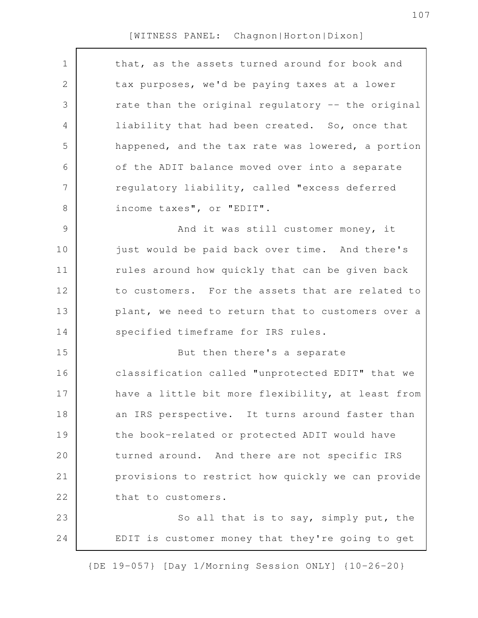| $\mathbf 1$    | that, as the assets turned around for book and    |
|----------------|---------------------------------------------------|
| 2              | tax purposes, we'd be paying taxes at a lower     |
| 3              | rate than the original regulatory -- the original |
| 4              | liability that had been created. So, once that    |
| 5              | happened, and the tax rate was lowered, a portion |
| 6              | of the ADIT balance moved over into a separate    |
| $\overline{7}$ | regulatory liability, called "excess deferred     |
| $8\,$          | income taxes", or "EDIT".                         |
| $\mathcal{G}$  | And it was still customer money, it               |
| 10             | just would be paid back over time. And there's    |
| 11             | rules around how quickly that can be given back   |
| 12             | to customers. For the assets that are related to  |
| 13             | plant, we need to return that to customers over a |
| 14             | specified timeframe for IRS rules.                |
| 15             | But then there's a separate                       |
| 16             | classification called "unprotected EDIT" that we  |
| 17             | have a little bit more flexibility, at least from |
| 18             | an IRS perspective. It turns around faster than   |
| 19             | the book-related or protected ADIT would have     |
| 20             | turned around. And there are not specific IRS     |
| 21             | provisions to restrict how quickly we can provide |
| 22             | that to customers.                                |
| 23             | So all that is to say, simply put, the            |
| 24             | EDIT is customer money that they're going to get  |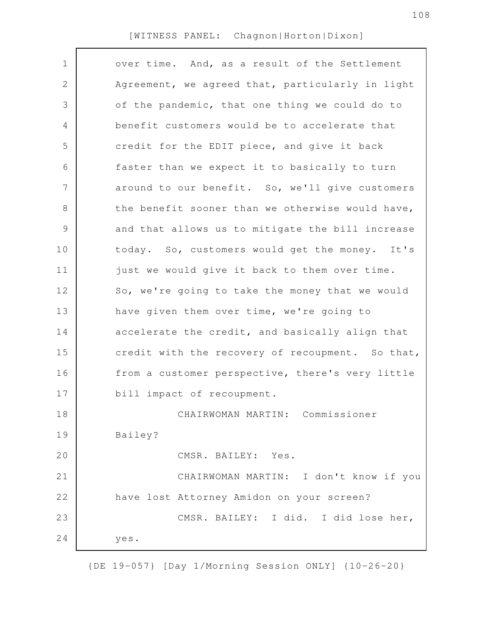| $\mathbf 1$<br>2 | over time. And, as a result of the Settlement    |
|------------------|--------------------------------------------------|
|                  |                                                  |
|                  | Agreement, we agreed that, particularly in light |
| 3                | of the pandemic, that one thing we could do to   |
| 4                | benefit customers would be to accelerate that    |
| 5                | credit for the EDIT piece, and give it back      |
| 6                | faster than we expect it to basically to turn    |
| 7                | around to our benefit. So, we'll give customers  |
| $\,8\,$          | the benefit sooner than we otherwise would have, |
| $\mathcal{G}$    | and that allows us to mitigate the bill increase |
| 10               | today. So, customers would get the money. It's   |
| 11               | just we would give it back to them over time.    |
| 12               | So, we're going to take the money that we would  |
| 13               | have given them over time, we're going to        |
| 14               | accelerate the credit, and basically align that  |
| 15               | credit with the recovery of recoupment. So that, |
| 16               | from a customer perspective, there's very little |
| 17               | bill impact of recoupment.                       |
| 18               | CHAIRWOMAN MARTIN: Commissioner                  |
| 19               | Bailey?                                          |
| 20               | CMSR. BAILEY: Yes.                               |
| 21               | CHAIRWOMAN MARTIN: I don't know if you           |
| 22               | have lost Attorney Amidon on your screen?        |
| 23               | CMSR. BAILEY: I did. I did lose her,             |
| 24               | yes.                                             |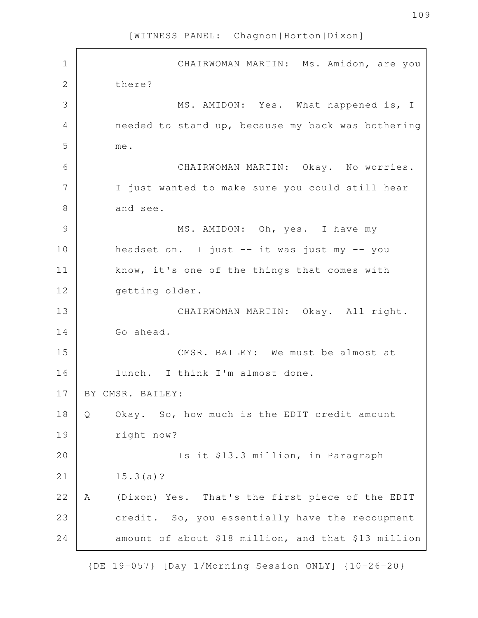| $\mathbf 1$    | CHAIRWOMAN MARTIN: Ms. Amidon, are you                       |
|----------------|--------------------------------------------------------------|
| $\overline{2}$ | there?                                                       |
| 3              | MS. AMIDON: Yes. What happened is, I                         |
| 4              | needed to stand up, because my back was bothering            |
| 5              | me.                                                          |
| 6              | CHAIRWOMAN MARTIN: Okay. No worries.                         |
| 7              | I just wanted to make sure you could still hear              |
| 8              | and see.                                                     |
| 9              | MS. AMIDON: Oh, yes. I have my                               |
| 10             | headset on. I just -- it was just my -- you                  |
| 11             | know, it's one of the things that comes with                 |
| 12             | getting older.                                               |
| 13             | CHAIRWOMAN MARTIN: Okay. All right.                          |
| 14             | Go ahead.                                                    |
| 15             | CMSR. BAILEY: We must be almost at                           |
| 16             | lunch. I think I'm almost done.                              |
| 17             | BY CMSR. BAILEY:                                             |
| 18             | $\mathsf{Q}$<br>Okay. So, how much is the EDIT credit amount |
| 19             | right now?                                                   |
| 20             | Is it \$13.3 million, in Paragraph                           |
| 21             | 15.3(a)?                                                     |
| 22             | (Dixon) Yes. That's the first piece of the EDIT<br>Α         |
| 23             | credit. So, you essentially have the recoupment              |
| 24             | amount of about \$18 million, and that \$13 million          |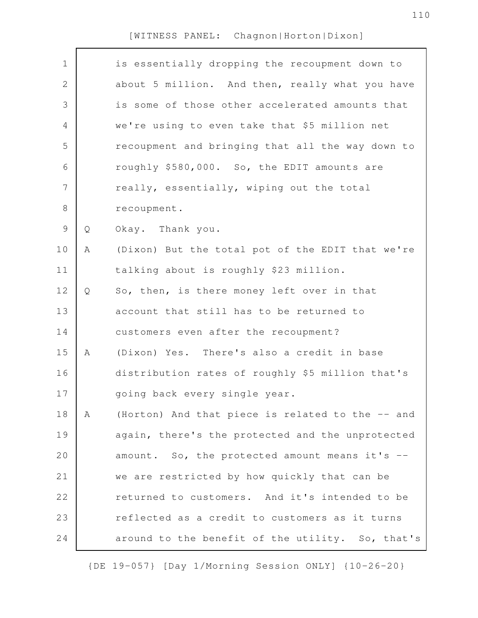| $\mathbf 1$    |   | is essentially dropping the recoupment down to   |
|----------------|---|--------------------------------------------------|
| $\mathbf{2}$   |   | about 5 million. And then, really what you have  |
| 3              |   | is some of those other accelerated amounts that  |
| $\overline{4}$ |   | we're using to even take that \$5 million net    |
| 5              |   | recoupment and bringing that all the way down to |
| 6              |   | roughly \$580,000. So, the EDIT amounts are      |
| 7              |   | really, essentially, wiping out the total        |
| $\,8\,$        |   | recoupment.                                      |
| $\mathcal{G}$  | Q | Okay. Thank you.                                 |
| 10             | Α | (Dixon) But the total pot of the EDIT that we're |
| 11             |   | talking about is roughly \$23 million.           |
| 12             | Q | So, then, is there money left over in that       |
| 13             |   | account that still has to be returned to         |
| 14             |   | customers even after the recoupment?             |
| 15             | A | (Dixon) Yes. There's also a credit in base       |
| 16             |   | distribution rates of roughly \$5 million that's |
| 17             |   | going back every single year.                    |
| 18             | Α | (Horton) And that piece is related to the -- and |
| 19             |   | again, there's the protected and the unprotected |
| 20             |   | amount. So, the protected amount means it's --   |
| 21             |   | we are restricted by how quickly that can be     |
| 22             |   | returned to customers. And it's intended to be   |
| 23             |   | reflected as a credit to customers as it turns   |
| 24             |   | around to the benefit of the utility. So, that's |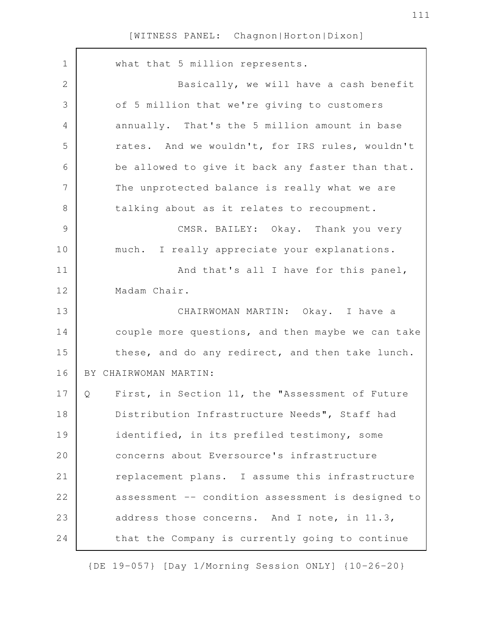| $\mathbf 1$    | what that 5 million represents.                      |
|----------------|------------------------------------------------------|
| $\mathbf{2}$   | Basically, we will have a cash benefit               |
| 3              | of 5 million that we're giving to customers          |
| $\overline{4}$ | annually. That's the 5 million amount in base        |
| 5              | rates. And we wouldn't, for IRS rules, wouldn't      |
| 6              | be allowed to give it back any faster than that.     |
| $\overline{7}$ | The unprotected balance is really what we are        |
| $\,8\,$        | talking about as it relates to recoupment.           |
| $\mathcal{G}$  | CMSR. BAILEY: Okay. Thank you very                   |
| 10             | much. I really appreciate your explanations.         |
| 11             | And that's all I have for this panel,                |
| 12             | Madam Chair.                                         |
| 13             | CHAIRWOMAN MARTIN: Okay. I have a                    |
| 14             | couple more questions, and then maybe we can take    |
| 15             | these, and do any redirect, and then take lunch.     |
| 16             | BY CHAIRWOMAN MARTIN:                                |
| 17             | First, in Section 11, the "Assessment of Future<br>Q |
| 18             | Distribution Infrastructure Needs", Staff had        |
| 19             | identified, in its prefiled testimony, some          |
| 20             | concerns about Eversource's infrastructure           |
| 21             | replacement plans. I assume this infrastructure      |
| 22             | assessment -- condition assessment is designed to    |
| 23             | address those concerns. And I note, in 11.3,         |
| 24             | that the Company is currently going to continue      |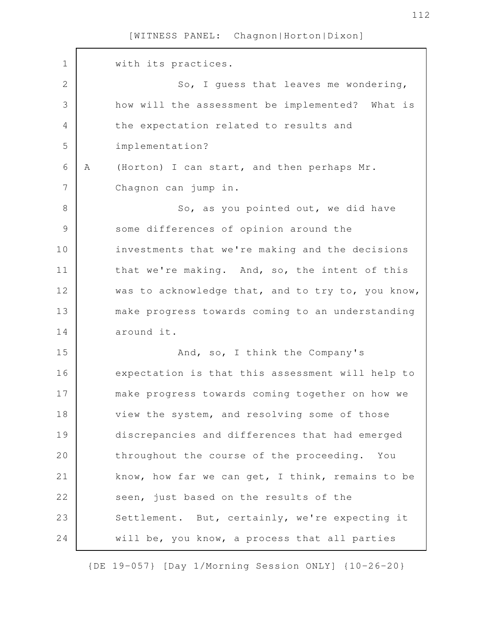| $\mathbf 1$   |   | with its practices.                               |
|---------------|---|---------------------------------------------------|
| $\mathbf{2}$  |   | So, I guess that leaves me wondering,             |
| 3             |   | how will the assessment be implemented? What is   |
| 4             |   | the expectation related to results and            |
| 5             |   | implementation?                                   |
| 6             | A | (Horton) I can start, and then perhaps Mr.        |
| 7             |   | Chagnon can jump in.                              |
| $8\,$         |   | So, as you pointed out, we did have               |
| $\mathcal{G}$ |   | some differences of opinion around the            |
| 10            |   | investments that we're making and the decisions   |
| 11            |   | that we're making. And, so, the intent of this    |
| 12            |   | was to acknowledge that, and to try to, you know, |
| 13            |   | make progress towards coming to an understanding  |
| 14            |   | around it.                                        |
| 15            |   | And, so, I think the Company's                    |
| 16            |   | expectation is that this assessment will help to  |
| 17            |   | make progress towards coming together on how we   |
| 18            |   | view the system, and resolving some of those      |
| 19            |   | discrepancies and differences that had emerged    |
| 20            |   | throughout the course of the proceeding. You      |
|               |   | know, how far we can get, I think, remains to be  |
| 21            |   |                                                   |
| 22            |   | seen, just based on the results of the            |
| 23            |   | Settlement. But, certainly, we're expecting it    |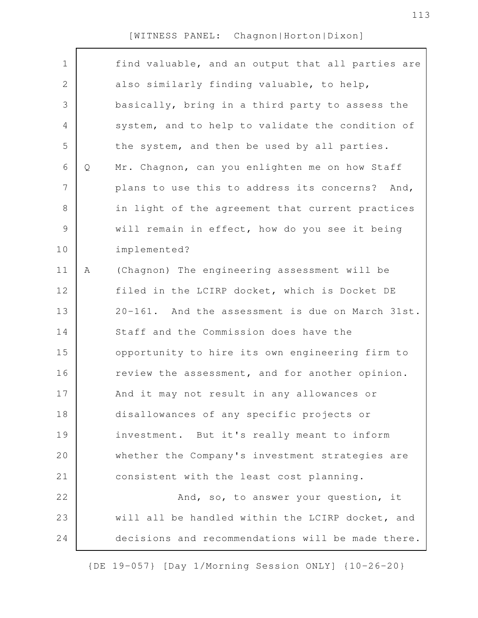| $\mathbf 1$   |   | find valuable, and an output that all parties are |
|---------------|---|---------------------------------------------------|
| 2             |   | also similarly finding valuable, to help,         |
| 3             |   | basically, bring in a third party to assess the   |
| 4             |   | system, and to help to validate the condition of  |
| 5             |   | the system, and then be used by all parties.      |
| 6             | Q | Mr. Chagnon, can you enlighten me on how Staff    |
| 7             |   | plans to use this to address its concerns? And,   |
| $\,8\,$       |   | in light of the agreement that current practices  |
| $\mathcal{G}$ |   | will remain in effect, how do you see it being    |
| 10            |   | implemented?                                      |
| 11            | Α | (Chagnon) The engineering assessment will be      |
| 12            |   | filed in the LCIRP docket, which is Docket DE     |
| 13            |   | 20-161. And the assessment is due on March 31st.  |
| 14            |   | Staff and the Commission does have the            |
| 15            |   | opportunity to hire its own engineering firm to   |
| 16            |   | review the assessment, and for another opinion.   |
| 17            |   | And it may not result in any allowances or        |
| 18            |   | disallowances of any specific projects or         |
| 19            |   | investment. But it's really meant to inform       |
| 20            |   | whether the Company's investment strategies are   |
| 21            |   | consistent with the least cost planning.          |
| 22            |   | And, so, to answer your question, it              |
| 23            |   | will all be handled within the LCIRP docket, and  |
| 24            |   | decisions and recommendations will be made there. |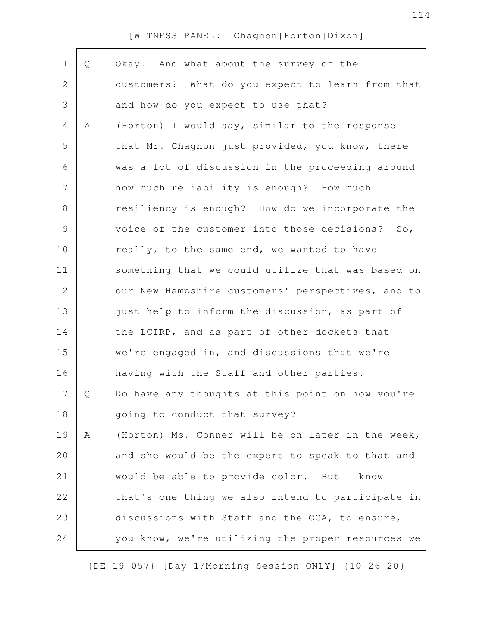| $\mathbf 1$ | Q | Okay. And what about the survey of the            |
|-------------|---|---------------------------------------------------|
| 2           |   | customers? What do you expect to learn from that  |
| 3           |   | and how do you expect to use that?                |
| 4           | Α | (Horton) I would say, similar to the response     |
| 5           |   | that Mr. Chagnon just provided, you know, there   |
| 6           |   | was a lot of discussion in the proceeding around  |
| 7           |   | how much reliability is enough? How much          |
| $\,8\,$     |   | resiliency is enough? How do we incorporate the   |
| $\mathsf 9$ |   | voice of the customer into those decisions? So,   |
| 10          |   | really, to the same end, we wanted to have        |
| 11          |   | something that we could utilize that was based on |
| 12          |   | our New Hampshire customers' perspectives, and to |
| 13          |   | just help to inform the discussion, as part of    |
| 14          |   | the LCIRP, and as part of other dockets that      |
| 15          |   | we're engaged in, and discussions that we're      |
| 16          |   | having with the Staff and other parties.          |
| 17          | Q | Do have any thoughts at this point on how you're  |
| 18          |   | going to conduct that survey?                     |
| 19          | Α | (Horton) Ms. Conner will be on later in the week, |
| 20          |   | and she would be the expert to speak to that and  |
| 21          |   | would be able to provide color. But I know        |
| 22          |   | that's one thing we also intend to participate in |
| 23          |   | discussions with Staff and the OCA, to ensure,    |
| 24          |   | you know, we're utilizing the proper resources we |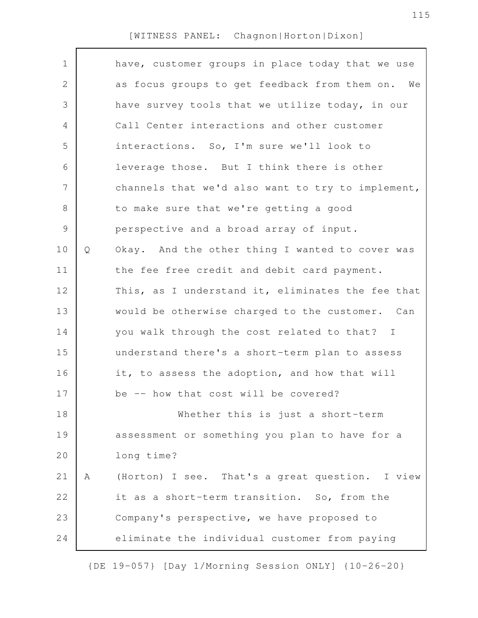| $\mathbf 1$    |   | have, customer groups in place today that we use  |
|----------------|---|---------------------------------------------------|
| 2              |   | as focus groups to get feedback from them on. We  |
| 3              |   | have survey tools that we utilize today, in our   |
| 4              |   | Call Center interactions and other customer       |
| 5              |   | interactions. So, I'm sure we'll look to          |
| 6              |   | leverage those. But I think there is other        |
| $\overline{7}$ |   | channels that we'd also want to try to implement, |
| 8              |   | to make sure that we're getting a good            |
| $\mathsf 9$    |   | perspective and a broad array of input.           |
| 10             | Q | Okay. And the other thing I wanted to cover was   |
| 11             |   | the fee free credit and debit card payment.       |
| 12             |   | This, as I understand it, eliminates the fee that |
| 13             |   | would be otherwise charged to the customer. Can   |
| 14             |   | you walk through the cost related to that? I      |
| 15             |   | understand there's a short-term plan to assess    |
| 16             |   | it, to assess the adoption, and how that will     |
| 17             |   | be -- how that cost will be covered?              |
| 18             |   | Whether this is just a short-term                 |
| 19             |   | assessment or something you plan to have for a    |
| 20             |   | long time?                                        |
| 21             | Α | (Horton) I see. That's a great question. I view   |
| 22             |   | it as a short-term transition. So, from the       |
| 23             |   | Company's perspective, we have proposed to        |
| 24             |   | eliminate the individual customer from paying     |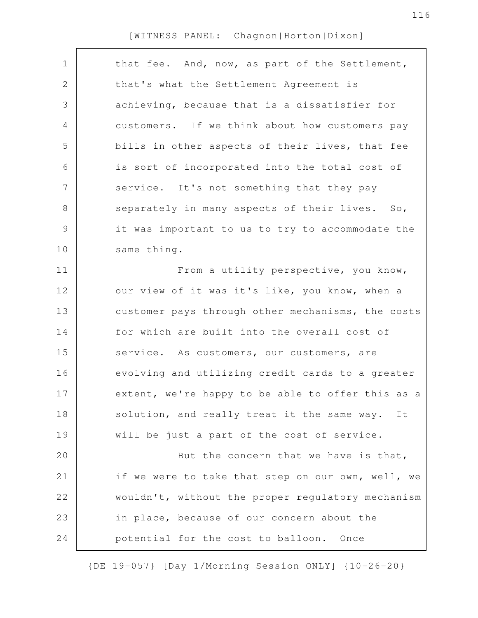| $\mathbf 1$   | that fee. And, now, as part of the Settlement,    |
|---------------|---------------------------------------------------|
| 2             | that's what the Settlement Agreement is           |
| 3             | achieving, because that is a dissatisfier for     |
| 4             | customers. If we think about how customers pay    |
| 5             | bills in other aspects of their lives, that fee   |
| 6             | is sort of incorporated into the total cost of    |
| 7             | service. It's not something that they pay         |
| $8\,$         | separately in many aspects of their lives.<br>So, |
| $\mathcal{G}$ | it was important to us to try to accommodate the  |
| 10            | same thing.                                       |
| 11            | From a utility perspective, you know,             |
| 12            | our view of it was it's like, you know, when a    |
| 13            | customer pays through other mechanisms, the costs |
| 14            | for which are built into the overall cost of      |
| 15            | service. As customers, our customers, are         |
| 16            | evolving and utilizing credit cards to a greater  |
| 17            | extent, we're happy to be able to offer this as a |
| 18            | solution, and really treat it the same way. It    |
| 19            | will be just a part of the cost of service.       |
| 20            | But the concern that we have is that,             |
| 21            | if we were to take that step on our own, well, we |
| 22            | wouldn't, without the proper regulatory mechanism |
| 23            | in place, because of our concern about the        |
| 24            | potential for the cost to balloon. Once           |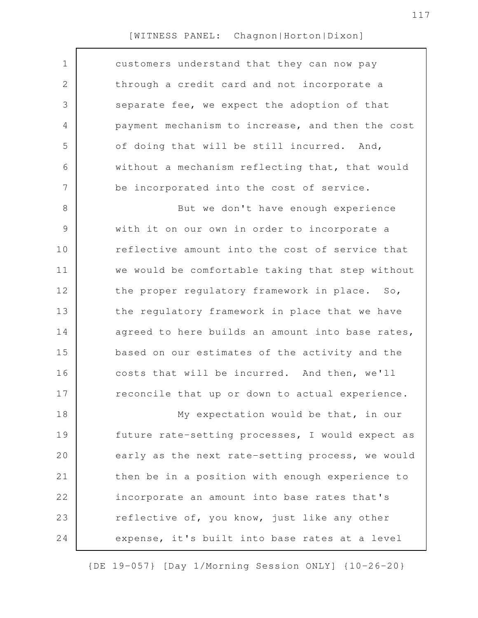| $\mathbf 1$    | customers understand that they can now pay       |
|----------------|--------------------------------------------------|
| $\mathbf{2}$   | through a credit card and not incorporate a      |
| 3              | separate fee, we expect the adoption of that     |
| $\overline{4}$ | payment mechanism to increase, and then the cost |
| 5              | of doing that will be still incurred. And,       |
| 6              | without a mechanism reflecting that, that would  |
| $\overline{7}$ | be incorporated into the cost of service.        |
| 8              | But we don't have enough experience              |
| $\mathcal{G}$  | with it on our own in order to incorporate a     |
| 10             | reflective amount into the cost of service that  |
| 11             | we would be comfortable taking that step without |
| 12             | the proper regulatory framework in place. So,    |
| 13             | the regulatory framework in place that we have   |
| 14             | agreed to here builds an amount into base rates, |
| 15             | based on our estimates of the activity and the   |
| 16             | costs that will be incurred. And then, we'll     |
| 17             | reconcile that up or down to actual experience.  |
| 18             | My expectation would be that, in our             |
| 19             | future rate-setting processes, I would expect as |
| 20             | early as the next rate-setting process, we would |
| 21             | then be in a position with enough experience to  |
| 22             | incorporate an amount into base rates that's     |
| 23             | reflective of, you know, just like any other     |
| 24             | expense, it's built into base rates at a level   |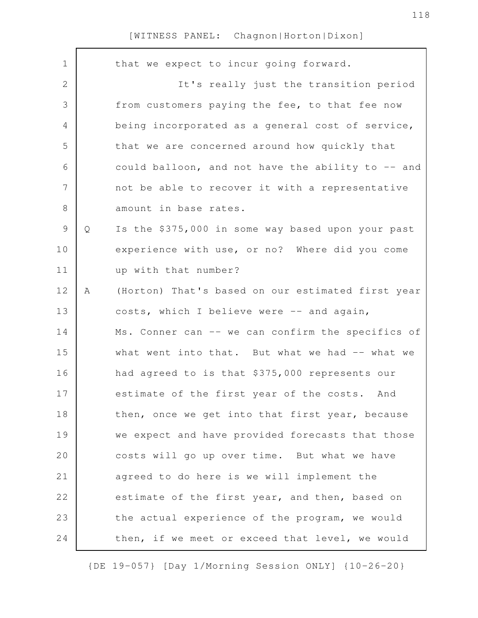| $\mathbf 1$    |   | that we expect to incur going forward.            |
|----------------|---|---------------------------------------------------|
| $\overline{2}$ |   | It's really just the transition period            |
| 3              |   | from customers paying the fee, to that fee now    |
| 4              |   | being incorporated as a general cost of service,  |
| 5              |   | that we are concerned around how quickly that     |
| 6              |   | could balloon, and not have the ability to -- and |
| $\overline{7}$ |   | not be able to recover it with a representative   |
| 8              |   | amount in base rates.                             |
| 9              | Q | Is the \$375,000 in some way based upon your past |
| 10             |   | experience with use, or no? Where did you come    |
| 11             |   | up with that number?                              |
| 12             | Α | (Horton) That's based on our estimated first year |
| 13             |   | costs, which I believe were -- and again,         |
| 14             |   | Ms. Conner can -- we can confirm the specifics of |
| 15             |   | what went into that. But what we had -- what we   |
| 16             |   | had agreed to is that \$375,000 represents our    |
| 17             |   | estimate of the first year of the costs. And      |
| 18             |   | then, once we get into that first year, because   |
| 19             |   | we expect and have provided forecasts that those  |
| 20             |   | costs will go up over time. But what we have      |
| 21             |   | agreed to do here is we will implement the        |
| 22             |   | estimate of the first year, and then, based on    |
| 23             |   | the actual experience of the program, we would    |
| 24             |   | then, if we meet or exceed that level, we would   |
|                |   |                                                   |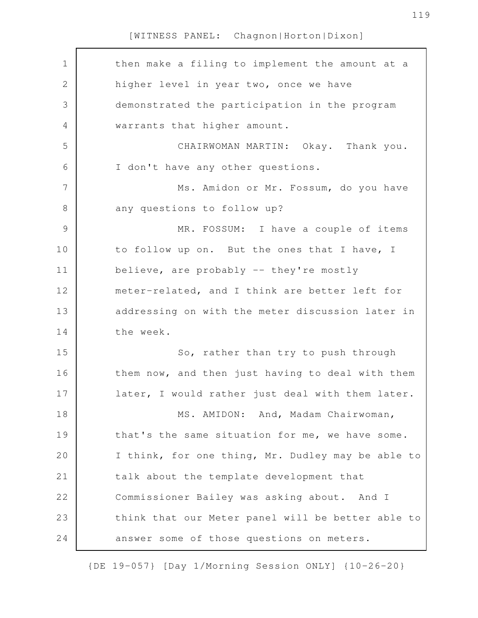| $\mathbf 1$ | then make a filing to implement the amount at a   |
|-------------|---------------------------------------------------|
| 2           | higher level in year two, once we have            |
| 3           | demonstrated the participation in the program     |
| 4           | warrants that higher amount.                      |
| 5           | CHAIRWOMAN MARTIN: Okay. Thank you.               |
| 6           | I don't have any other questions.                 |
| 7           | Ms. Amidon or Mr. Fossum, do you have             |
| $\,8\,$     | any questions to follow up?                       |
| 9           | MR. FOSSUM: I have a couple of items              |
| 10          | to follow up on. But the ones that I have, I      |
| 11          | believe, are probably -- they're mostly           |
| 12          | meter-related, and I think are better left for    |
| 13          | addressing on with the meter discussion later in  |
| 14          | the week.                                         |
| 15          | So, rather than try to push through               |
| 16          | them now, and then just having to deal with them  |
| 17          | later, I would rather just deal with them later.  |
| 18          | MS. AMIDON: And, Madam Chairwoman,                |
| 19          | that's the same situation for me, we have some.   |
| 20          | I think, for one thing, Mr. Dudley may be able to |
| 21          | talk about the template development that          |
| 22          | Commissioner Bailey was asking about. And I       |
| 23          | think that our Meter panel will be better able to |
| 24          | answer some of those questions on meters.         |